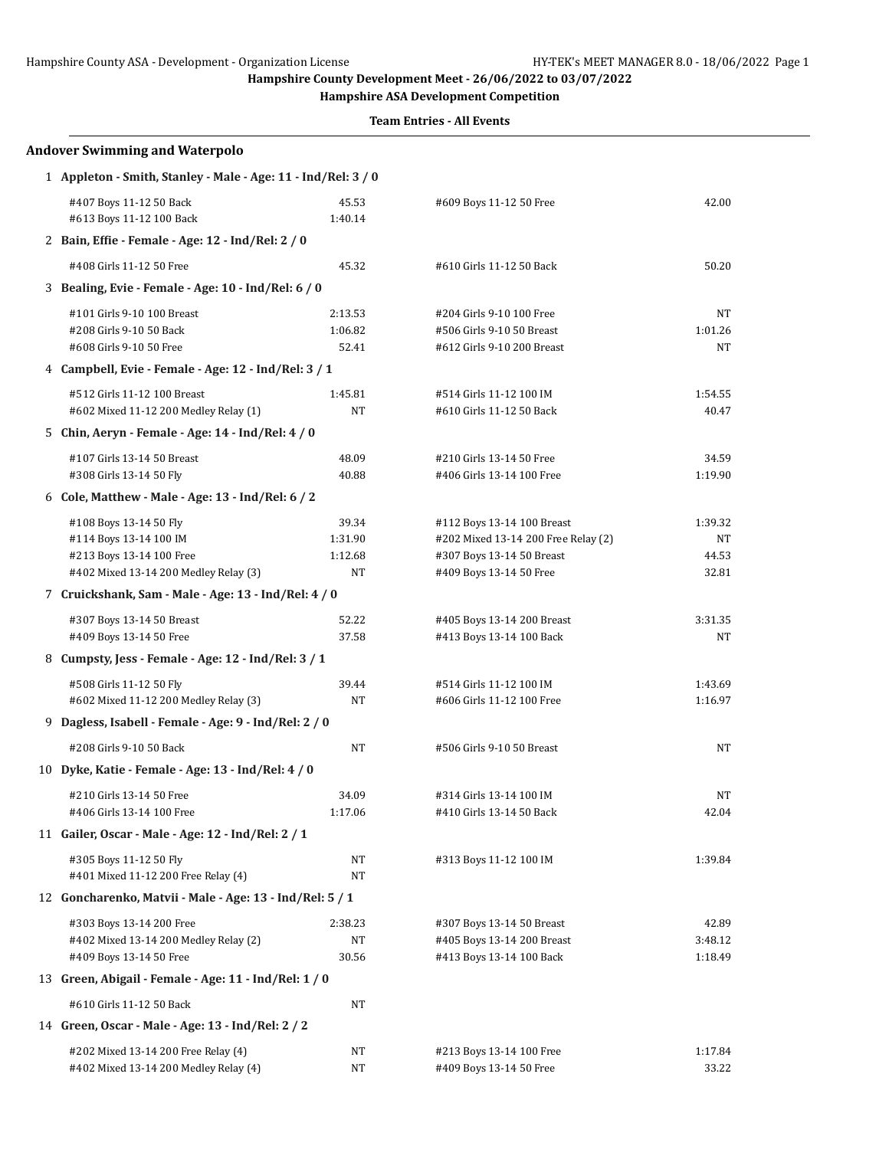**Hampshire ASA Development Competition**

| <b>Andover Swimming and Waterpolo</b>                                                                                 |                                          |                                                                                                                           |                                 |
|-----------------------------------------------------------------------------------------------------------------------|------------------------------------------|---------------------------------------------------------------------------------------------------------------------------|---------------------------------|
| 1 Appleton - Smith, Stanley - Male - Age: 11 - Ind/Rel: 3 / 0                                                         |                                          |                                                                                                                           |                                 |
| #407 Boys 11-12 50 Back<br>#613 Boys 11-12 100 Back                                                                   | 45.53<br>1:40.14                         | #609 Boys 11-12 50 Free                                                                                                   | 42.00                           |
| 2 Bain, Effie - Female - Age: 12 - Ind/Rel: 2 / 0                                                                     |                                          |                                                                                                                           |                                 |
| #408 Girls 11-12 50 Free                                                                                              | 45.32                                    | #610 Girls 11-12 50 Back                                                                                                  | 50.20                           |
| 3 Bealing, Evie - Female - Age: 10 - Ind/Rel: 6 / 0                                                                   |                                          |                                                                                                                           |                                 |
| #101 Girls 9-10 100 Breast<br>#208 Girls 9-10 50 Back<br>#608 Girls 9-10 50 Free                                      | 2:13.53<br>1:06.82<br>52.41              | #204 Girls 9-10 100 Free<br>#506 Girls 9-10 50 Breast<br>#612 Girls 9-10 200 Breast                                       | NT<br>1:01.26<br>NΤ             |
| 4 Campbell, Evie - Female - Age: 12 - Ind/Rel: 3 / 1                                                                  |                                          |                                                                                                                           |                                 |
| #512 Girls 11-12 100 Breast<br>#602 Mixed 11-12 200 Medley Relay (1)                                                  | 1:45.81<br>NΤ                            | #514 Girls 11-12 100 IM<br>#610 Girls 11-12 50 Back                                                                       | 1:54.55<br>40.47                |
| 5 Chin, Aeryn - Female - Age: 14 - Ind/Rel: 4 / 0                                                                     |                                          |                                                                                                                           |                                 |
| #107 Girls 13-14 50 Breast<br>#308 Girls 13-14 50 Fly                                                                 | 48.09<br>40.88                           | #210 Girls 13-14 50 Free<br>#406 Girls 13-14 100 Free                                                                     | 34.59<br>1:19.90                |
| 6 Cole, Matthew - Male - Age: 13 - Ind/Rel: 6 / 2                                                                     |                                          |                                                                                                                           |                                 |
| #108 Boys 13-14 50 Fly<br>#114 Boys 13-14 100 IM<br>#213 Boys 13-14 100 Free<br>#402 Mixed 13-14 200 Medley Relay (3) | 39.34<br>1:31.90<br>1:12.68<br><b>NT</b> | #112 Boys 13-14 100 Breast<br>#202 Mixed 13-14 200 Free Relay (2)<br>#307 Boys 13-14 50 Breast<br>#409 Boys 13-14 50 Free | 1:39.32<br>NT<br>44.53<br>32.81 |
| 7 Cruickshank, Sam - Male - Age: 13 - Ind/Rel: 4 / 0                                                                  |                                          |                                                                                                                           |                                 |
| #307 Boys 13-14 50 Breast<br>#409 Boys 13-14 50 Free                                                                  | 52.22<br>37.58                           | #405 Boys 13-14 200 Breast<br>#413 Boys 13-14 100 Back                                                                    | 3:31.35<br>NΤ                   |
| 8 Cumpsty, Jess - Female - Age: 12 - Ind/Rel: 3 / 1                                                                   |                                          |                                                                                                                           |                                 |
| #508 Girls 11-12 50 Fly<br>#602 Mixed 11-12 200 Medley Relay (3)                                                      | 39.44<br>NT                              | #514 Girls 11-12 100 IM<br>#606 Girls 11-12 100 Free                                                                      | 1:43.69<br>1:16.97              |
| 9 Dagless, Isabell - Female - Age: 9 - Ind/Rel: 2 / 0                                                                 |                                          |                                                                                                                           |                                 |
| #208 Girls 9-10 50 Back                                                                                               | NT                                       | #506 Girls 9-10 50 Breast                                                                                                 | NT                              |
| 10 Dyke, Katie - Female - Age: 13 - Ind/Rel: 4 / 0                                                                    |                                          |                                                                                                                           |                                 |
| #210 Girls 13-14 50 Free<br>#406 Girls 13-14 100 Free                                                                 | 34.09<br>1:17.06                         | #314 Girls 13-14 100 IM<br>#410 Girls 13-14 50 Back                                                                       | NT<br>42.04                     |
| 11 Gailer, Oscar - Male - Age: 12 - Ind/Rel: 2 / 1                                                                    |                                          |                                                                                                                           |                                 |
| #305 Boys 11-12 50 Fly<br>#401 Mixed 11-12 200 Free Relay (4)                                                         | NΤ<br>NT                                 | #313 Boys 11-12 100 IM                                                                                                    | 1:39.84                         |
| 12 Goncharenko, Matvii - Male - Age: 13 - Ind/Rel: 5 / 1                                                              |                                          |                                                                                                                           |                                 |
| #303 Boys 13-14 200 Free<br>#402 Mixed 13-14 200 Medley Relay (2)<br>#409 Boys 13-14 50 Free                          | 2:38.23<br>NΤ<br>30.56                   | #307 Boys 13-14 50 Breast<br>#405 Boys 13-14 200 Breast<br>#413 Boys 13-14 100 Back                                       | 42.89<br>3:48.12<br>1:18.49     |
| 13 Green, Abigail - Female - Age: 11 - Ind/Rel: 1 / 0                                                                 |                                          |                                                                                                                           |                                 |
| #610 Girls 11-12 50 Back                                                                                              | NT                                       |                                                                                                                           |                                 |
| 14 Green, Oscar - Male - Age: 13 - Ind/Rel: 2 / 2                                                                     |                                          |                                                                                                                           |                                 |
| #202 Mixed 13-14 200 Free Relay (4)<br>#402 Mixed 13-14 200 Medley Relay (4)                                          | NΤ<br>NΤ                                 | #213 Boys 13-14 100 Free<br>#409 Boys 13-14 50 Free                                                                       | 1:17.84<br>33.22                |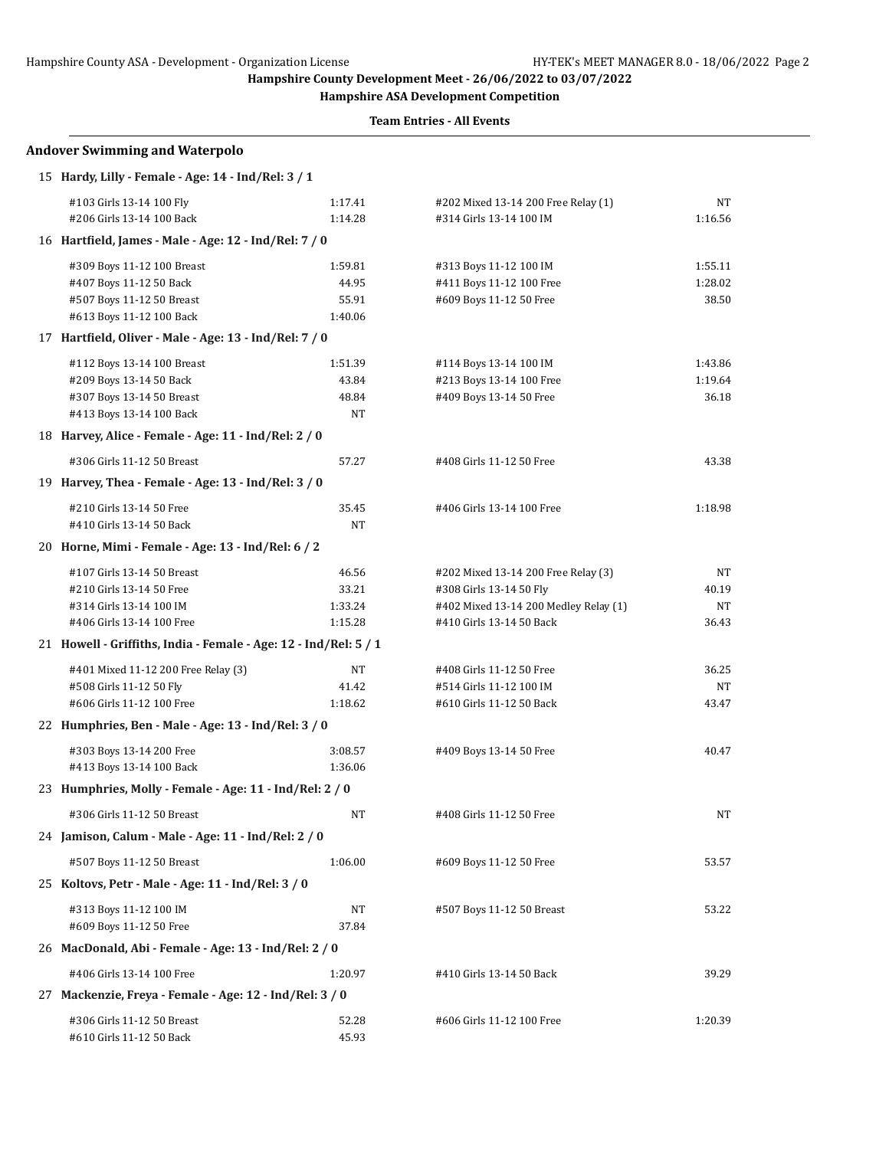**Hampshire ASA Development Competition**

|    | <b>Andover Swimming and Waterpolo</b>               |                                                                                                                                                                                                                                                                                                                                                                                                                                                                                                                                                                                                                                                                                                                                                                                                                                                                                                                                                                                                                                                                                                                                                                                                                                                                                                                                                                 |                                     |         |
|----|-----------------------------------------------------|-----------------------------------------------------------------------------------------------------------------------------------------------------------------------------------------------------------------------------------------------------------------------------------------------------------------------------------------------------------------------------------------------------------------------------------------------------------------------------------------------------------------------------------------------------------------------------------------------------------------------------------------------------------------------------------------------------------------------------------------------------------------------------------------------------------------------------------------------------------------------------------------------------------------------------------------------------------------------------------------------------------------------------------------------------------------------------------------------------------------------------------------------------------------------------------------------------------------------------------------------------------------------------------------------------------------------------------------------------------------|-------------------------------------|---------|
|    | 15 Hardy, Lilly - Female - Age: 14 - Ind/Rel: 3 / 1 |                                                                                                                                                                                                                                                                                                                                                                                                                                                                                                                                                                                                                                                                                                                                                                                                                                                                                                                                                                                                                                                                                                                                                                                                                                                                                                                                                                 |                                     |         |
|    | #103 Girls 13-14 100 Fly                            | 1:17.41                                                                                                                                                                                                                                                                                                                                                                                                                                                                                                                                                                                                                                                                                                                                                                                                                                                                                                                                                                                                                                                                                                                                                                                                                                                                                                                                                         | #202 Mixed 13-14 200 Free Relay (1) | NT      |
|    | #206 Girls 13-14 100 Back                           | 1:14.28                                                                                                                                                                                                                                                                                                                                                                                                                                                                                                                                                                                                                                                                                                                                                                                                                                                                                                                                                                                                                                                                                                                                                                                                                                                                                                                                                         | #314 Girls 13-14 100 IM             | 1:16.56 |
|    |                                                     |                                                                                                                                                                                                                                                                                                                                                                                                                                                                                                                                                                                                                                                                                                                                                                                                                                                                                                                                                                                                                                                                                                                                                                                                                                                                                                                                                                 |                                     |         |
|    | #309 Boys 11-12 100 Breast                          | 1:59.81                                                                                                                                                                                                                                                                                                                                                                                                                                                                                                                                                                                                                                                                                                                                                                                                                                                                                                                                                                                                                                                                                                                                                                                                                                                                                                                                                         | #313 Boys 11-12 100 IM              | 1:55.11 |
|    | #407 Boys 11-12 50 Back                             | 44.95                                                                                                                                                                                                                                                                                                                                                                                                                                                                                                                                                                                                                                                                                                                                                                                                                                                                                                                                                                                                                                                                                                                                                                                                                                                                                                                                                           | #411 Boys 11-12 100 Free            | 1:28.02 |
|    | #507 Boys 11-12 50 Breast                           | 55.91                                                                                                                                                                                                                                                                                                                                                                                                                                                                                                                                                                                                                                                                                                                                                                                                                                                                                                                                                                                                                                                                                                                                                                                                                                                                                                                                                           | #609 Boys 11-12 50 Free             | 38.50   |
|    | #613 Boys 11-12 100 Back                            | 1:40.06                                                                                                                                                                                                                                                                                                                                                                                                                                                                                                                                                                                                                                                                                                                                                                                                                                                                                                                                                                                                                                                                                                                                                                                                                                                                                                                                                         |                                     |         |
|    |                                                     | 16 Hartfield, James - Male - Age: 12 - Ind/Rel: 7 / 0<br>17 Hartfield, Oliver - Male - Age: 13 - Ind/Rel: 7 / 0<br>1:51.39<br>#114 Boys 13-14 100 IM<br>43.84<br>#213 Boys 13-14 100 Free<br>48.84<br>#409 Boys 13-14 50 Free<br>NT<br>18 Harvey, Alice - Female - Age: 11 - Ind/Rel: 2 / 0<br>57.27<br>#408 Girls 11-12 50 Free<br>19 Harvey, Thea - Female - Age: 13 - Ind/Rel: 3 / 0<br>35.45<br>#406 Girls 13-14 100 Free<br>NT<br>20 Horne, Mimi - Female - Age: 13 - Ind/Rel: 6 / 2<br>46.56<br>#202 Mixed 13-14 200 Free Relay (3)<br>33.21<br>#308 Girls 13-14 50 Fly<br>1:33.24<br>#402 Mixed 13-14 200 Medley Relay (1)<br>#410 Girls 13-14 50 Back<br>1:15.28<br>21 Howell - Griffiths, India - Female - Age: 12 - Ind/Rel: 5 / 1<br>NT<br>#408 Girls 11-12 50 Free<br>41.42<br>#514 Girls 11-12 100 IM<br>1:18.62<br>#610 Girls 11-12 50 Back<br>22 Humphries, Ben - Male - Age: 13 - Ind/Rel: 3 / 0<br>3:08.57<br>#409 Boys 13-14 50 Free<br>1:36.06<br>23 Humphries, Molly - Female - Age: 11 - Ind/Rel: 2 / 0<br>NT<br>#408 Girls 11-12 50 Free<br>24 Jamison, Calum - Male - Age: 11 - Ind/Rel: 2 / 0<br>1:06.00<br>#609 Boys 11-12 50 Free<br>NT<br>#507 Boys 11-12 50 Breast<br>37.84<br>26 MacDonald, Abi - Female - Age: 13 - Ind/Rel: 2 / 0<br>1:20.97<br>#410 Girls 13-14 50 Back<br>Mackenzie, Freya - Female - Age: 12 - Ind/Rel: 3 / 0 |                                     |         |
|    | #112 Boys 13-14 100 Breast                          |                                                                                                                                                                                                                                                                                                                                                                                                                                                                                                                                                                                                                                                                                                                                                                                                                                                                                                                                                                                                                                                                                                                                                                                                                                                                                                                                                                 |                                     | 1:43.86 |
|    | #209 Boys 13-14 50 Back                             |                                                                                                                                                                                                                                                                                                                                                                                                                                                                                                                                                                                                                                                                                                                                                                                                                                                                                                                                                                                                                                                                                                                                                                                                                                                                                                                                                                 |                                     | 1:19.64 |
|    | #307 Boys 13-14 50 Breast                           |                                                                                                                                                                                                                                                                                                                                                                                                                                                                                                                                                                                                                                                                                                                                                                                                                                                                                                                                                                                                                                                                                                                                                                                                                                                                                                                                                                 |                                     | 36.18   |
|    | #413 Boys 13-14 100 Back                            |                                                                                                                                                                                                                                                                                                                                                                                                                                                                                                                                                                                                                                                                                                                                                                                                                                                                                                                                                                                                                                                                                                                                                                                                                                                                                                                                                                 |                                     |         |
|    |                                                     |                                                                                                                                                                                                                                                                                                                                                                                                                                                                                                                                                                                                                                                                                                                                                                                                                                                                                                                                                                                                                                                                                                                                                                                                                                                                                                                                                                 |                                     |         |
|    | #306 Girls 11-12 50 Breast                          |                                                                                                                                                                                                                                                                                                                                                                                                                                                                                                                                                                                                                                                                                                                                                                                                                                                                                                                                                                                                                                                                                                                                                                                                                                                                                                                                                                 |                                     | 43.38   |
|    |                                                     |                                                                                                                                                                                                                                                                                                                                                                                                                                                                                                                                                                                                                                                                                                                                                                                                                                                                                                                                                                                                                                                                                                                                                                                                                                                                                                                                                                 |                                     |         |
|    | #210 Girls 13-14 50 Free                            |                                                                                                                                                                                                                                                                                                                                                                                                                                                                                                                                                                                                                                                                                                                                                                                                                                                                                                                                                                                                                                                                                                                                                                                                                                                                                                                                                                 |                                     | 1:18.98 |
|    | #410 Girls 13-14 50 Back                            |                                                                                                                                                                                                                                                                                                                                                                                                                                                                                                                                                                                                                                                                                                                                                                                                                                                                                                                                                                                                                                                                                                                                                                                                                                                                                                                                                                 |                                     |         |
|    |                                                     |                                                                                                                                                                                                                                                                                                                                                                                                                                                                                                                                                                                                                                                                                                                                                                                                                                                                                                                                                                                                                                                                                                                                                                                                                                                                                                                                                                 |                                     |         |
|    | #107 Girls 13-14 50 Breast                          |                                                                                                                                                                                                                                                                                                                                                                                                                                                                                                                                                                                                                                                                                                                                                                                                                                                                                                                                                                                                                                                                                                                                                                                                                                                                                                                                                                 |                                     | NT      |
|    | #210 Girls 13-14 50 Free                            |                                                                                                                                                                                                                                                                                                                                                                                                                                                                                                                                                                                                                                                                                                                                                                                                                                                                                                                                                                                                                                                                                                                                                                                                                                                                                                                                                                 |                                     | 40.19   |
|    | #314 Girls 13-14 100 IM                             |                                                                                                                                                                                                                                                                                                                                                                                                                                                                                                                                                                                                                                                                                                                                                                                                                                                                                                                                                                                                                                                                                                                                                                                                                                                                                                                                                                 |                                     | NT      |
|    | #406 Girls 13-14 100 Free                           |                                                                                                                                                                                                                                                                                                                                                                                                                                                                                                                                                                                                                                                                                                                                                                                                                                                                                                                                                                                                                                                                                                                                                                                                                                                                                                                                                                 |                                     | 36.43   |
|    |                                                     |                                                                                                                                                                                                                                                                                                                                                                                                                                                                                                                                                                                                                                                                                                                                                                                                                                                                                                                                                                                                                                                                                                                                                                                                                                                                                                                                                                 |                                     |         |
|    | #401 Mixed 11-12 200 Free Relay (3)                 |                                                                                                                                                                                                                                                                                                                                                                                                                                                                                                                                                                                                                                                                                                                                                                                                                                                                                                                                                                                                                                                                                                                                                                                                                                                                                                                                                                 |                                     | 36.25   |
|    | #508 Girls 11-12 50 Fly                             |                                                                                                                                                                                                                                                                                                                                                                                                                                                                                                                                                                                                                                                                                                                                                                                                                                                                                                                                                                                                                                                                                                                                                                                                                                                                                                                                                                 |                                     | NT      |
|    | #606 Girls 11-12 100 Free                           |                                                                                                                                                                                                                                                                                                                                                                                                                                                                                                                                                                                                                                                                                                                                                                                                                                                                                                                                                                                                                                                                                                                                                                                                                                                                                                                                                                 |                                     | 43.47   |
|    |                                                     |                                                                                                                                                                                                                                                                                                                                                                                                                                                                                                                                                                                                                                                                                                                                                                                                                                                                                                                                                                                                                                                                                                                                                                                                                                                                                                                                                                 |                                     |         |
|    | #303 Boys 13-14 200 Free                            |                                                                                                                                                                                                                                                                                                                                                                                                                                                                                                                                                                                                                                                                                                                                                                                                                                                                                                                                                                                                                                                                                                                                                                                                                                                                                                                                                                 |                                     | 40.47   |
|    | #413 Boys 13-14 100 Back                            |                                                                                                                                                                                                                                                                                                                                                                                                                                                                                                                                                                                                                                                                                                                                                                                                                                                                                                                                                                                                                                                                                                                                                                                                                                                                                                                                                                 |                                     |         |
|    |                                                     |                                                                                                                                                                                                                                                                                                                                                                                                                                                                                                                                                                                                                                                                                                                                                                                                                                                                                                                                                                                                                                                                                                                                                                                                                                                                                                                                                                 |                                     |         |
|    | #306 Girls 11-12 50 Breast                          |                                                                                                                                                                                                                                                                                                                                                                                                                                                                                                                                                                                                                                                                                                                                                                                                                                                                                                                                                                                                                                                                                                                                                                                                                                                                                                                                                                 |                                     | NT      |
|    |                                                     |                                                                                                                                                                                                                                                                                                                                                                                                                                                                                                                                                                                                                                                                                                                                                                                                                                                                                                                                                                                                                                                                                                                                                                                                                                                                                                                                                                 |                                     |         |
|    | #507 Boys 11-12 50 Breast                           |                                                                                                                                                                                                                                                                                                                                                                                                                                                                                                                                                                                                                                                                                                                                                                                                                                                                                                                                                                                                                                                                                                                                                                                                                                                                                                                                                                 |                                     | 53.57   |
|    | 25 Koltovs, Petr - Male - Age: 11 - Ind/Rel: 3 / 0  |                                                                                                                                                                                                                                                                                                                                                                                                                                                                                                                                                                                                                                                                                                                                                                                                                                                                                                                                                                                                                                                                                                                                                                                                                                                                                                                                                                 |                                     |         |
|    | #313 Boys 11-12 100 IM                              |                                                                                                                                                                                                                                                                                                                                                                                                                                                                                                                                                                                                                                                                                                                                                                                                                                                                                                                                                                                                                                                                                                                                                                                                                                                                                                                                                                 |                                     | 53.22   |
|    | #609 Boys 11-12 50 Free                             |                                                                                                                                                                                                                                                                                                                                                                                                                                                                                                                                                                                                                                                                                                                                                                                                                                                                                                                                                                                                                                                                                                                                                                                                                                                                                                                                                                 |                                     |         |
|    |                                                     |                                                                                                                                                                                                                                                                                                                                                                                                                                                                                                                                                                                                                                                                                                                                                                                                                                                                                                                                                                                                                                                                                                                                                                                                                                                                                                                                                                 |                                     |         |
|    | #406 Girls 13-14 100 Free                           |                                                                                                                                                                                                                                                                                                                                                                                                                                                                                                                                                                                                                                                                                                                                                                                                                                                                                                                                                                                                                                                                                                                                                                                                                                                                                                                                                                 |                                     | 39.29   |
| 27 |                                                     |                                                                                                                                                                                                                                                                                                                                                                                                                                                                                                                                                                                                                                                                                                                                                                                                                                                                                                                                                                                                                                                                                                                                                                                                                                                                                                                                                                 |                                     |         |
|    | #306 Girls 11-12 50 Breast                          | 52.28                                                                                                                                                                                                                                                                                                                                                                                                                                                                                                                                                                                                                                                                                                                                                                                                                                                                                                                                                                                                                                                                                                                                                                                                                                                                                                                                                           | #606 Girls 11-12 100 Free           | 1:20.39 |
|    | #610 Girls 11-12 50 Back                            | 45.93                                                                                                                                                                                                                                                                                                                                                                                                                                                                                                                                                                                                                                                                                                                                                                                                                                                                                                                                                                                                                                                                                                                                                                                                                                                                                                                                                           |                                     |         |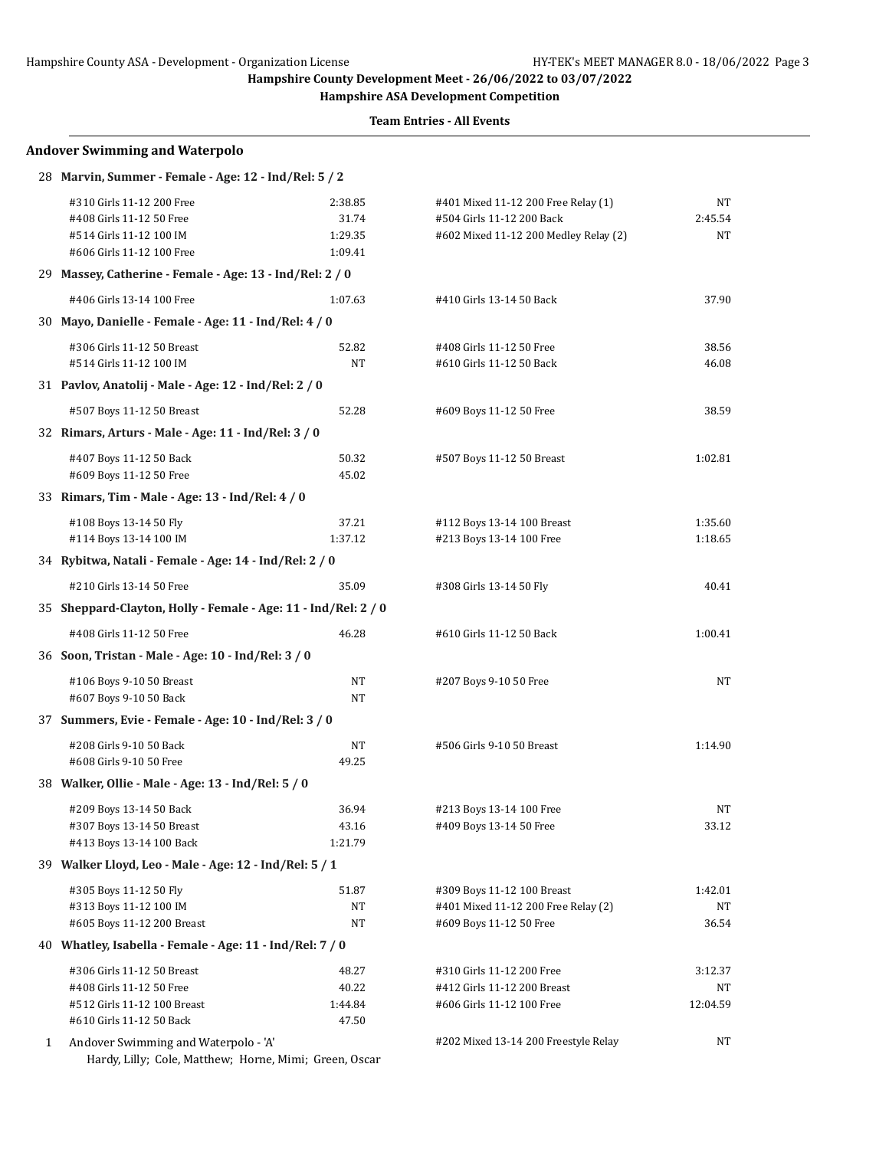**Hampshire ASA Development Competition**

**Team Entries - All Events**

|   | <b>Andover Swimming and Waterpolo</b>                                                                         |                                        |                                                                                                           |                        |
|---|---------------------------------------------------------------------------------------------------------------|----------------------------------------|-----------------------------------------------------------------------------------------------------------|------------------------|
|   | 28 Marvin, Summer - Female - Age: 12 - Ind/Rel: 5 / 2                                                         |                                        |                                                                                                           |                        |
|   | #310 Girls 11-12 200 Free<br>#408 Girls 11-12 50 Free<br>#514 Girls 11-12 100 IM<br>#606 Girls 11-12 100 Free | 2:38.85<br>31.74<br>1:29.35<br>1:09.41 | #401 Mixed 11-12 200 Free Relay (1)<br>#504 Girls 11-12 200 Back<br>#602 Mixed 11-12 200 Medley Relay (2) | NT<br>2:45.54<br>NT    |
|   | 29 Massey, Catherine - Female - Age: 13 - Ind/Rel: 2 / 0                                                      |                                        |                                                                                                           |                        |
|   | #406 Girls 13-14 100 Free                                                                                     | 1:07.63                                | #410 Girls 13-14 50 Back                                                                                  | 37.90                  |
|   | 30 Mayo, Danielle - Female - Age: 11 - Ind/Rel: 4 / 0                                                         |                                        |                                                                                                           |                        |
|   | #306 Girls 11-12 50 Breast<br>#514 Girls 11-12 100 IM                                                         | 52.82<br><b>NT</b>                     | #408 Girls 11-12 50 Free<br>#610 Girls 11-12 50 Back                                                      | 38.56<br>46.08         |
|   | 31 Pavlov, Anatolij - Male - Age: 12 - Ind/Rel: 2 / 0                                                         |                                        |                                                                                                           |                        |
|   | #507 Boys 11-12 50 Breast                                                                                     | 52.28                                  | #609 Boys 11-12 50 Free                                                                                   | 38.59                  |
|   | 32 Rimars, Arturs - Male - Age: 11 - Ind/Rel: 3 / 0                                                           |                                        |                                                                                                           |                        |
|   | #407 Boys 11-12 50 Back<br>#609 Boys 11-12 50 Free                                                            | 50.32<br>45.02                         | #507 Boys 11-12 50 Breast                                                                                 | 1:02.81                |
|   | 33 Rimars, Tim - Male - Age: 13 - Ind/Rel: 4 / 0                                                              |                                        |                                                                                                           |                        |
|   | #108 Boys 13-14 50 Fly<br>#114 Boys 13-14 100 IM                                                              | 37.21<br>1:37.12                       | #112 Boys 13-14 100 Breast<br>#213 Boys 13-14 100 Free                                                    | 1:35.60<br>1:18.65     |
|   | 34 Rybitwa, Natali - Female - Age: 14 - Ind/Rel: 2 / 0                                                        |                                        |                                                                                                           |                        |
|   | #210 Girls 13-14 50 Free                                                                                      | 35.09                                  | #308 Girls 13-14 50 Fly                                                                                   | 40.41                  |
|   | 35 Sheppard-Clayton, Holly - Female - Age: 11 - Ind/Rel: 2 / 0                                                |                                        |                                                                                                           |                        |
|   | #408 Girls 11-12 50 Free                                                                                      | 46.28                                  | #610 Girls 11-12 50 Back                                                                                  | 1:00.41                |
|   | 36 Soon, Tristan - Male - Age: 10 - Ind/Rel: 3 / 0                                                            |                                        |                                                                                                           |                        |
|   | #106 Boys 9-10 50 Breast<br>#607 Boys 9-10 50 Back                                                            | NT<br>NT                               | #207 Boys 9-10 50 Free                                                                                    | NT                     |
|   | 37 Summers, Evie - Female - Age: 10 - Ind/Rel: 3 / 0                                                          |                                        |                                                                                                           |                        |
|   | #208 Girls 9-10 50 Back<br>#608 Girls 9-10 50 Free                                                            | NΤ<br>49.25                            | #506 Girls 9-10 50 Breast                                                                                 | 1:14.90                |
|   | 38 Walker, Ollie - Male - Age: 13 - Ind/Rel: 5 / 0                                                            |                                        |                                                                                                           |                        |
|   | #209 Boys 13-14 50 Back<br>#307 Boys 13-14 50 Breast<br>#413 Boys 13-14 100 Back                              | 36.94<br>43.16<br>1:21.79              | #213 Boys 13-14 100 Free<br>#409 Boys 13-14 50 Free                                                       | NΤ<br>33.12            |
|   | 39 Walker Lloyd, Leo - Male - Age: 12 - Ind/Rel: 5 / 1                                                        |                                        |                                                                                                           |                        |
|   | #305 Boys 11-12 50 Fly<br>#313 Boys 11-12 100 IM<br>#605 Boys 11-12 200 Breast                                | 51.87<br>NΤ<br>NΤ                      | #309 Boys 11-12 100 Breast<br>#401 Mixed 11-12 200 Free Relay (2)<br>#609 Boys 11-12 50 Free              | 1:42.01<br>NT<br>36.54 |
|   | 40 Whatley, Isabella - Female - Age: 11 - Ind/Rel: 7 / 0                                                      |                                        |                                                                                                           |                        |
|   | #306 Girls 11-12 50 Breast                                                                                    | 48.27                                  | #310 Girls 11-12 200 Free                                                                                 | 3:12.37                |
|   | #408 Girls 11-12 50 Free                                                                                      | 40.22                                  | #412 Girls 11-12 200 Breast                                                                               | NT                     |
|   | #512 Girls 11-12 100 Breast<br>#610 Girls 11-12 50 Back                                                       | 1:44.84<br>47.50                       | #606 Girls 11-12 100 Free                                                                                 | 12:04.59               |
| 1 | Andover Swimming and Waterpolo - 'A'                                                                          |                                        | #202 Mixed 13-14 200 Freestyle Relay                                                                      | NT                     |

Hardy, Lilly; Cole, Matthew; Horne, Mimi; Green, Oscar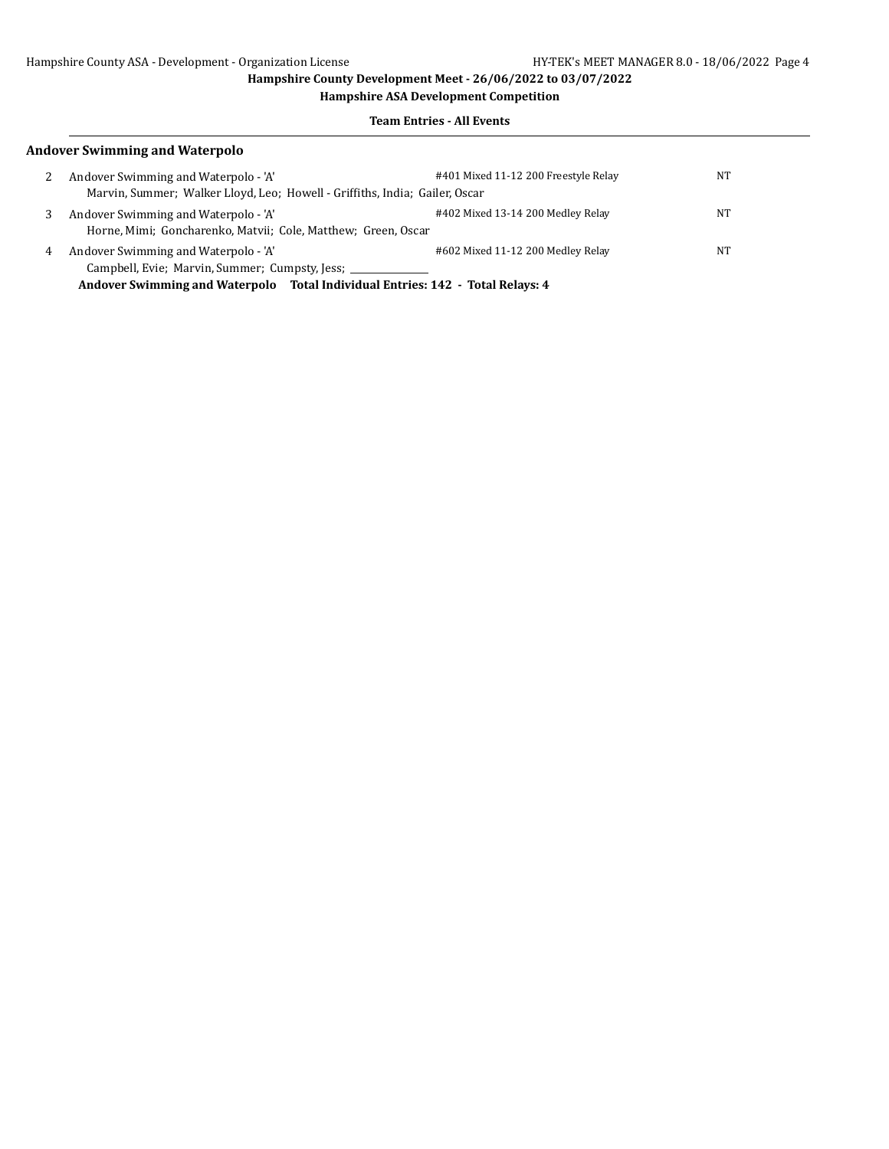**Hampshire ASA Development Competition**

### **Team Entries - All Events**

## **Andover Swimming and Waterpolo**

| 2 | Andover Swimming and Waterpolo - 'A'<br>Marvin, Summer; Walker Lloyd, Leo; Howell - Griffiths, India; Gailer, Oscar | #401 Mixed 11-12 200 Freestyle Relay | <b>NT</b> |
|---|---------------------------------------------------------------------------------------------------------------------|--------------------------------------|-----------|
| 3 | Andover Swimming and Waterpolo - 'A'<br>Horne, Mimi; Goncharenko, Matvii; Cole, Matthew; Green, Oscar               | #402 Mixed 13-14 200 Medley Relay    | NT        |
| 4 | Andover Swimming and Waterpolo - 'A'                                                                                | #602 Mixed 11-12 200 Medley Relay    | NT        |
|   | Campbell, Evie; Marvin, Summer; Cumpsty, Jess; _____________                                                        |                                      |           |
|   | Andover Swimming and Waterpolo Total Individual Entries: 142 - Total Relays: 4                                      |                                      |           |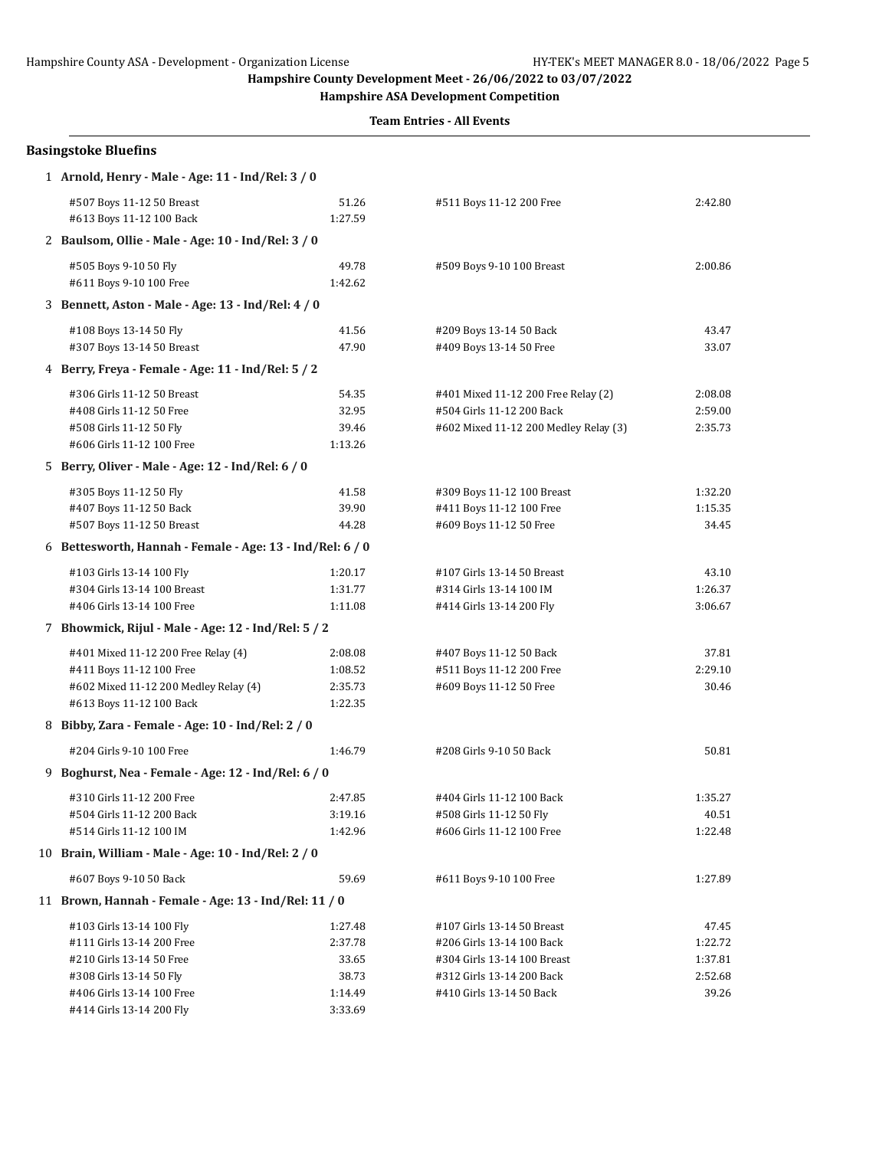**Hampshire ASA Development Competition**

| 2:42.80                                         |
|-------------------------------------------------|
|                                                 |
| 2:00.86                                         |
|                                                 |
| 43.47<br>33.07                                  |
|                                                 |
| 2:08.08<br>2:59.00<br>2:35.73                   |
|                                                 |
| 1:32.20<br>1:15.35<br>34.45                     |
|                                                 |
| 43.10<br>1:26.37<br>3:06.67                     |
|                                                 |
| 37.81<br>2:29.10<br>30.46                       |
|                                                 |
| 50.81                                           |
|                                                 |
| 1:35.27<br>40.51<br>1:22.48                     |
|                                                 |
| 1:27.89                                         |
|                                                 |
| 47.45<br>1:22.72<br>1:37.81<br>2:52.68<br>39.26 |
|                                                 |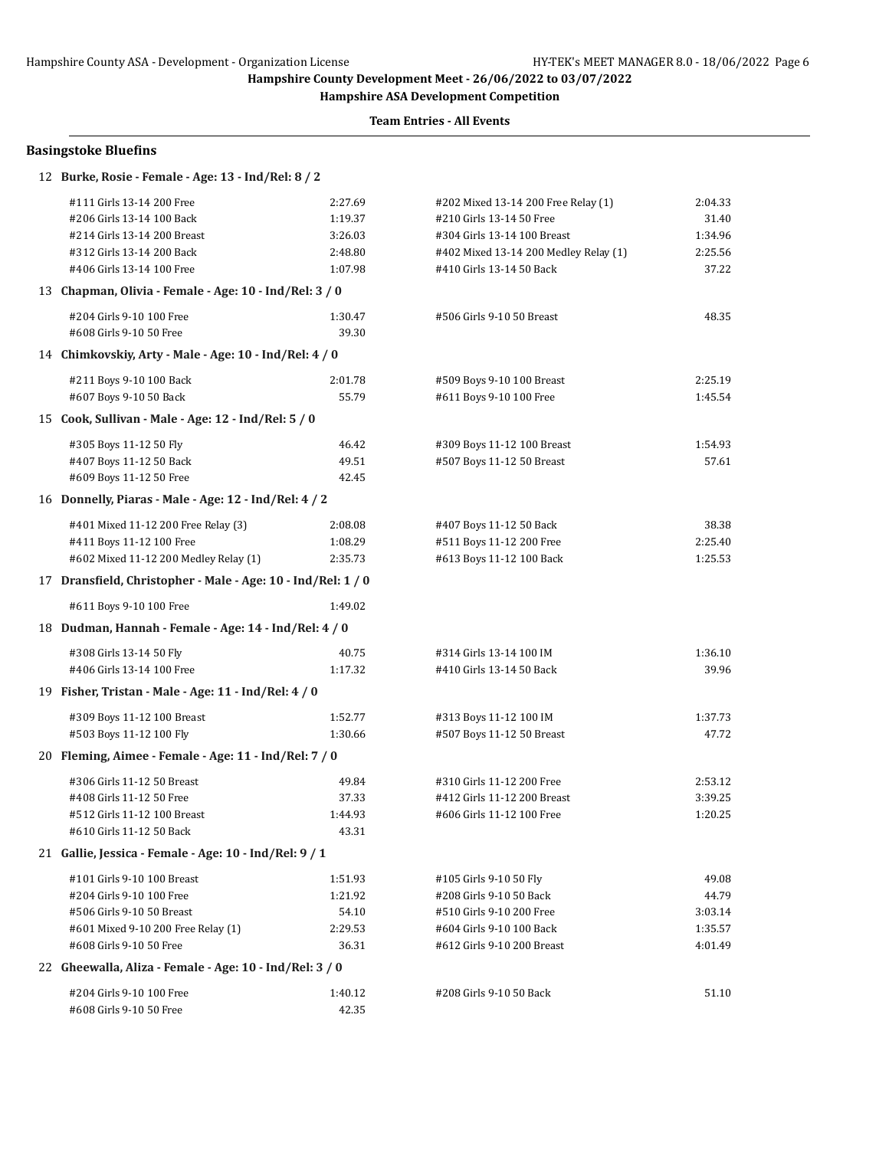**Hampshire ASA Development Competition**

**Team Entries - All Events**

### **Basingstoke Bluefins**

# 12 **Burke, Rosie - Female - Age: 13 - Ind/Rel: 8 / 2**

| #111 Girls 13-14 200 Free                                    | 2:27.69 | #202 Mixed 13-14 200 Free Relay (1)   | 2:04.33 |
|--------------------------------------------------------------|---------|---------------------------------------|---------|
| #206 Girls 13-14 100 Back                                    | 1:19.37 | #210 Girls 13-14 50 Free              | 31.40   |
| #214 Girls 13-14 200 Breast                                  | 3:26.03 | #304 Girls 13-14 100 Breast           | 1:34.96 |
| #312 Girls 13-14 200 Back                                    | 2:48.80 | #402 Mixed 13-14 200 Medley Relay (1) | 2:25.56 |
| #406 Girls 13-14 100 Free                                    | 1:07.98 | #410 Girls 13-14 50 Back              | 37.22   |
| 13 Chapman, Olivia - Female - Age: 10 - Ind/Rel: 3 / 0       |         |                                       |         |
| #204 Girls 9-10 100 Free                                     | 1:30.47 | #506 Girls 9-10 50 Breast             | 48.35   |
| #608 Girls 9-10 50 Free                                      | 39.30   |                                       |         |
| 14 Chimkovskiy, Arty - Male - Age: 10 - Ind/Rel: 4 / 0       |         |                                       |         |
| #211 Boys 9-10 100 Back                                      | 2:01.78 | #509 Boys 9-10 100 Breast             | 2:25.19 |
| #607 Boys 9-10 50 Back                                       | 55.79   | #611 Boys 9-10 100 Free               | 1:45.54 |
| 15 Cook, Sullivan - Male - Age: 12 - Ind/Rel: 5 / 0          |         |                                       |         |
| #305 Boys 11-12 50 Fly                                       | 46.42   | #309 Boys 11-12 100 Breast            | 1:54.93 |
| #407 Boys 11-12 50 Back                                      | 49.51   | #507 Boys 11-12 50 Breast             | 57.61   |
| #609 Boys 11-12 50 Free                                      | 42.45   |                                       |         |
| 16 Donnelly, Piaras - Male - Age: 12 - Ind/Rel: 4 / 2        |         |                                       |         |
| #401 Mixed 11-12 200 Free Relay (3)                          | 2:08.08 | #407 Boys 11-12 50 Back               | 38.38   |
| #411 Boys 11-12 100 Free                                     | 1:08.29 | #511 Boys 11-12 200 Free              | 2:25.40 |
| #602 Mixed 11-12 200 Medley Relay (1)                        | 2:35.73 | #613 Boys 11-12 100 Back              | 1:25.53 |
| 17 Dransfield, Christopher - Male - Age: 10 - Ind/Rel: 1 / 0 |         |                                       |         |
| #611 Boys 9-10 100 Free                                      | 1:49.02 |                                       |         |
| 18 Dudman, Hannah - Female - Age: 14 - Ind/Rel: 4 / 0        |         |                                       |         |
| #308 Girls 13-14 50 Fly                                      | 40.75   | #314 Girls 13-14 100 IM               | 1:36.10 |
| #406 Girls 13-14 100 Free                                    | 1:17.32 | #410 Girls 13-14 50 Back              | 39.96   |
| 19 Fisher, Tristan - Male - Age: 11 - Ind/Rel: 4 / 0         |         |                                       |         |
| #309 Boys 11-12 100 Breast                                   | 1:52.77 | #313 Boys 11-12 100 IM                | 1:37.73 |
| #503 Boys 11-12 100 Fly                                      | 1:30.66 | #507 Boys 11-12 50 Breast             | 47.72   |
| 20 Fleming, Aimee - Female - Age: 11 - Ind/Rel: 7 / 0        |         |                                       |         |
| #306 Girls 11-12 50 Breast                                   | 49.84   | #310 Girls 11-12 200 Free             | 2:53.12 |
| #408 Girls 11-12 50 Free                                     | 37.33   | #412 Girls 11-12 200 Breast           | 3:39.25 |
| #512 Girls 11-12 100 Breast                                  | 1:44.93 | #606 Girls 11-12 100 Free             | 1:20.25 |
| #610 Girls 11-12 50 Back                                     | 43.31   |                                       |         |
| 21 Gallie, Jessica - Female - Age: 10 - Ind/Rel: 9 / 1       |         |                                       |         |
| #101 Girls 9-10 100 Breast                                   | 1:51.93 | #105 Girls 9-10 50 Fly                | 49.08   |
| #204 Girls 9-10 100 Free                                     | 1:21.92 | #208 Girls 9-10 50 Back               | 44.79   |
| #506 Girls 9-10 50 Breast                                    | 54.10   | #510 Girls 9-10 200 Free              | 3:03.14 |
| #601 Mixed 9-10 200 Free Relay (1)                           | 2:29.53 | #604 Girls 9-10 100 Back              | 1:35.57 |
| #608 Girls 9-10 50 Free                                      | 36.31   | #612 Girls 9-10 200 Breast            | 4:01.49 |
| 22 Gheewalla, Aliza - Female - Age: 10 - Ind/Rel: 3 / 0      |         |                                       |         |
| #204 Girls 9-10 100 Free                                     | 1:40.12 | #208 Girls 9-10 50 Back               | 51.10   |
| #608 Girls 9-10 50 Free                                      | 42.35   |                                       |         |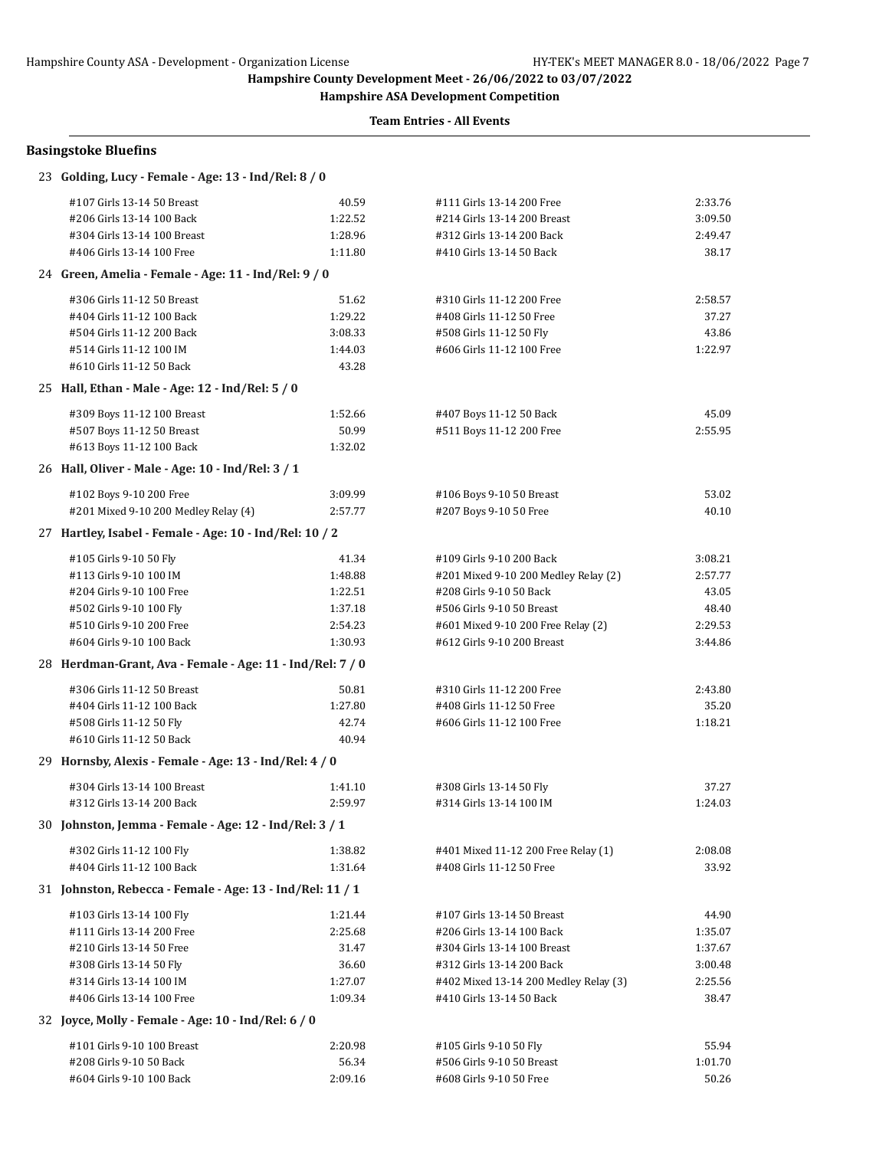**Hampshire ASA Development Competition**

| <b>Basingstoke Bluefins</b>                               |         |                                       |         |
|-----------------------------------------------------------|---------|---------------------------------------|---------|
| 23 Golding, Lucy - Female - Age: 13 - Ind/Rel: 8 / 0      |         |                                       |         |
| #107 Girls 13-14 50 Breast                                | 40.59   | #111 Girls 13-14 200 Free             | 2:33.76 |
| #206 Girls 13-14 100 Back                                 | 1:22.52 | #214 Girls 13-14 200 Breast           | 3:09.50 |
| #304 Girls 13-14 100 Breast                               | 1:28.96 | #312 Girls 13-14 200 Back             | 2:49.47 |
| #406 Girls 13-14 100 Free                                 | 1:11.80 | #410 Girls 13-14 50 Back              | 38.17   |
| 24 Green, Amelia - Female - Age: 11 - Ind/Rel: 9 / 0      |         |                                       |         |
| #306 Girls 11-12 50 Breast                                | 51.62   | #310 Girls 11-12 200 Free             | 2:58.57 |
| #404 Girls 11-12 100 Back                                 | 1:29.22 | #408 Girls 11-12 50 Free              | 37.27   |
| #504 Girls 11-12 200 Back                                 | 3:08.33 | #508 Girls 11-12 50 Fly               | 43.86   |
| #514 Girls 11-12 100 IM                                   | 1:44.03 | #606 Girls 11-12 100 Free             | 1:22.97 |
| #610 Girls 11-12 50 Back                                  | 43.28   |                                       |         |
| 25 Hall, Ethan - Male - Age: 12 - Ind/Rel: 5 / 0          |         |                                       |         |
| #309 Boys 11-12 100 Breast                                | 1:52.66 | #407 Boys 11-12 50 Back               | 45.09   |
| #507 Boys 11-12 50 Breast                                 | 50.99   | #511 Boys 11-12 200 Free              | 2:55.95 |
| #613 Boys 11-12 100 Back                                  | 1:32.02 |                                       |         |
| 26 Hall, Oliver - Male - Age: 10 - Ind/Rel: 3 / 1         |         |                                       |         |
| #102 Boys 9-10 200 Free                                   | 3:09.99 | #106 Boys 9-10 50 Breast              | 53.02   |
| #201 Mixed 9-10 200 Medley Relay (4)                      | 2:57.77 | #207 Boys 9-10 50 Free                | 40.10   |
| 27 Hartley, Isabel - Female - Age: 10 - Ind/Rel: 10 / 2   |         |                                       |         |
| #105 Girls 9-10 50 Fly                                    | 41.34   | #109 Girls 9-10 200 Back              | 3:08.21 |
| #113 Girls 9-10 100 IM                                    | 1:48.88 | #201 Mixed 9-10 200 Medley Relay (2)  | 2:57.77 |
| #204 Girls 9-10 100 Free                                  | 1:22.51 | #208 Girls 9-10 50 Back               | 43.05   |
| #502 Girls 9-10 100 Fly                                   | 1:37.18 | #506 Girls 9-10 50 Breast             | 48.40   |
| #510 Girls 9-10 200 Free                                  | 2:54.23 | #601 Mixed 9-10 200 Free Relay (2)    | 2:29.53 |
| #604 Girls 9-10 100 Back                                  | 1:30.93 | #612 Girls 9-10 200 Breast            | 3:44.86 |
| 28 Herdman-Grant, Ava - Female - Age: 11 - Ind/Rel: 7 / 0 |         |                                       |         |
| #306 Girls 11-12 50 Breast                                | 50.81   | #310 Girls 11-12 200 Free             | 2:43.80 |
| #404 Girls 11-12 100 Back                                 | 1:27.80 | #408 Girls 11-12 50 Free              | 35.20   |
| #508 Girls 11-12 50 Fly                                   | 42.74   | #606 Girls 11-12 100 Free             | 1:18.21 |
| #610 Girls 11-12 50 Back                                  | 40.94   |                                       |         |
| 29 Hornsby, Alexis - Female - Age: 13 - Ind/Rel: 4 / 0    |         |                                       |         |
| #304 Girls 13-14 100 Breast                               | 1:41.10 | #308 Girls 13-14 50 Fly               | 37.27   |
| #312 Girls 13-14 200 Back                                 | 2:59.97 | #314 Girls 13-14 100 IM               | 1:24.03 |
| 30 Johnston, Jemma - Female - Age: 12 - Ind/Rel: 3 / 1    |         |                                       |         |
| #302 Girls 11-12 100 Fly                                  | 1:38.82 | #401 Mixed 11-12 200 Free Relay (1)   | 2:08.08 |
| #404 Girls 11-12 100 Back                                 | 1:31.64 | #408 Girls 11-12 50 Free              | 33.92   |
| 31 Johnston, Rebecca - Female - Age: 13 - Ind/Rel: 11 / 1 |         |                                       |         |
| #103 Girls 13-14 100 Fly                                  | 1:21.44 | #107 Girls 13-14 50 Breast            | 44.90   |
| #111 Girls 13-14 200 Free                                 | 2:25.68 | #206 Girls 13-14 100 Back             | 1:35.07 |
| #210 Girls 13-14 50 Free                                  | 31.47   | #304 Girls 13-14 100 Breast           | 1:37.67 |
| #308 Girls 13-14 50 Fly                                   | 36.60   | #312 Girls 13-14 200 Back             | 3:00.48 |
| #314 Girls 13-14 100 IM                                   | 1:27.07 | #402 Mixed 13-14 200 Medley Relay (3) | 2:25.56 |
| #406 Girls 13-14 100 Free                                 | 1:09.34 | #410 Girls 13-14 50 Back              | 38.47   |
| 32 Joyce, Molly - Female - Age: 10 - Ind/Rel: 6 / 0       |         |                                       |         |
| #101 Girls 9-10 100 Breast                                | 2:20.98 | #105 Girls 9-10 50 Fly                | 55.94   |
| #208 Girls 9-10 50 Back                                   | 56.34   | #506 Girls 9-10 50 Breast             | 1:01.70 |
| #604 Girls 9-10 100 Back                                  | 2:09.16 | #608 Girls 9-10 50 Free               | 50.26   |
|                                                           |         |                                       |         |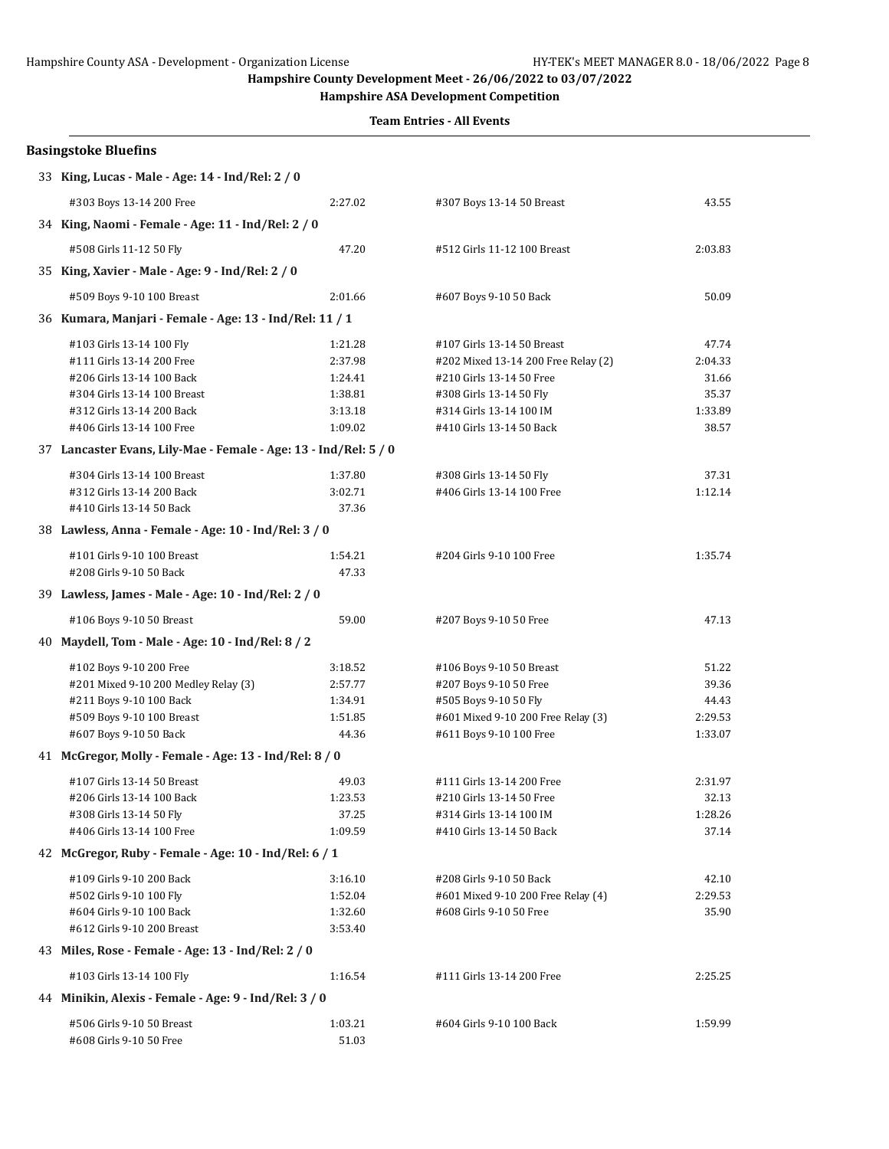**Hampshire ASA Development Competition**

|    | <b>Basingstoke Bluefins</b>                                      |                    |                                                                   |                  |
|----|------------------------------------------------------------------|--------------------|-------------------------------------------------------------------|------------------|
|    | 33 King, Lucas - Male - Age: 14 - Ind/Rel: 2 / 0                 |                    |                                                                   |                  |
|    | #303 Boys 13-14 200 Free                                         | 2:27.02            | #307 Boys 13-14 50 Breast                                         | 43.55            |
|    | 34 King, Naomi - Female - Age: 11 - Ind/Rel: 2 / 0               |                    |                                                                   |                  |
|    | #508 Girls 11-12 50 Fly                                          | 47.20              | #512 Girls 11-12 100 Breast                                       | 2:03.83          |
|    | 35 King, Xavier - Male - Age: 9 - Ind/Rel: 2 / 0                 |                    |                                                                   |                  |
|    | #509 Boys 9-10 100 Breast                                        | 2:01.66            | #607 Boys 9-10 50 Back                                            | 50.09            |
|    | 36 Kumara, Manjari - Female - Age: 13 - Ind/Rel: 11 / 1          |                    |                                                                   |                  |
|    |                                                                  |                    |                                                                   |                  |
|    | #103 Girls 13-14 100 Fly<br>#111 Girls 13-14 200 Free            | 1:21.28<br>2:37.98 | #107 Girls 13-14 50 Breast<br>#202 Mixed 13-14 200 Free Relay (2) | 47.74<br>2:04.33 |
|    | #206 Girls 13-14 100 Back                                        | 1:24.41            | #210 Girls 13-14 50 Free                                          | 31.66            |
|    | #304 Girls 13-14 100 Breast                                      | 1:38.81            | #308 Girls 13-14 50 Fly                                           | 35.37            |
|    | #312 Girls 13-14 200 Back                                        | 3:13.18            | #314 Girls 13-14 100 IM                                           | 1:33.89          |
|    | #406 Girls 13-14 100 Free                                        | 1:09.02            | #410 Girls 13-14 50 Back                                          | 38.57            |
|    | 37 Lancaster Evans, Lily-Mae - Female - Age: 13 - Ind/Rel: 5 / 0 |                    |                                                                   |                  |
|    |                                                                  |                    |                                                                   |                  |
|    | #304 Girls 13-14 100 Breast                                      | 1:37.80            | #308 Girls 13-14 50 Fly                                           | 37.31            |
|    | #312 Girls 13-14 200 Back                                        | 3:02.71            | #406 Girls 13-14 100 Free                                         | 1:12.14          |
|    | #410 Girls 13-14 50 Back                                         | 37.36              |                                                                   |                  |
|    | 38 Lawless, Anna - Female - Age: 10 - Ind/Rel: 3 / 0             |                    |                                                                   |                  |
|    | #101 Girls 9-10 100 Breast                                       | 1:54.21            | #204 Girls 9-10 100 Free                                          | 1:35.74          |
|    | #208 Girls 9-10 50 Back                                          | 47.33              |                                                                   |                  |
|    | 39 Lawless, James - Male - Age: 10 - Ind/Rel: 2 / 0              |                    |                                                                   |                  |
|    | #106 Boys 9-10 50 Breast                                         | 59.00              | #207 Boys 9-10 50 Free                                            | 47.13            |
| 40 | Maydell, Tom - Male - Age: 10 - Ind/Rel: 8 / 2                   |                    |                                                                   |                  |
|    | #102 Boys 9-10 200 Free                                          | 3:18.52            | #106 Boys 9-10 50 Breast                                          | 51.22            |
|    | #201 Mixed 9-10 200 Medley Relay (3)                             | 2:57.77            | #207 Boys 9-10 50 Free                                            | 39.36            |
|    | #211 Boys 9-10 100 Back                                          | 1:34.91            | #505 Boys 9-10 50 Fly                                             | 44.43            |
|    | #509 Boys 9-10 100 Breast                                        | 1:51.85            | #601 Mixed 9-10 200 Free Relay (3)                                | 2:29.53          |
|    | #607 Boys 9-10 50 Back                                           | 44.36              | #611 Boys 9-10 100 Free                                           | 1:33.07          |
|    | 41 McGregor, Molly - Female - Age: 13 - Ind/Rel: 8 / 0           |                    |                                                                   |                  |
|    | #107 Girls 13-14 50 Breast                                       | 49.03              | #111 Girls 13-14 200 Free                                         | 2:31.97          |
|    | #206 Girls 13-14 100 Back                                        | 1:23.53            | #210 Girls 13-14 50 Free                                          | 32.13            |
|    | #308 Girls 13-14 50 Fly                                          | 37.25              | #314 Girls 13-14 100 IM                                           | 1:28.26          |
|    | #406 Girls 13-14 100 Free                                        | 1:09.59            | #410 Girls 13-14 50 Back                                          | 37.14            |
|    | 42 McGregor, Ruby - Female - Age: 10 - Ind/Rel: 6 / 1            |                    |                                                                   |                  |
|    | #109 Girls 9-10 200 Back                                         | 3:16.10            | #208 Girls 9-10 50 Back                                           | 42.10            |
|    | #502 Girls 9-10 100 Fly                                          | 1:52.04            | #601 Mixed 9-10 200 Free Relay (4)                                | 2:29.53          |
|    | #604 Girls 9-10 100 Back                                         | 1:32.60            | #608 Girls 9-10 50 Free                                           | 35.90            |
|    | #612 Girls 9-10 200 Breast                                       | 3:53.40            |                                                                   |                  |
|    | 43 Miles, Rose - Female - Age: 13 - Ind/Rel: 2 / 0               |                    |                                                                   |                  |
|    | #103 Girls 13-14 100 Fly                                         | 1:16.54            | #111 Girls 13-14 200 Free                                         | 2:25.25          |
|    | 44 Minikin, Alexis - Female - Age: 9 - Ind/Rel: 3 / 0            |                    |                                                                   |                  |
|    |                                                                  |                    |                                                                   |                  |
|    | #506 Girls 9-10 50 Breast                                        | 1:03.21            | #604 Girls 9-10 100 Back                                          | 1:59.99          |
|    | #608 Girls 9-10 50 Free                                          | 51.03              |                                                                   |                  |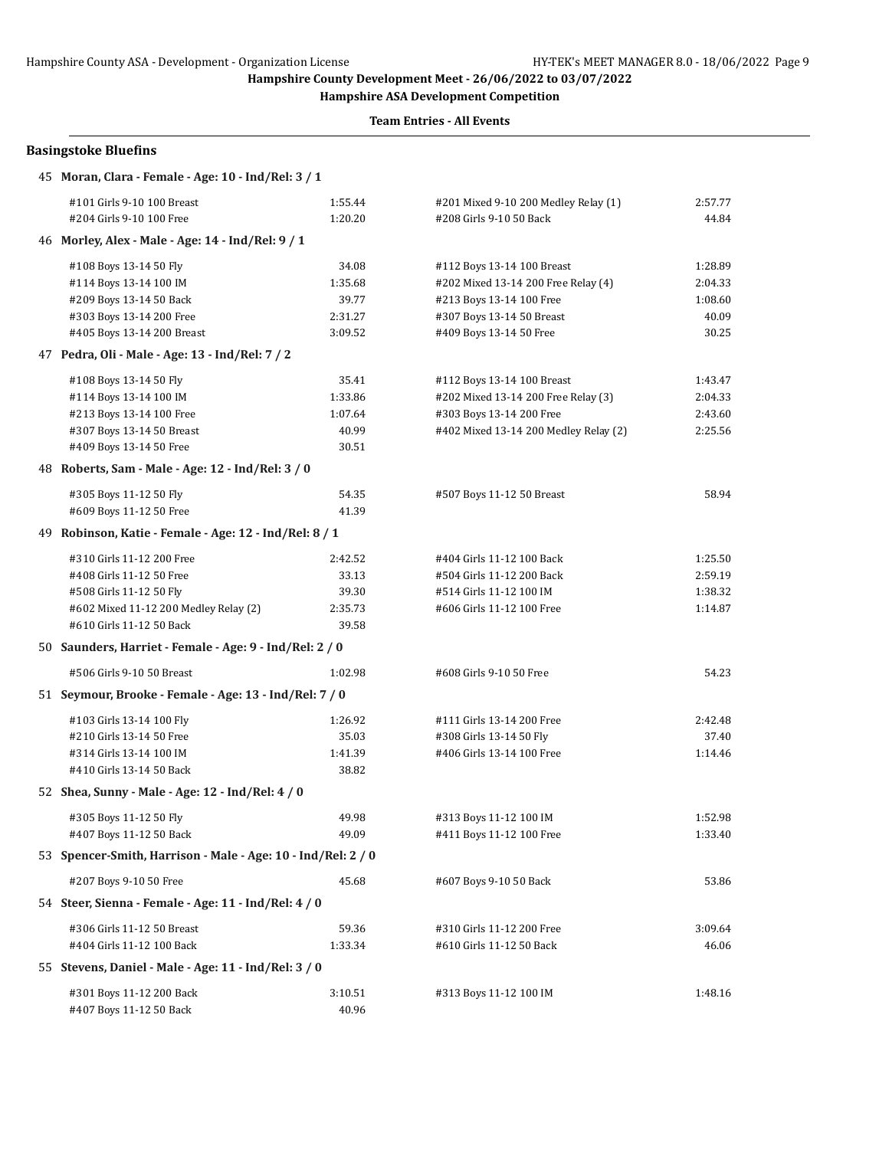**Hampshire ASA Development Competition**

| <b>Basingstoke Bluefins</b>                                  |         |                                       |         |
|--------------------------------------------------------------|---------|---------------------------------------|---------|
| 45 Moran, Clara - Female - Age: 10 - Ind/Rel: 3 / 1          |         |                                       |         |
| #101 Girls 9-10 100 Breast                                   | 1:55.44 | #201 Mixed 9-10 200 Medley Relay (1)  | 2:57.77 |
| #204 Girls 9-10 100 Free                                     | 1:20.20 | #208 Girls 9-10 50 Back               | 44.84   |
| 46 Morley, Alex - Male - Age: 14 - Ind/Rel: 9 / 1            |         |                                       |         |
| #108 Boys 13-14 50 Fly                                       | 34.08   | #112 Boys 13-14 100 Breast            | 1:28.89 |
| #114 Boys 13-14 100 IM                                       | 1:35.68 | #202 Mixed 13-14 200 Free Relay (4)   | 2:04.33 |
| #209 Boys 13-14 50 Back                                      | 39.77   | #213 Boys 13-14 100 Free              | 1:08.60 |
| #303 Boys 13-14 200 Free                                     | 2:31.27 | #307 Boys 13-14 50 Breast             | 40.09   |
| #405 Boys 13-14 200 Breast                                   | 3:09.52 | #409 Boys 13-14 50 Free               | 30.25   |
| 47 Pedra, Oli - Male - Age: 13 - Ind/Rel: 7 / 2              |         |                                       |         |
| #108 Boys 13-14 50 Fly                                       | 35.41   | #112 Boys 13-14 100 Breast            | 1:43.47 |
| #114 Boys 13-14 100 IM                                       | 1:33.86 | #202 Mixed 13-14 200 Free Relay (3)   | 2:04.33 |
| #213 Boys 13-14 100 Free                                     | 1:07.64 | #303 Boys 13-14 200 Free              | 2:43.60 |
| #307 Boys 13-14 50 Breast                                    | 40.99   | #402 Mixed 13-14 200 Medley Relay (2) | 2:25.56 |
| #409 Boys 13-14 50 Free                                      | 30.51   |                                       |         |
| 48 Roberts, Sam - Male - Age: 12 - Ind/Rel: 3 / 0            |         |                                       |         |
| #305 Boys 11-12 50 Fly                                       | 54.35   | #507 Boys 11-12 50 Breast             | 58.94   |
| #609 Boys 11-12 50 Free                                      | 41.39   |                                       |         |
| 49 Robinson, Katie - Female - Age: 12 - Ind/Rel: 8 / 1       |         |                                       |         |
| #310 Girls 11-12 200 Free                                    | 2:42.52 | #404 Girls 11-12 100 Back             | 1:25.50 |
| #408 Girls 11-12 50 Free                                     | 33.13   | #504 Girls 11-12 200 Back             | 2:59.19 |
| #508 Girls 11-12 50 Fly                                      | 39.30   | #514 Girls 11-12 100 IM               | 1:38.32 |
| #602 Mixed 11-12 200 Medley Relay (2)                        | 2:35.73 | #606 Girls 11-12 100 Free             | 1:14.87 |
| #610 Girls 11-12 50 Back                                     | 39.58   |                                       |         |
| 50 Saunders, Harriet - Female - Age: 9 - Ind/Rel: 2 / 0      |         |                                       |         |
| #506 Girls 9-10 50 Breast                                    | 1:02.98 | #608 Girls 9-10 50 Free               | 54.23   |
| 51 Seymour, Brooke - Female - Age: 13 - Ind/Rel: 7 / 0       |         |                                       |         |
| #103 Girls 13-14 100 Fly                                     | 1:26.92 | #111 Girls 13-14 200 Free             | 2:42.48 |
| #210 Girls 13-14 50 Free                                     | 35.03   | #308 Girls 13-14 50 Fly               | 37.40   |
| #314 Girls 13-14 100 IM                                      | 1:41.39 | #406 Girls 13-14 100 Free             | 1:14.46 |
| #410 Girls 13-14 50 Back                                     | 38.82   |                                       |         |
| 52 Shea, Sunny - Male - Age: 12 - Ind/Rel: 4 / 0             |         |                                       |         |
| #305 Boys 11-12 50 Fly                                       | 49.98   | #313 Boys 11-12 100 IM                | 1:52.98 |
| #407 Boys 11-12 50 Back                                      | 49.09   | #411 Boys 11-12 100 Free              | 1:33.40 |
| 53 Spencer-Smith, Harrison - Male - Age: 10 - Ind/Rel: 2 / 0 |         |                                       |         |
| #207 Boys 9-10 50 Free                                       | 45.68   | #607 Boys 9-10 50 Back                | 53.86   |
| 54 Steer, Sienna - Female - Age: 11 - Ind/Rel: 4 / 0         |         |                                       |         |
| #306 Girls 11-12 50 Breast                                   | 59.36   | #310 Girls 11-12 200 Free             | 3:09.64 |
| #404 Girls 11-12 100 Back                                    | 1:33.34 | #610 Girls 11-12 50 Back              | 46.06   |
| 55 Stevens, Daniel - Male - Age: 11 - Ind/Rel: 3 / 0         |         |                                       |         |
| #301 Boys 11-12 200 Back                                     | 3:10.51 | #313 Boys 11-12 100 IM                | 1:48.16 |
| #407 Boys 11-12 50 Back                                      | 40.96   |                                       |         |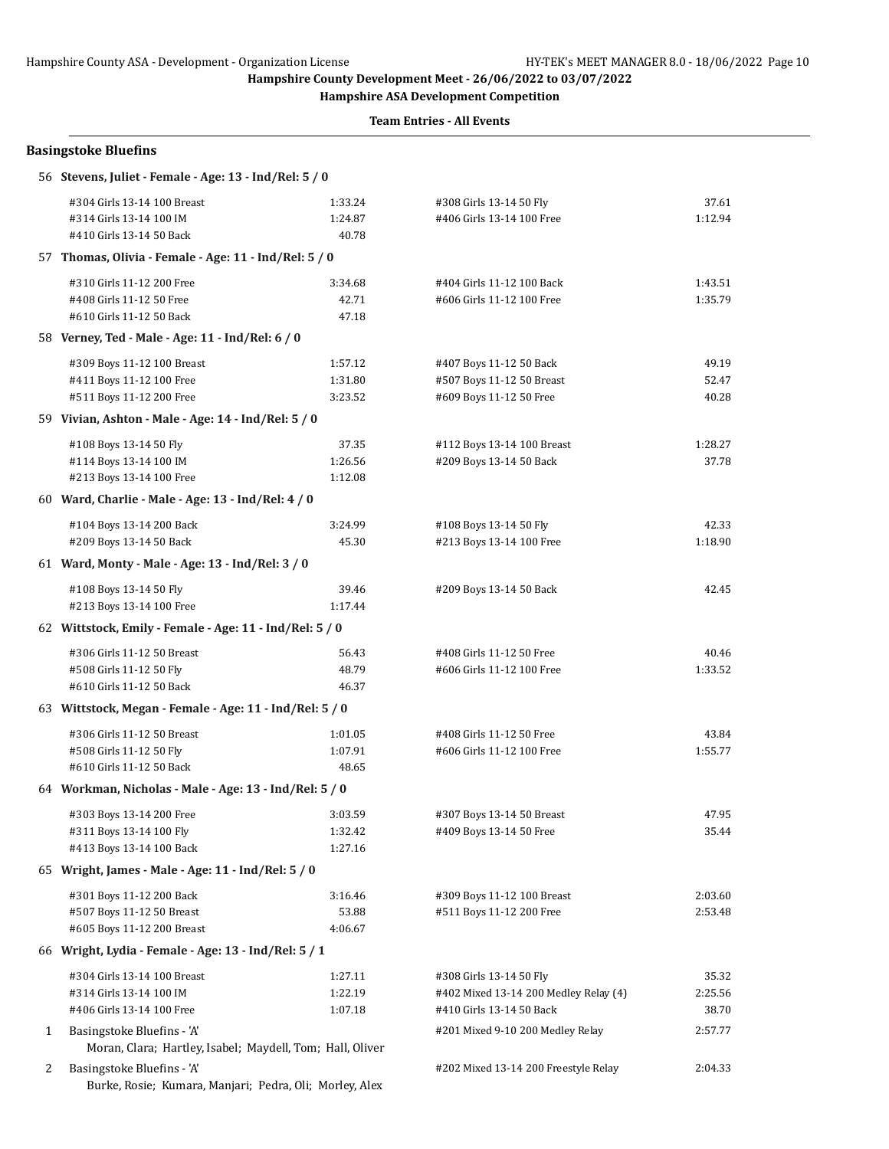**Hampshire ASA Development Competition**

|              | <b>Basingstoke Bluefins</b>                               |                    |                                                       |                  |
|--------------|-----------------------------------------------------------|--------------------|-------------------------------------------------------|------------------|
|              | 56 Stevens, Juliet - Female - Age: 13 - Ind/Rel: 5 / 0    |                    |                                                       |                  |
|              | #304 Girls 13-14 100 Breast                               | 1:33.24            | #308 Girls 13-14 50 Fly                               | 37.61            |
|              | #314 Girls 13-14 100 IM                                   | 1:24.87            | #406 Girls 13-14 100 Free                             | 1:12.94          |
|              | #410 Girls 13-14 50 Back                                  | 40.78              |                                                       |                  |
|              | 57 Thomas, Olivia - Female - Age: 11 - Ind/Rel: 5 / 0     |                    |                                                       |                  |
|              | #310 Girls 11-12 200 Free                                 | 3:34.68            | #404 Girls 11-12 100 Back                             | 1:43.51          |
|              | #408 Girls 11-12 50 Free                                  | 42.71              | #606 Girls 11-12 100 Free                             | 1:35.79          |
|              | #610 Girls 11-12 50 Back                                  | 47.18              |                                                       |                  |
|              | 58 Verney, Ted - Male - Age: 11 - Ind/Rel: 6 / 0          |                    |                                                       |                  |
|              | #309 Boys 11-12 100 Breast                                | 1:57.12            | #407 Boys 11-12 50 Back                               | 49.19            |
|              | #411 Boys 11-12 100 Free                                  | 1:31.80            | #507 Boys 11-12 50 Breast                             | 52.47            |
|              | #511 Boys 11-12 200 Free                                  | 3:23.52            | #609 Boys 11-12 50 Free                               | 40.28            |
|              | 59 Vivian, Ashton - Male - Age: 14 - Ind/Rel: 5 / 0       |                    |                                                       |                  |
|              | #108 Boys 13-14 50 Fly                                    | 37.35              | #112 Boys 13-14 100 Breast                            | 1:28.27          |
|              | #114 Boys 13-14 100 IM                                    | 1:26.56            | #209 Boys 13-14 50 Back                               | 37.78            |
|              | #213 Boys 13-14 100 Free                                  | 1:12.08            |                                                       |                  |
|              | 60 Ward, Charlie - Male - Age: 13 - Ind/Rel: 4 / 0        |                    |                                                       |                  |
|              | #104 Boys 13-14 200 Back                                  | 3:24.99            | #108 Boys 13-14 50 Fly                                | 42.33            |
|              | #209 Boys 13-14 50 Back                                   | 45.30              | #213 Boys 13-14 100 Free                              | 1:18.90          |
|              | 61 Ward, Monty - Male - Age: 13 - Ind/Rel: 3 / 0          |                    |                                                       |                  |
|              | #108 Boys 13-14 50 Fly                                    | 39.46              | #209 Boys 13-14 50 Back                               | 42.45            |
|              | #213 Boys 13-14 100 Free                                  | 1:17.44            |                                                       |                  |
|              | 62 Wittstock, Emily - Female - Age: 11 - Ind/Rel: 5 / 0   |                    |                                                       |                  |
|              |                                                           |                    |                                                       |                  |
|              | #306 Girls 11-12 50 Breast<br>#508 Girls 11-12 50 Fly     | 56.43<br>48.79     | #408 Girls 11-12 50 Free<br>#606 Girls 11-12 100 Free | 40.46<br>1:33.52 |
|              | #610 Girls 11-12 50 Back                                  | 46.37              |                                                       |                  |
|              | 63 Wittstock, Megan - Female - Age: 11 - Ind/Rel: 5 / 0   |                    |                                                       |                  |
|              |                                                           |                    |                                                       |                  |
|              | #306 Girls 11-12 50 Breast<br>#508 Girls 11-12 50 Fly     | 1:01.05<br>1:07.91 | #408 Girls 11-12 50 Free<br>#606 Girls 11-12 100 Free | 43.84<br>1:55.77 |
|              | #610 Girls 11-12 50 Back                                  | 48.65              |                                                       |                  |
|              | 64 Workman, Nicholas - Male - Age: 13 - Ind/Rel: 5 / 0    |                    |                                                       |                  |
|              | #303 Boys 13-14 200 Free                                  | 3:03.59            | #307 Boys 13-14 50 Breast                             | 47.95            |
|              | #311 Boys 13-14 100 Fly                                   | 1:32.42            | #409 Boys 13-14 50 Free                               | 35.44            |
|              | #413 Boys 13-14 100 Back                                  | 1:27.16            |                                                       |                  |
|              | 65 Wright, James - Male - Age: 11 - Ind/Rel: 5 / 0        |                    |                                                       |                  |
|              | #301 Boys 11-12 200 Back                                  | 3:16.46            | #309 Boys 11-12 100 Breast                            | 2:03.60          |
|              | #507 Boys 11-12 50 Breast                                 | 53.88              | #511 Boys 11-12 200 Free                              | 2:53.48          |
|              | #605 Boys 11-12 200 Breast                                | 4:06.67            |                                                       |                  |
|              | 66 Wright, Lydia - Female - Age: 13 - Ind/Rel: 5 / 1      |                    |                                                       |                  |
|              | #304 Girls 13-14 100 Breast                               | 1:27.11            | #308 Girls 13-14 50 Fly                               | 35.32            |
|              | #314 Girls 13-14 100 IM                                   | 1:22.19            | #402 Mixed 13-14 200 Medley Relay (4)                 | 2:25.56          |
|              | #406 Girls 13-14 100 Free                                 | 1:07.18            | #410 Girls 13-14 50 Back                              | 38.70            |
| $\mathbf{1}$ | Basingstoke Bluefins - 'A'                                |                    | #201 Mixed 9-10 200 Medley Relay                      | 2:57.77          |
|              | Moran, Clara; Hartley, Isabel; Maydell, Tom; Hall, Oliver |                    |                                                       |                  |
| 2            | Basingstoke Bluefins - 'A'                                |                    | #202 Mixed 13-14 200 Freestyle Relay                  | 2:04.33          |
|              | Burke, Rosie; Kumara, Manjari; Pedra, Oli; Morley, Alex   |                    |                                                       |                  |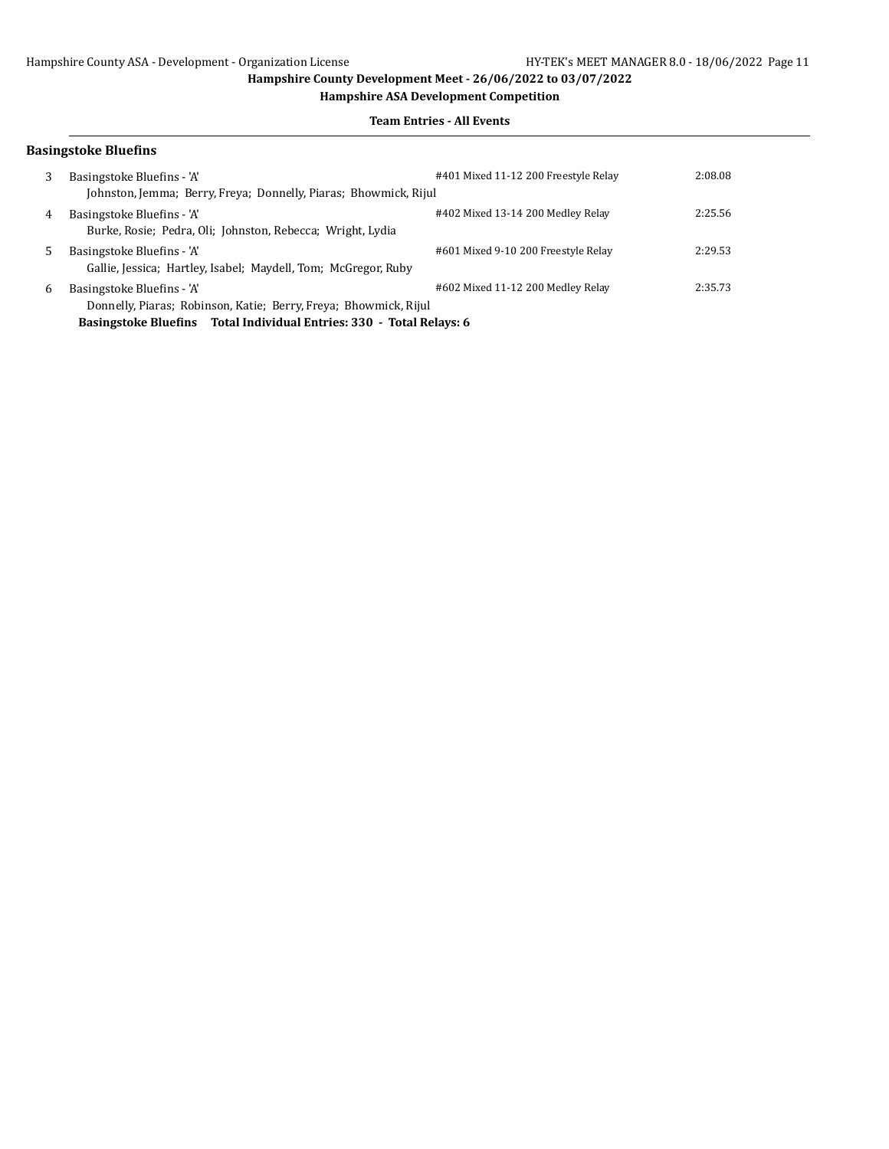**Hampshire ASA Development Competition**

### **Team Entries - All Events**

| <b>Basingstoke Bluefins</b>                                                                  |                                      |                                                                                                                                      |
|----------------------------------------------------------------------------------------------|--------------------------------------|--------------------------------------------------------------------------------------------------------------------------------------|
| Basingstoke Bluefins - 'A'                                                                   | #401 Mixed 11-12 200 Freestyle Relay | 2:08.08                                                                                                                              |
| Basingstoke Bluefins - 'A'<br>Burke, Rosie; Pedra, Oli; Johnston, Rebecca; Wright, Lydia     | #402 Mixed 13-14 200 Medley Relay    | 2:25.56                                                                                                                              |
| Basingstoke Bluefins - 'A'<br>Gallie, Jessica; Hartley, Isabel; Maydell, Tom; McGregor, Ruby | #601 Mixed 9-10 200 Freestyle Relay  | 2:29.53                                                                                                                              |
| Basingstoke Bluefins - 'A'                                                                   | #602 Mixed 11-12 200 Medley Relay    | 2:35.73                                                                                                                              |
|                                                                                              |                                      | Johnston, Jemma; Berry, Freya; Donnelly, Piaras; Bhowmick, Rijul<br>Donnelly, Piaras; Robinson, Katie; Berry, Freya; Bhowmick, Rijul |

**Basingstoke Bluefins Total Individual Entries: 330 - Total Relays: 6**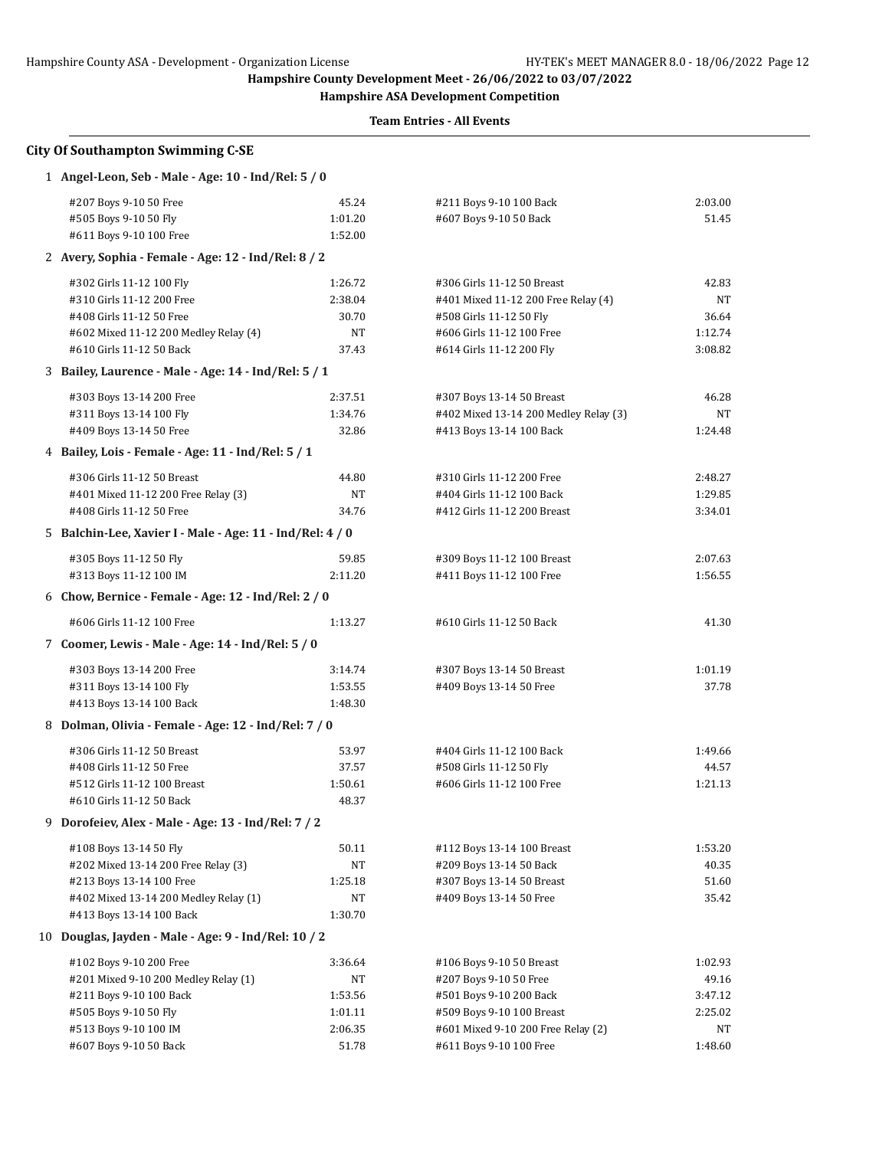**Hampshire ASA Development Competition**

| <b>City Of Southampton Swimming C-SE</b>                  |         |                                       |         |  |  |
|-----------------------------------------------------------|---------|---------------------------------------|---------|--|--|
| 1 Angel-Leon, Seb - Male - Age: 10 - Ind/Rel: 5 / 0       |         |                                       |         |  |  |
| #207 Boys 9-10 50 Free                                    | 45.24   | #211 Boys 9-10 100 Back               | 2:03.00 |  |  |
| #505 Boys 9-10 50 Fly                                     | 1:01.20 | #607 Boys 9-10 50 Back                | 51.45   |  |  |
| #611 Boys 9-10 100 Free                                   | 1:52.00 |                                       |         |  |  |
| 2 Avery, Sophia - Female - Age: 12 - Ind/Rel: 8 / 2       |         |                                       |         |  |  |
| #302 Girls 11-12 100 Fly                                  | 1:26.72 | #306 Girls 11-12 50 Breast            | 42.83   |  |  |
| #310 Girls 11-12 200 Free                                 | 2:38.04 | #401 Mixed 11-12 200 Free Relay (4)   | NT      |  |  |
| #408 Girls 11-12 50 Free                                  | 30.70   | #508 Girls 11-12 50 Fly               | 36.64   |  |  |
| #602 Mixed 11-12 200 Medley Relay (4)                     | NT      | #606 Girls 11-12 100 Free             | 1:12.74 |  |  |
| #610 Girls 11-12 50 Back                                  | 37.43   | #614 Girls 11-12 200 Fly              | 3:08.82 |  |  |
| 3 Bailey, Laurence - Male - Age: 14 - Ind/Rel: 5 / 1      |         |                                       |         |  |  |
| #303 Boys 13-14 200 Free                                  | 2:37.51 | #307 Boys 13-14 50 Breast             | 46.28   |  |  |
| #311 Boys 13-14 100 Fly                                   | 1:34.76 | #402 Mixed 13-14 200 Medley Relay (3) | NT      |  |  |
| #409 Boys 13-14 50 Free                                   | 32.86   | #413 Boys 13-14 100 Back              | 1:24.48 |  |  |
| 4 Bailey, Lois - Female - Age: 11 - Ind/Rel: 5 / 1        |         |                                       |         |  |  |
| #306 Girls 11-12 50 Breast                                | 44.80   | #310 Girls 11-12 200 Free             | 2:48.27 |  |  |
| #401 Mixed 11-12 200 Free Relay (3)                       | NΤ      | #404 Girls 11-12 100 Back             | 1:29.85 |  |  |
| #408 Girls 11-12 50 Free                                  | 34.76   | #412 Girls 11-12 200 Breast           | 3:34.01 |  |  |
| 5 Balchin-Lee, Xavier I - Male - Age: 11 - Ind/Rel: 4 / 0 |         |                                       |         |  |  |
| #305 Boys 11-12 50 Fly                                    | 59.85   | #309 Boys 11-12 100 Breast            | 2:07.63 |  |  |
| #313 Boys 11-12 100 IM                                    | 2:11.20 | #411 Boys 11-12 100 Free              | 1:56.55 |  |  |
|                                                           |         |                                       |         |  |  |
| 6 Chow, Bernice - Female - Age: 12 - Ind/Rel: 2 / 0       |         |                                       |         |  |  |
| #606 Girls 11-12 100 Free                                 | 1:13.27 | #610 Girls 11-12 50 Back              | 41.30   |  |  |
| 7 Coomer, Lewis - Male - Age: 14 - Ind/Rel: 5 / 0         |         |                                       |         |  |  |
| #303 Boys 13-14 200 Free                                  | 3:14.74 | #307 Boys 13-14 50 Breast             | 1:01.19 |  |  |
| #311 Boys 13-14 100 Fly                                   | 1:53.55 | #409 Boys 13-14 50 Free               | 37.78   |  |  |
| #413 Boys 13-14 100 Back                                  | 1:48.30 |                                       |         |  |  |
| 8 Dolman, Olivia - Female - Age: 12 - Ind/Rel: 7 / 0      |         |                                       |         |  |  |
| #306 Girls 11-12 50 Breast                                | 53.97   | #404 Girls 11-12 100 Back             | 1:49.66 |  |  |
| #408 Girls 11-12 50 Free                                  | 37.57   | #508 Girls 11-12 50 Fly               | 44.57   |  |  |
| #512 Girls 11-12 100 Breast                               | 1:50.61 | #606 Girls 11-12 100 Free             | 1:21.13 |  |  |
| #610 Girls 11-12 50 Back                                  | 48.37   |                                       |         |  |  |
| 9 Dorofeiev, Alex - Male - Age: 13 - Ind/Rel: 7 / 2       |         |                                       |         |  |  |
| #108 Boys 13-14 50 Fly                                    | 50.11   | #112 Boys 13-14 100 Breast            | 1:53.20 |  |  |
| #202 Mixed 13-14 200 Free Relay (3)                       | NΤ      | #209 Boys 13-14 50 Back               | 40.35   |  |  |
| #213 Boys 13-14 100 Free                                  | 1:25.18 | #307 Boys 13-14 50 Breast             | 51.60   |  |  |
| #402 Mixed 13-14 200 Medley Relay (1)                     | NT      | #409 Boys 13-14 50 Free               | 35.42   |  |  |
| #413 Boys 13-14 100 Back                                  | 1:30.70 |                                       |         |  |  |
| 10 Douglas, Jayden - Male - Age: 9 - Ind/Rel: 10 / 2      |         |                                       |         |  |  |
| #102 Boys 9-10 200 Free                                   | 3:36.64 | #106 Boys 9-10 50 Breast              | 1:02.93 |  |  |
| #201 Mixed 9-10 200 Medley Relay (1)                      | NΤ      | #207 Boys 9-10 50 Free                | 49.16   |  |  |
| #211 Boys 9-10 100 Back                                   | 1:53.56 | #501 Boys 9-10 200 Back               | 3:47.12 |  |  |
| #505 Boys 9-10 50 Fly                                     | 1:01.11 | #509 Boys 9-10 100 Breast             | 2:25.02 |  |  |
| #513 Boys 9-10 100 IM                                     | 2:06.35 | #601 Mixed 9-10 200 Free Relay (2)    | NT      |  |  |
| #607 Boys 9-10 50 Back                                    | 51.78   | #611 Boys 9-10 100 Free               | 1:48.60 |  |  |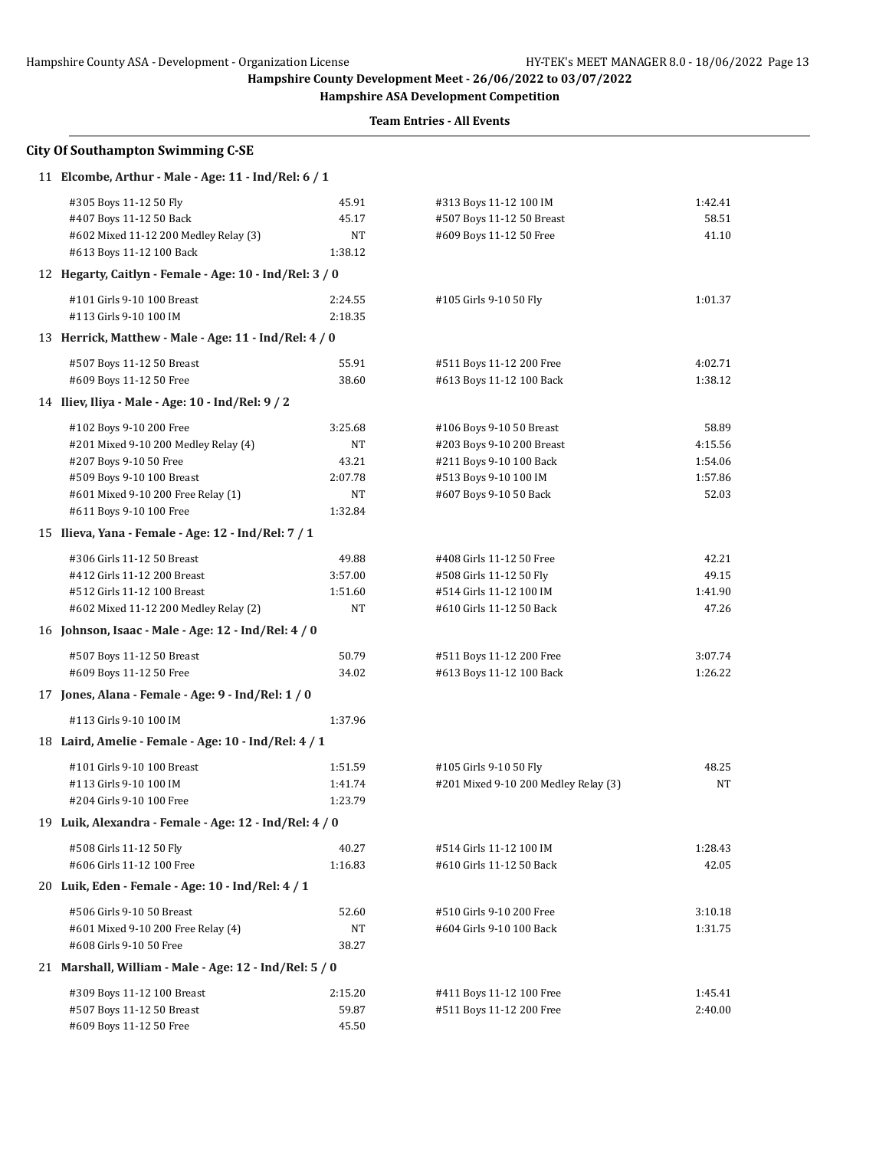**Hampshire ASA Development Competition**

| <b>City Of Southampton Swimming C-SE</b>                                                                                                                                                |                                                    |                                                                                                                                     |                                                 |
|-----------------------------------------------------------------------------------------------------------------------------------------------------------------------------------------|----------------------------------------------------|-------------------------------------------------------------------------------------------------------------------------------------|-------------------------------------------------|
| 11 Elcombe, Arthur - Male - Age: 11 - Ind/Rel: 6 / 1                                                                                                                                    |                                                    |                                                                                                                                     |                                                 |
| #305 Boys 11-12 50 Fly<br>#407 Boys 11-12 50 Back<br>#602 Mixed 11-12 200 Medley Relay (3)<br>#613 Boys 11-12 100 Back                                                                  | 45.91<br>45.17<br>NT<br>1:38.12                    | #313 Boys 11-12 100 IM<br>#507 Boys 11-12 50 Breast<br>#609 Boys 11-12 50 Free                                                      | 1:42.41<br>58.51<br>41.10                       |
| 12 Hegarty, Caitlyn - Female - Age: 10 - Ind/Rel: 3 / 0                                                                                                                                 |                                                    |                                                                                                                                     |                                                 |
| #101 Girls 9-10 100 Breast<br>#113 Girls 9-10 100 IM                                                                                                                                    | 2:24.55<br>2:18.35                                 | #105 Girls 9-10 50 Fly                                                                                                              | 1:01.37                                         |
| 13 Herrick, Matthew - Male - Age: 11 - Ind/Rel: 4 / 0                                                                                                                                   |                                                    |                                                                                                                                     |                                                 |
| #507 Boys 11-12 50 Breast<br>#609 Boys 11-12 50 Free                                                                                                                                    | 55.91<br>38.60                                     | #511 Boys 11-12 200 Free<br>#613 Boys 11-12 100 Back                                                                                | 4:02.71<br>1:38.12                              |
| 14 Iliev, Iliya - Male - Age: 10 - Ind/Rel: 9 / 2                                                                                                                                       |                                                    |                                                                                                                                     |                                                 |
| #102 Boys 9-10 200 Free<br>#201 Mixed 9-10 200 Medley Relay (4)<br>#207 Boys 9-10 50 Free<br>#509 Boys 9-10 100 Breast<br>#601 Mixed 9-10 200 Free Relay (1)<br>#611 Boys 9-10 100 Free | 3:25.68<br>NT<br>43.21<br>2:07.78<br>NT<br>1:32.84 | #106 Boys 9-10 50 Breast<br>#203 Boys 9-10 200 Breast<br>#211 Boys 9-10 100 Back<br>#513 Boys 9-10 100 IM<br>#607 Boys 9-10 50 Back | 58.89<br>4:15.56<br>1:54.06<br>1:57.86<br>52.03 |
| 15 Ilieva, Yana - Female - Age: 12 - Ind/Rel: 7 / 1                                                                                                                                     |                                                    |                                                                                                                                     |                                                 |
| #306 Girls 11-12 50 Breast<br>#412 Girls 11-12 200 Breast<br>#512 Girls 11-12 100 Breast<br>#602 Mixed 11-12 200 Medley Relay (2)                                                       | 49.88<br>3:57.00<br>1:51.60<br>NT                  | #408 Girls 11-12 50 Free<br>#508 Girls 11-12 50 Fly<br>#514 Girls 11-12 100 IM<br>#610 Girls 11-12 50 Back                          | 42.21<br>49.15<br>1:41.90<br>47.26              |
| 16 Johnson, Isaac - Male - Age: 12 - Ind/Rel: 4 / 0                                                                                                                                     |                                                    |                                                                                                                                     |                                                 |
| #507 Boys 11-12 50 Breast<br>#609 Boys 11-12 50 Free                                                                                                                                    | 50.79<br>34.02                                     | #511 Boys 11-12 200 Free<br>#613 Boys 11-12 100 Back                                                                                | 3:07.74<br>1:26.22                              |
| 17 Jones, Alana - Female - Age: 9 - Ind/Rel: 1 / 0                                                                                                                                      |                                                    |                                                                                                                                     |                                                 |
| #113 Girls 9-10 100 IM                                                                                                                                                                  | 1:37.96                                            |                                                                                                                                     |                                                 |
| 18 Laird, Amelie - Female - Age: 10 - Ind/Rel: 4 / 1                                                                                                                                    |                                                    |                                                                                                                                     |                                                 |
| #101 Girls 9-10 100 Breast<br>#113 Girls 9-10 100 IM<br>#204 Girls 9-10 100 Free                                                                                                        | 1:51.59<br>1:41.74<br>1:23.79                      | #105 Girls 9-10 50 Fly<br>#201 Mixed 9-10 200 Medley Relay (3)                                                                      | 48.25<br>NT                                     |
| 19 Luik, Alexandra - Female - Age: 12 - Ind/Rel: 4 / 0                                                                                                                                  |                                                    |                                                                                                                                     |                                                 |
| #508 Girls 11-12 50 Fly<br>#606 Girls 11-12 100 Free                                                                                                                                    | 40.27<br>1:16.83                                   | #514 Girls 11-12 100 IM<br>#610 Girls 11-12 50 Back                                                                                 | 1:28.43<br>42.05                                |
| 20 Luik, Eden - Female - Age: 10 - Ind/Rel: 4 / 1                                                                                                                                       |                                                    |                                                                                                                                     |                                                 |
| #506 Girls 9-10 50 Breast<br>#601 Mixed 9-10 200 Free Relay (4)<br>#608 Girls 9-10 50 Free                                                                                              | 52.60<br>NT<br>38.27                               | #510 Girls 9-10 200 Free<br>#604 Girls 9-10 100 Back                                                                                | 3:10.18<br>1:31.75                              |
| 21 Marshall, William - Male - Age: 12 - Ind/Rel: 5 / 0                                                                                                                                  |                                                    |                                                                                                                                     |                                                 |
| #309 Boys 11-12 100 Breast<br>#507 Boys 11-12 50 Breast<br>#609 Boys 11-12 50 Free                                                                                                      | 2:15.20<br>59.87<br>45.50                          | #411 Boys 11-12 100 Free<br>#511 Boys 11-12 200 Free                                                                                | 1:45.41<br>2:40.00                              |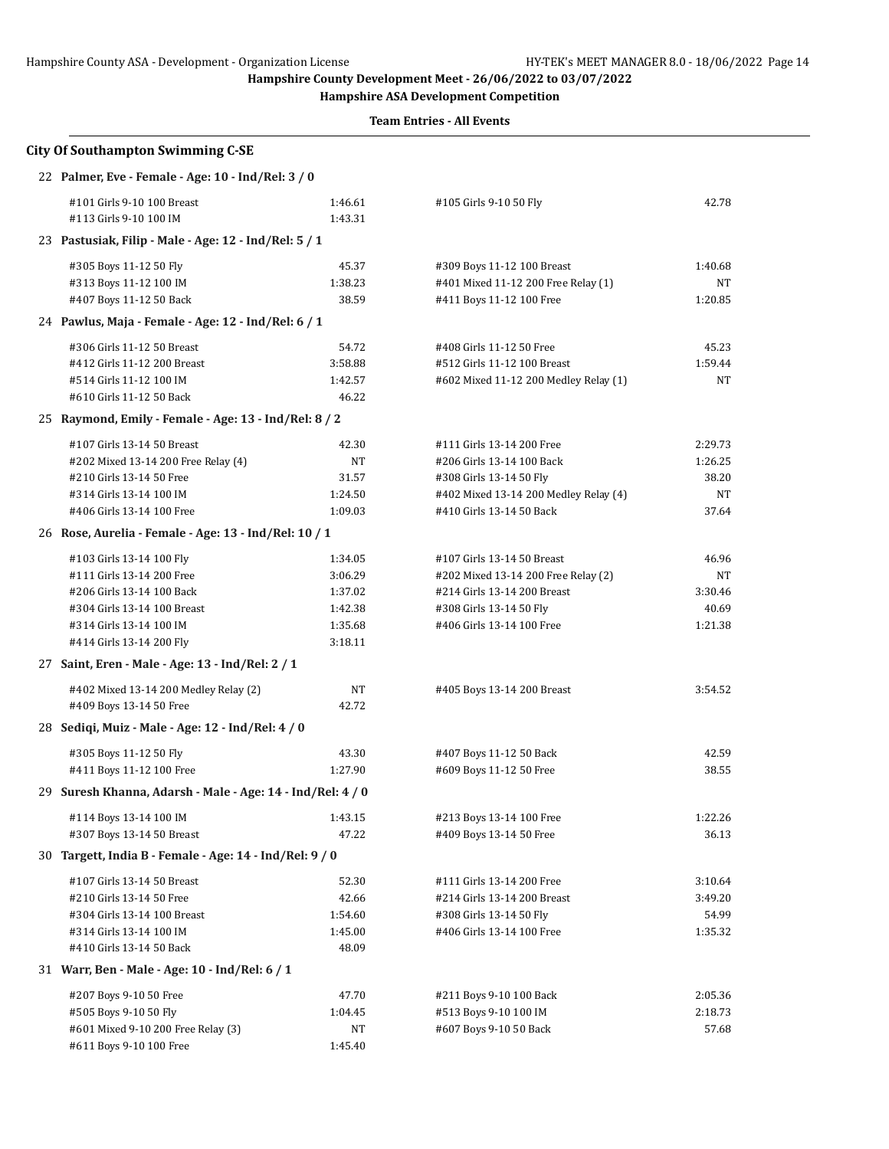**Hampshire ASA Development Competition**

| 22 Palmer, Eve - Female - Age: 10 - Ind/Rel: 3 / 0         |         |                                       |         |
|------------------------------------------------------------|---------|---------------------------------------|---------|
| #101 Girls 9-10 100 Breast                                 | 1:46.61 | #105 Girls 9-10 50 Fly                | 42.78   |
| #113 Girls 9-10 100 IM                                     | 1:43.31 |                                       |         |
| 23 Pastusiak, Filip - Male - Age: 12 - Ind/Rel: 5 / 1      |         |                                       |         |
| #305 Boys 11-12 50 Fly                                     | 45.37   | #309 Boys 11-12 100 Breast            | 1:40.68 |
| #313 Boys 11-12 100 IM                                     | 1:38.23 | #401 Mixed 11-12 200 Free Relay (1)   | NT      |
| #407 Boys 11-12 50 Back                                    | 38.59   | #411 Boys 11-12 100 Free              | 1:20.85 |
| 24 Pawlus, Maja - Female - Age: 12 - Ind/Rel: 6 / 1        |         |                                       |         |
| #306 Girls 11-12 50 Breast                                 | 54.72   | #408 Girls 11-12 50 Free              | 45.23   |
| #412 Girls 11-12 200 Breast                                | 3:58.88 | #512 Girls 11-12 100 Breast           | 1:59.44 |
| #514 Girls 11-12 100 IM                                    | 1:42.57 | #602 Mixed 11-12 200 Medley Relay (1) | NT      |
| #610 Girls 11-12 50 Back                                   | 46.22   |                                       |         |
| 25 Raymond, Emily - Female - Age: 13 - Ind/Rel: 8 / 2      |         |                                       |         |
| #107 Girls 13-14 50 Breast                                 | 42.30   | #111 Girls 13-14 200 Free             | 2:29.73 |
| #202 Mixed 13-14 200 Free Relay (4)                        | NΤ      | #206 Girls 13-14 100 Back             | 1:26.25 |
| #210 Girls 13-14 50 Free                                   | 31.57   | #308 Girls 13-14 50 Fly               | 38.20   |
| #314 Girls 13-14 100 IM                                    | 1:24.50 | #402 Mixed 13-14 200 Medley Relay (4) | NT      |
| #406 Girls 13-14 100 Free                                  | 1:09.03 | #410 Girls 13-14 50 Back              | 37.64   |
| 26 Rose, Aurelia - Female - Age: 13 - Ind/Rel: 10 / 1      |         |                                       |         |
| #103 Girls 13-14 100 Fly                                   | 1:34.05 | #107 Girls 13-14 50 Breast            | 46.96   |
| #111 Girls 13-14 200 Free                                  | 3:06.29 | #202 Mixed 13-14 200 Free Relay (2)   | NT      |
| #206 Girls 13-14 100 Back                                  | 1:37.02 | #214 Girls 13-14 200 Breast           | 3:30.46 |
| #304 Girls 13-14 100 Breast                                | 1:42.38 | #308 Girls 13-14 50 Fly               | 40.69   |
| #314 Girls 13-14 100 IM                                    | 1:35.68 | #406 Girls 13-14 100 Free             | 1:21.38 |
| #414 Girls 13-14 200 Fly                                   | 3:18.11 |                                       |         |
| 27 Saint, Eren - Male - Age: 13 - Ind/Rel: 2 / 1           |         |                                       |         |
| #402 Mixed 13-14 200 Medley Relay (2)                      | NΤ      | #405 Boys 13-14 200 Breast            | 3:54.52 |
| #409 Boys 13-14 50 Free                                    | 42.72   |                                       |         |
| 28 Sediqi, Muiz - Male - Age: 12 - Ind/Rel: 4 / 0          |         |                                       |         |
| #305 Boys 11-12 50 Fly                                     | 43.30   | #407 Boys 11-12 50 Back               | 42.59   |
| #411 Boys 11-12 100 Free                                   | 1:27.90 | #609 Boys 11-12 50 Free               | 38.55   |
| 29 Suresh Khanna, Adarsh - Male - Age: 14 - Ind/Rel: 4 / 0 |         |                                       |         |
| #114 Boys 13-14 100 IM                                     | 1:43.15 | #213 Boys 13-14 100 Free              | 1:22.26 |
| #307 Boys 13-14 50 Breast                                  | 47.22   | #409 Boys 13-14 50 Free               | 36.13   |
| 30 Targett, India B - Female - Age: 14 - Ind/Rel: 9 / 0    |         |                                       |         |
| #107 Girls 13-14 50 Breast                                 | 52.30   | #111 Girls 13-14 200 Free             | 3:10.64 |
| #210 Girls 13-14 50 Free                                   | 42.66   | #214 Girls 13-14 200 Breast           | 3:49.20 |
| #304 Girls 13-14 100 Breast                                | 1:54.60 | #308 Girls 13-14 50 Fly               | 54.99   |
| #314 Girls 13-14 100 IM                                    | 1:45.00 | #406 Girls 13-14 100 Free             | 1:35.32 |
| #410 Girls 13-14 50 Back                                   | 48.09   |                                       |         |
| 31 Warr, Ben - Male - Age: 10 - Ind/Rel: 6 / 1             |         |                                       |         |
| #207 Boys 9-10 50 Free                                     | 47.70   | #211 Boys 9-10 100 Back               | 2:05.36 |
| #505 Boys 9-10 50 Fly                                      | 1:04.45 | #513 Boys 9-10 100 IM                 | 2:18.73 |
| #601 Mixed 9-10 200 Free Relay (3)                         | NΤ      | #607 Boys 9-10 50 Back                | 57.68   |
| #611 Boys 9-10 100 Free                                    | 1:45.40 |                                       |         |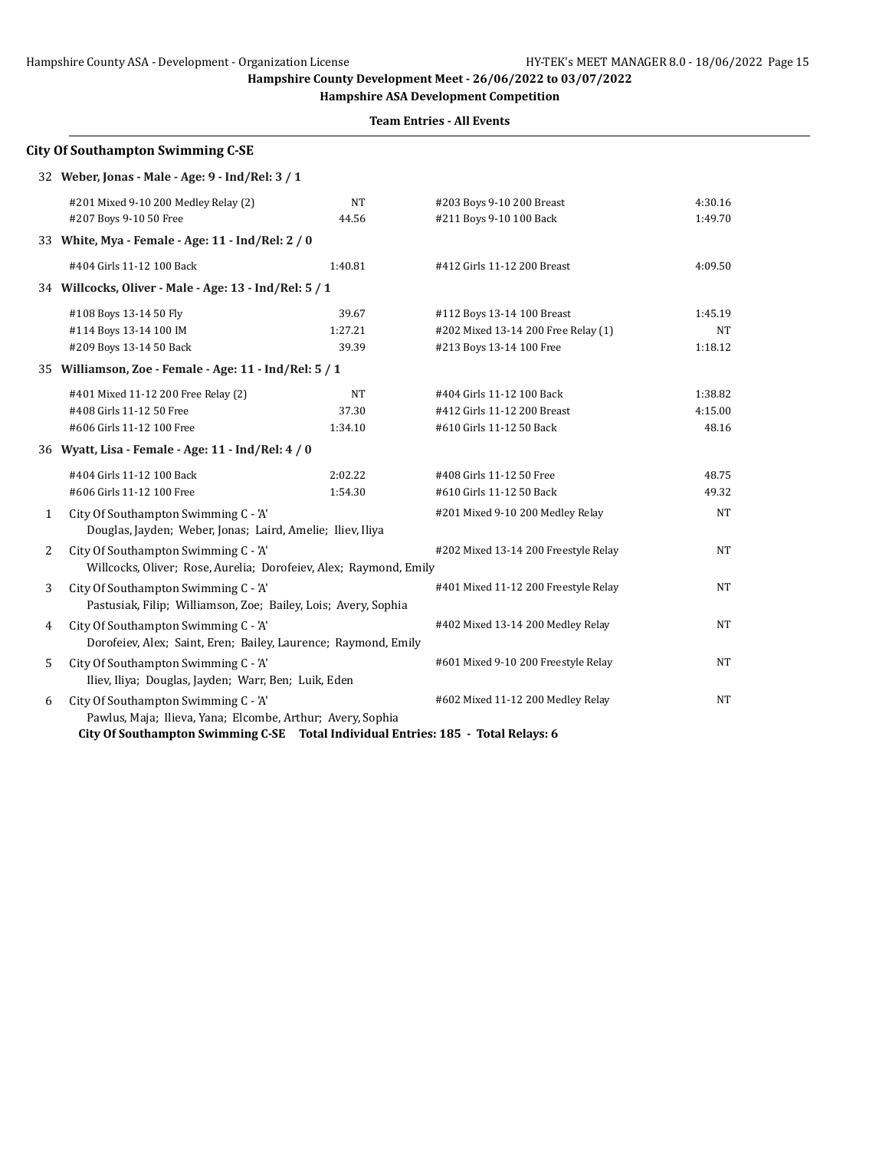## Hampshire County ASA - Development - Organization License HY-TEK's MEET MANAGER 8.0 - 18/06/2022 Page 15

**Hampshire County Development Meet - 26/06/2022 to 03/07/2022**

**Hampshire ASA Development Competition**

**Team Entries - All Events**

|   | 32 Weber, Jonas - Male - Age: 9 - Ind/Rel: 3 / 1                                                                                                                                      |           |                                      |         |
|---|---------------------------------------------------------------------------------------------------------------------------------------------------------------------------------------|-----------|--------------------------------------|---------|
|   | #201 Mixed 9-10 200 Medley Relay (2)                                                                                                                                                  | <b>NT</b> | #203 Boys 9-10 200 Breast            | 4:30.16 |
|   | #207 Boys 9-10 50 Free                                                                                                                                                                | 44.56     | #211 Boys 9-10 100 Back              | 1:49.70 |
|   | 33 White, Mya - Female - Age: 11 - Ind/Rel: 2 / 0                                                                                                                                     |           |                                      |         |
|   | #404 Girls 11-12 100 Back                                                                                                                                                             | 1:40.81   | #412 Girls 11-12 200 Breast          | 4:09.50 |
|   | 34 Willcocks, Oliver - Male - Age: 13 - Ind/Rel: 5 / 1                                                                                                                                |           |                                      |         |
|   | #108 Boys 13-14 50 Fly                                                                                                                                                                | 39.67     | #112 Boys 13-14 100 Breast           | 1:45.19 |
|   | #114 Boys 13-14 100 IM                                                                                                                                                                | 1:27.21   | #202 Mixed 13-14 200 Free Relay (1)  | NT      |
|   | #209 Boys 13-14 50 Back                                                                                                                                                               | 39.39     | #213 Boys 13-14 100 Free             | 1:18.12 |
|   | 35 Williamson, Zoe - Female - Age: 11 - Ind/Rel: 5 / 1                                                                                                                                |           |                                      |         |
|   | #401 Mixed 11-12 200 Free Relay (2)                                                                                                                                                   | <b>NT</b> | #404 Girls 11-12 100 Back            | 1:38.82 |
|   | #408 Girls 11-12 50 Free                                                                                                                                                              | 37.30     | #412 Girls 11-12 200 Breast          | 4:15.00 |
|   | #606 Girls 11-12 100 Free                                                                                                                                                             | 1:34.10   | #610 Girls 11-12 50 Back             | 48.16   |
|   | 36 Wyatt, Lisa - Female - Age: 11 - Ind/Rel: 4 / 0                                                                                                                                    |           |                                      |         |
|   | #404 Girls 11-12 100 Back                                                                                                                                                             | 2:02.22   | #408 Girls 11-12 50 Free             | 48.75   |
|   | #606 Girls 11-12 100 Free                                                                                                                                                             | 1:54.30   | #610 Girls 11-12 50 Back             | 49.32   |
| 1 | City Of Southampton Swimming C - 'A'<br>Douglas, Jayden; Weber, Jonas; Laird, Amelie; Iliev, Iliya                                                                                    |           | #201 Mixed 9-10 200 Medley Relay     | NT      |
| 2 | City Of Southampton Swimming C - 'A'<br>Willcocks, Oliver; Rose, Aurelia; Dorofeiev, Alex; Raymond, Emily                                                                             |           | #202 Mixed 13-14 200 Freestyle Relay | NT      |
| 3 | City Of Southampton Swimming C - 'A'<br>Pastusiak, Filip; Williamson, Zoe; Bailey, Lois; Avery, Sophia                                                                                |           | #401 Mixed 11-12 200 Freestyle Relay | NT      |
| 4 | City Of Southampton Swimming C - 'A'<br>Dorofeiev, Alex; Saint, Eren; Bailey, Laurence; Raymond, Emily                                                                                |           | #402 Mixed 13-14 200 Medley Relay    | NT      |
| 5 | City Of Southampton Swimming C - 'A'<br>Iliev, Iliya; Douglas, Jayden; Warr, Ben; Luik, Eden                                                                                          |           | #601 Mixed 9-10 200 Freestyle Relay  | NT      |
| 6 | City Of Southampton Swimming C - 'A'<br>Pawlus, Maja; Ilieva, Yana; Elcombe, Arthur; Avery, Sophia<br>City Of Conthompton Cuimming C CE Total Individual Entrico, 10E Total Delayer C |           | #602 Mixed 11-12 200 Medley Relay    | NT      |

**City Of Southampton Swimming C-SE Total Individual Entries: 185 - Total Relays: 6**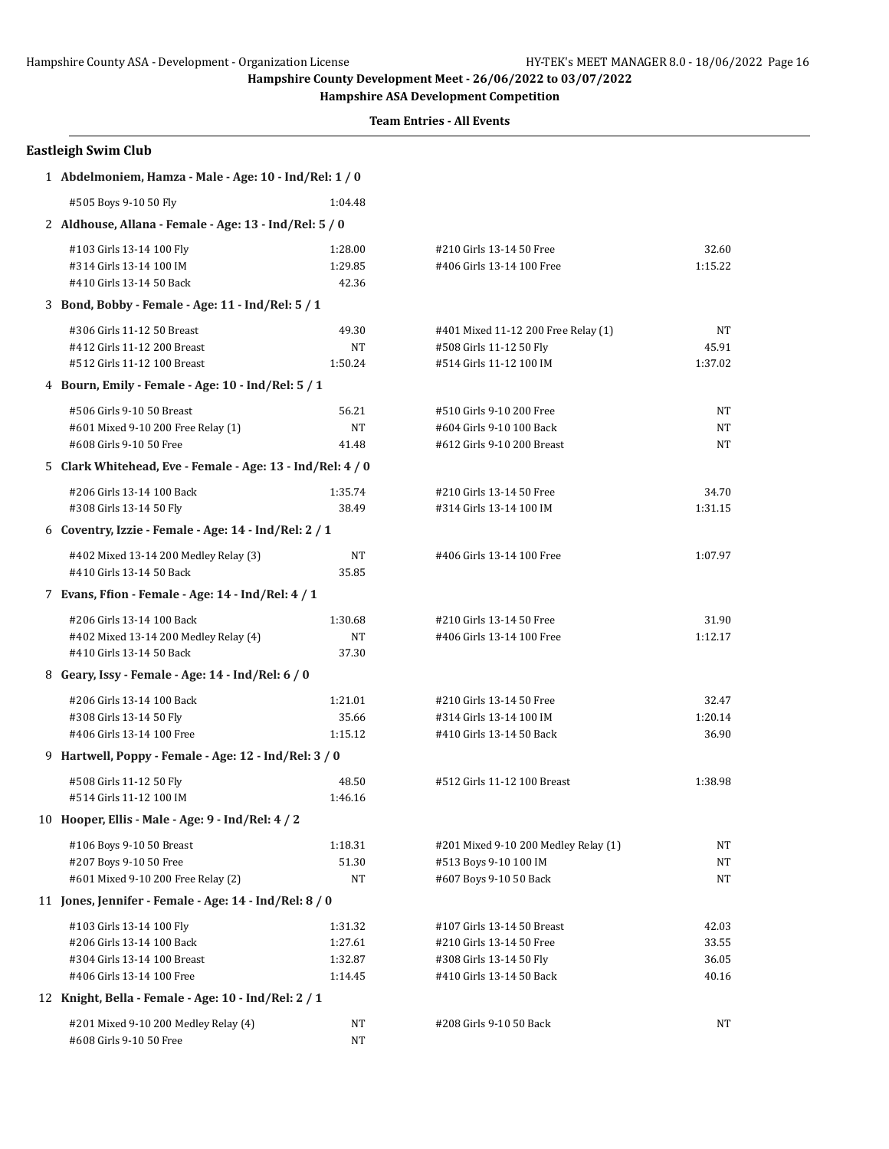**Hampshire ASA Development Competition**

| <b>Eastleigh Swim Club</b>                                 |           |                                      |           |  |  |
|------------------------------------------------------------|-----------|--------------------------------------|-----------|--|--|
| 1 Abdelmoniem, Hamza - Male - Age: 10 - Ind/Rel: 1 / 0     |           |                                      |           |  |  |
| #505 Boys 9-10 50 Fly                                      | 1:04.48   |                                      |           |  |  |
| 2 Aldhouse, Allana - Female - Age: 13 - Ind/Rel: 5 / 0     |           |                                      |           |  |  |
| #103 Girls 13-14 100 Fly                                   | 1:28.00   | #210 Girls 13-14 50 Free             | 32.60     |  |  |
| #314 Girls 13-14 100 IM                                    | 1:29.85   | #406 Girls 13-14 100 Free            | 1:15.22   |  |  |
| #410 Girls 13-14 50 Back                                   | 42.36     |                                      |           |  |  |
| 3 Bond, Bobby - Female - Age: 11 - Ind/Rel: 5 / 1          |           |                                      |           |  |  |
| #306 Girls 11-12 50 Breast                                 | 49.30     | #401 Mixed 11-12 200 Free Relay (1)  | NT        |  |  |
| #412 Girls 11-12 200 Breast                                | NT        | #508 Girls 11-12 50 Fly              | 45.91     |  |  |
| #512 Girls 11-12 100 Breast                                | 1:50.24   | #514 Girls 11-12 100 IM              | 1:37.02   |  |  |
| 4 Bourn, Emily - Female - Age: 10 - Ind/Rel: 5 / 1         |           |                                      |           |  |  |
| #506 Girls 9-10 50 Breast                                  | 56.21     | #510 Girls 9-10 200 Free             | NΤ        |  |  |
| #601 Mixed 9-10 200 Free Relay (1)                         | <b>NT</b> | #604 Girls 9-10 100 Back             | <b>NT</b> |  |  |
| #608 Girls 9-10 50 Free                                    | 41.48     | #612 Girls 9-10 200 Breast           | NT        |  |  |
| 5 Clark Whitehead, Eve - Female - Age: 13 - Ind/Rel: 4 / 0 |           |                                      |           |  |  |
| #206 Girls 13-14 100 Back                                  | 1:35.74   | #210 Girls 13-14 50 Free             | 34.70     |  |  |
| #308 Girls 13-14 50 Fly                                    | 38.49     | #314 Girls 13-14 100 IM              | 1:31.15   |  |  |
| 6 Coventry, Izzie - Female - Age: $14$ - Ind/Rel: $2/1$    |           |                                      |           |  |  |
| #402 Mixed 13-14 200 Medley Relay (3)                      | NT        | #406 Girls 13-14 100 Free            | 1:07.97   |  |  |
| #410 Girls 13-14 50 Back                                   | 35.85     |                                      |           |  |  |
| 7 Evans, Ffion - Female - Age: 14 - Ind/Rel: 4 / 1         |           |                                      |           |  |  |
| #206 Girls 13-14 100 Back                                  | 1:30.68   | #210 Girls 13-14 50 Free             | 31.90     |  |  |
| #402 Mixed 13-14 200 Medley Relay (4)                      | <b>NT</b> | #406 Girls 13-14 100 Free            | 1:12.17   |  |  |
| #410 Girls 13-14 50 Back                                   | 37.30     |                                      |           |  |  |
| 8 Geary, Issy - Female - Age: 14 - Ind/Rel: 6 / 0          |           |                                      |           |  |  |
| #206 Girls 13-14 100 Back                                  | 1:21.01   | #210 Girls 13-14 50 Free             | 32.47     |  |  |
| #308 Girls 13-14 50 Fly                                    | 35.66     | #314 Girls 13-14 100 IM              | 1:20.14   |  |  |
| #406 Girls 13-14 100 Free                                  | 1:15.12   | #410 Girls 13-14 50 Back             | 36.90     |  |  |
| 9 Hartwell, Poppy - Female - Age: 12 - Ind/Rel: 3 / 0      |           |                                      |           |  |  |
| #508 Girls 11-12 50 Fly                                    | 48.50     | #512 Girls 11-12 100 Breast          | 1:38.98   |  |  |
| #514 Girls 11-12 100 IM                                    | 1:46.16   |                                      |           |  |  |
| 10 Hooper, Ellis - Male - Age: 9 - Ind/Rel: 4 / 2          |           |                                      |           |  |  |
| #106 Boys 9-10 50 Breast                                   | 1:18.31   | #201 Mixed 9-10 200 Medley Relay (1) | NΤ        |  |  |
| #207 Boys 9-10 50 Free                                     | 51.30     | #513 Boys 9-10 100 IM                | NT        |  |  |
| #601 Mixed 9-10 200 Free Relay (2)                         | NT        | #607 Boys 9-10 50 Back               | NT        |  |  |
| 11 Jones, Jennifer - Female - Age: 14 - Ind/Rel: 8 / 0     |           |                                      |           |  |  |
| #103 Girls 13-14 100 Fly                                   | 1:31.32   | #107 Girls 13-14 50 Breast           | 42.03     |  |  |
| #206 Girls 13-14 100 Back                                  | 1:27.61   | #210 Girls 13-14 50 Free             | 33.55     |  |  |
| #304 Girls 13-14 100 Breast                                | 1:32.87   | #308 Girls 13-14 50 Fly              | 36.05     |  |  |
| #406 Girls 13-14 100 Free                                  | 1:14.45   | #410 Girls 13-14 50 Back             | 40.16     |  |  |
| 12 Knight, Bella - Female - Age: 10 - Ind/Rel: 2 / 1       |           |                                      |           |  |  |
| #201 Mixed 9-10 200 Medley Relay (4)                       | NT        | #208 Girls 9-10 50 Back              | NT        |  |  |
| #608 Girls 9-10 50 Free                                    | <b>NT</b> |                                      |           |  |  |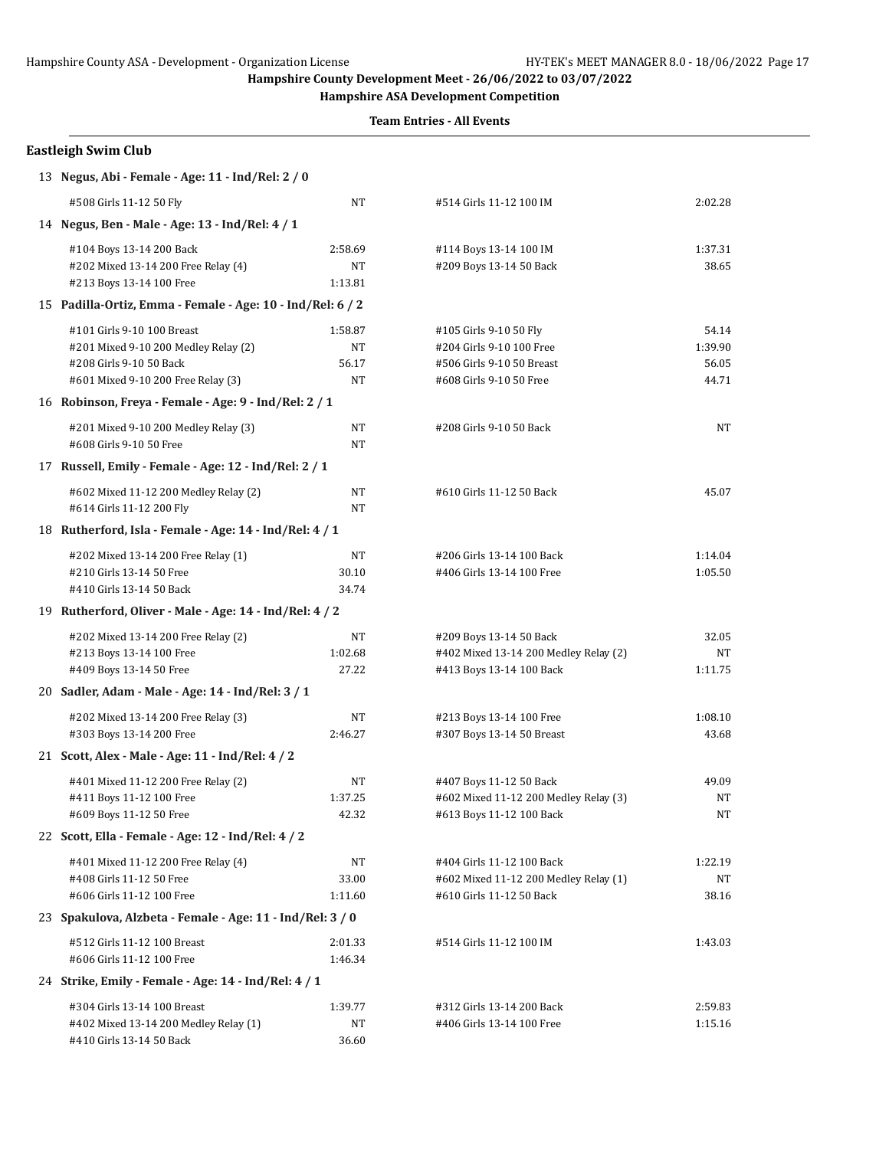**Hampshire ASA Development Competition**

| <b>Eastleigh Swim Club</b>                                 |         |                                       |           |  |  |
|------------------------------------------------------------|---------|---------------------------------------|-----------|--|--|
| 13 Negus, Abi - Female - Age: 11 - Ind/Rel: 2 / 0          |         |                                       |           |  |  |
| #508 Girls 11-12 50 Fly                                    | NT      | #514 Girls 11-12 100 IM               | 2:02.28   |  |  |
| 14 Negus, Ben - Male - Age: 13 - Ind/Rel: 4 / 1            |         |                                       |           |  |  |
| #104 Boys 13-14 200 Back                                   | 2:58.69 | #114 Boys 13-14 100 IM                | 1:37.31   |  |  |
| #202 Mixed 13-14 200 Free Relay (4)                        | NT      | #209 Boys 13-14 50 Back               | 38.65     |  |  |
| #213 Boys 13-14 100 Free                                   | 1:13.81 |                                       |           |  |  |
| 15 Padilla-Ortiz, Emma - Female - Age: 10 - Ind/Rel: 6 / 2 |         |                                       |           |  |  |
| #101 Girls 9-10 100 Breast                                 | 1:58.87 | #105 Girls 9-10 50 Fly                | 54.14     |  |  |
| #201 Mixed 9-10 200 Medley Relay (2)                       | NT      | #204 Girls 9-10 100 Free              | 1:39.90   |  |  |
| #208 Girls 9-10 50 Back                                    | 56.17   | #506 Girls 9-10 50 Breast             | 56.05     |  |  |
| #601 Mixed 9-10 200 Free Relay (3)                         | NT      | #608 Girls 9-10 50 Free               | 44.71     |  |  |
| 16 Robinson, Freya - Female - Age: 9 - Ind/Rel: 2 / 1      |         |                                       |           |  |  |
| #201 Mixed 9-10 200 Medley Relay (3)                       | NT      | #208 Girls 9-10 50 Back               | <b>NT</b> |  |  |
| #608 Girls 9-10 50 Free                                    | NT      |                                       |           |  |  |
| 17 Russell, Emily - Female - Age: 12 - Ind/Rel: 2 / 1      |         |                                       |           |  |  |
| #602 Mixed 11-12 200 Medley Relay (2)                      | NT      | #610 Girls 11-12 50 Back              | 45.07     |  |  |
| #614 Girls 11-12 200 Fly                                   | NT      |                                       |           |  |  |
| 18 Rutherford, Isla - Female - Age: 14 - Ind/Rel: 4 / 1    |         |                                       |           |  |  |
| #202 Mixed 13-14 200 Free Relay (1)                        | NT      | #206 Girls 13-14 100 Back             | 1:14.04   |  |  |
| #210 Girls 13-14 50 Free                                   | 30.10   | #406 Girls 13-14 100 Free             | 1:05.50   |  |  |
| #410 Girls 13-14 50 Back                                   | 34.74   |                                       |           |  |  |
| 19 Rutherford, Oliver - Male - Age: 14 - Ind/Rel: 4 / 2    |         |                                       |           |  |  |
| #202 Mixed 13-14 200 Free Relay (2)                        | NT      | #209 Boys 13-14 50 Back               | 32.05     |  |  |
| #213 Boys 13-14 100 Free                                   | 1:02.68 | #402 Mixed 13-14 200 Medley Relay (2) | NT        |  |  |
| #409 Boys 13-14 50 Free                                    | 27.22   | #413 Boys 13-14 100 Back              | 1:11.75   |  |  |
| 20 Sadler, Adam - Male - Age: 14 - Ind/Rel: 3 / 1          |         |                                       |           |  |  |
| #202 Mixed 13-14 200 Free Relay (3)                        | NT      | #213 Boys 13-14 100 Free              | 1:08.10   |  |  |
| #303 Boys 13-14 200 Free                                   | 2:46.27 | #307 Boys 13-14 50 Breast             | 43.68     |  |  |
| 21 Scott, Alex - Male - Age: 11 - Ind/Rel: 4 / 2           |         |                                       |           |  |  |
| #401 Mixed 11-12 200 Free Relay (2)                        | NT      | #407 Boys 11-12 50 Back               | 49.09     |  |  |
| #411 Boys 11-12 100 Free                                   | 1:37.25 | #602 Mixed 11-12 200 Medley Relay (3) | NT        |  |  |
| #609 Boys 11-12 50 Free                                    | 42.32   | #613 Boys 11-12 100 Back              | NT        |  |  |
| 22 Scott, Ella - Female - Age: 12 - Ind/Rel: 4 / 2         |         |                                       |           |  |  |
| #401 Mixed 11-12 200 Free Relay (4)                        | NT      | #404 Girls 11-12 100 Back             | 1:22.19   |  |  |
| #408 Girls 11-12 50 Free                                   | 33.00   | #602 Mixed 11-12 200 Medley Relay (1) | NT        |  |  |
| #606 Girls 11-12 100 Free                                  | 1:11.60 | #610 Girls 11-12 50 Back              | 38.16     |  |  |
| 23 Spakulova, Alzbeta - Female - Age: 11 - Ind/Rel: 3 / 0  |         |                                       |           |  |  |
| #512 Girls 11-12 100 Breast                                | 2:01.33 | #514 Girls 11-12 100 IM               | 1:43.03   |  |  |
| #606 Girls 11-12 100 Free                                  | 1:46.34 |                                       |           |  |  |
| 24 Strike, Emily - Female - Age: 14 - Ind/Rel: 4 / 1       |         |                                       |           |  |  |
| #304 Girls 13-14 100 Breast                                | 1:39.77 | #312 Girls 13-14 200 Back             | 2:59.83   |  |  |
| #402 Mixed 13-14 200 Medley Relay (1)                      | NT      | #406 Girls 13-14 100 Free             | 1:15.16   |  |  |
| #410 Girls 13-14 50 Back                                   | 36.60   |                                       |           |  |  |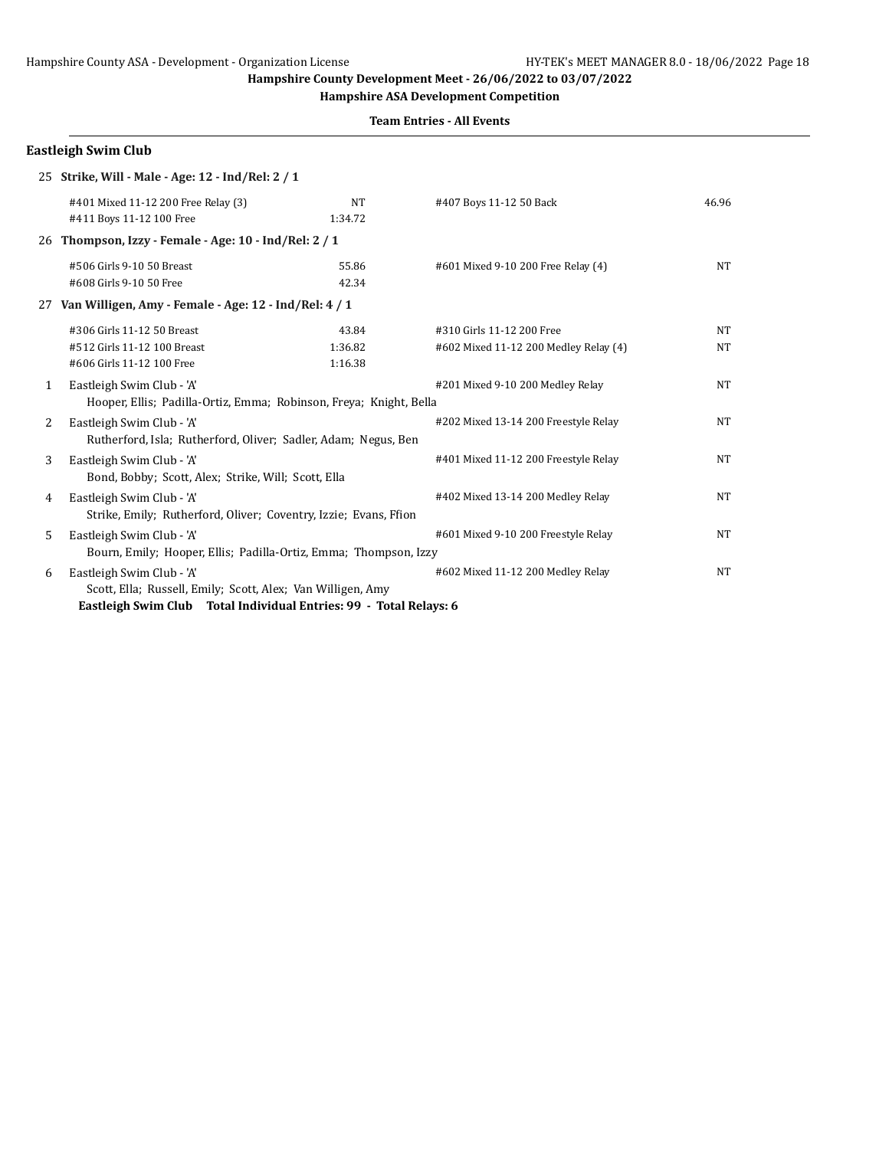**Hampshire ASA Development Competition**

**Team Entries - All Events**

|              | <b>Eastleigh Swim Club</b>                                                                      |                             |                                                                    |                        |
|--------------|-------------------------------------------------------------------------------------------------|-----------------------------|--------------------------------------------------------------------|------------------------|
|              | 25 Strike, Will - Male - Age: 12 - Ind/Rel: 2 / 1                                               |                             |                                                                    |                        |
|              | #401 Mixed 11-12 200 Free Relay (3)<br>#411 Boys 11-12 100 Free                                 | NT<br>1:34.72               | #407 Boys 11-12 50 Back                                            | 46.96                  |
| 26           | Thompson, Izzy - Female - Age: 10 - Ind/Rel: 2 / 1                                              |                             |                                                                    |                        |
|              | #506 Girls 9-10 50 Breast<br>#608 Girls 9-10 50 Free                                            | 55.86<br>42.34              | #601 Mixed 9-10 200 Free Relay (4)                                 | <b>NT</b>              |
|              | 27 Van Willigen, Amy - Female - Age: 12 - Ind/Rel: 4 / 1                                        |                             |                                                                    |                        |
|              | #306 Girls 11-12 50 Breast<br>#512 Girls 11-12 100 Breast<br>#606 Girls 11-12 100 Free          | 43.84<br>1:36.82<br>1:16.38 | #310 Girls 11-12 200 Free<br>#602 Mixed 11-12 200 Medley Relay (4) | <b>NT</b><br><b>NT</b> |
| $\mathbf{1}$ | Eastleigh Swim Club - 'A'<br>Hooper, Ellis; Padilla-Ortiz, Emma; Robinson, Freya; Knight, Bella |                             | #201 Mixed 9-10 200 Medley Relay                                   | <b>NT</b>              |
| 2            | Eastleigh Swim Club - 'A'<br>Rutherford, Isla; Rutherford, Oliver; Sadler, Adam; Negus, Ben     |                             | #202 Mixed 13-14 200 Freestyle Relay                               | NT                     |
| 3            | Eastleigh Swim Club - 'A'<br>Bond, Bobby; Scott, Alex; Strike, Will; Scott, Ella                |                             | #401 Mixed 11-12 200 Freestyle Relay                               | NT                     |
| 4            | Eastleigh Swim Club - 'A'<br>Strike, Emily; Rutherford, Oliver; Coventry, Izzie; Evans, Ffion   |                             | #402 Mixed 13-14 200 Medley Relay                                  | NT                     |
| 5            | Eastleigh Swim Club - 'A'<br>Bourn, Emily; Hooper, Ellis; Padilla-Ortiz, Emma; Thompson, Izzy   |                             | #601 Mixed 9-10 200 Freestyle Relay                                | NT                     |
| 6            | Eastleigh Swim Club - 'A'<br>Scott, Ella; Russell, Emily; Scott, Alex; Van Willigen, Amy        |                             | #602 Mixed 11-12 200 Medley Relay                                  | <b>NT</b>              |

**Eastleigh Swim Club Total Individual Entries: 99 - Total Relays: 6**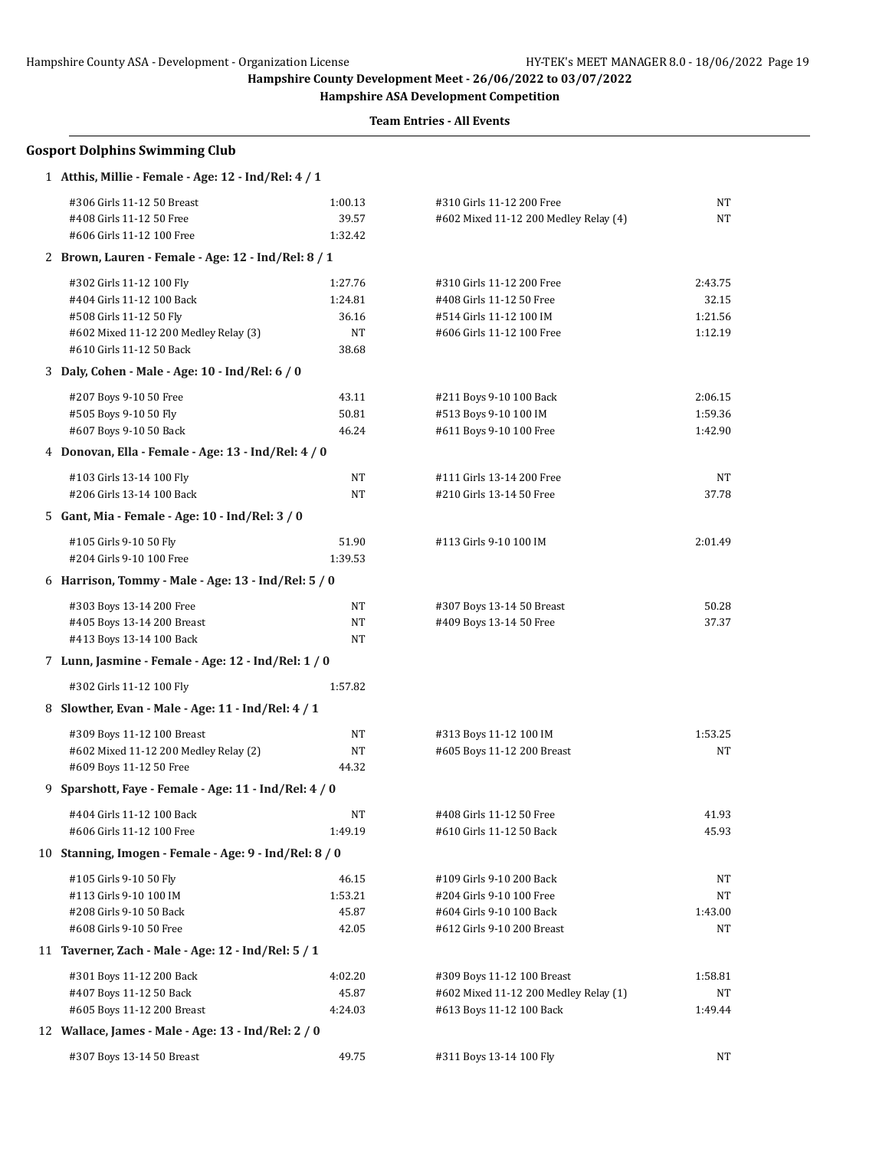**Hampshire ASA Development Competition**

|    | <b>Gosport Dolphins Swimming Club</b>                  |         |                                       |         |
|----|--------------------------------------------------------|---------|---------------------------------------|---------|
|    | 1 Atthis, Millie - Female - Age: 12 - Ind/Rel: 4 / 1   |         |                                       |         |
|    | #306 Girls 11-12 50 Breast                             | 1:00.13 | #310 Girls 11-12 200 Free             | NT      |
|    | #408 Girls 11-12 50 Free                               | 39.57   | #602 Mixed 11-12 200 Medley Relay (4) | NT      |
|    | #606 Girls 11-12 100 Free                              | 1:32.42 |                                       |         |
|    | 2 Brown, Lauren - Female - Age: 12 - Ind/Rel: 8 / 1    |         |                                       |         |
|    | #302 Girls 11-12 100 Fly                               | 1:27.76 | #310 Girls 11-12 200 Free             | 2:43.75 |
|    | #404 Girls 11-12 100 Back                              | 1:24.81 | #408 Girls 11-12 50 Free              | 32.15   |
|    | #508 Girls 11-12 50 Fly                                | 36.16   | #514 Girls 11-12 100 IM               | 1:21.56 |
|    | #602 Mixed 11-12 200 Medley Relay (3)                  | NT      | #606 Girls 11-12 100 Free             | 1:12.19 |
|    | #610 Girls 11-12 50 Back                               | 38.68   |                                       |         |
|    | 3 Daly, Cohen - Male - Age: 10 - Ind/Rel: 6 / 0        |         |                                       |         |
|    | #207 Boys 9-10 50 Free                                 | 43.11   | #211 Boys 9-10 100 Back               | 2:06.15 |
|    | #505 Boys 9-10 50 Fly                                  | 50.81   | #513 Boys 9-10 100 IM                 | 1:59.36 |
|    | #607 Boys 9-10 50 Back                                 | 46.24   | #611 Boys 9-10 100 Free               | 1:42.90 |
|    | 4 Donovan, Ella - Female - Age: 13 - Ind/Rel: 4 / 0    |         |                                       |         |
|    | #103 Girls 13-14 100 Fly                               | NT      | #111 Girls 13-14 200 Free             | NT      |
|    | #206 Girls 13-14 100 Back                              | NT      | #210 Girls 13-14 50 Free              | 37.78   |
|    | 5 Gant, Mia - Female - Age: 10 - Ind/Rel: 3 / 0        |         |                                       |         |
|    | #105 Girls 9-10 50 Fly                                 | 51.90   | #113 Girls 9-10 100 IM                | 2:01.49 |
|    | #204 Girls 9-10 100 Free                               | 1:39.53 |                                       |         |
|    | 6 Harrison, Tommy - Male - Age: 13 - Ind/Rel: 5 / 0    |         |                                       |         |
|    | #303 Boys 13-14 200 Free                               | NT      | #307 Boys 13-14 50 Breast             | 50.28   |
|    | #405 Boys 13-14 200 Breast                             | NT      | #409 Boys 13-14 50 Free               | 37.37   |
|    | #413 Boys 13-14 100 Back                               | NT      |                                       |         |
|    | 7 Lunn, Jasmine - Female - Age: 12 - Ind/Rel: 1 / 0    |         |                                       |         |
|    | #302 Girls 11-12 100 Fly                               | 1:57.82 |                                       |         |
|    | 8 Slowther, Evan - Male - Age: 11 - Ind/Rel: 4 / 1     |         |                                       |         |
|    | #309 Boys 11-12 100 Breast                             | NT      | #313 Boys 11-12 100 IM                | 1:53.25 |
|    | #602 Mixed 11-12 200 Medley Relay (2)                  | NΤ      | #605 Boys 11-12 200 Breast            | NT      |
|    | #609 Boys 11-12 50 Free                                | 44.32   |                                       |         |
| 9. | Sparshott, Faye - Female - Age: 11 - Ind/Rel: 4 / 0    |         |                                       |         |
|    | #404 Girls 11-12 100 Back                              | NT      | #408 Girls 11-12 50 Free              | 41.93   |
|    | #606 Girls 11-12 100 Free                              | 1:49.19 | #610 Girls 11-12 50 Back              | 45.93   |
|    | 10 Stanning, Imogen - Female - Age: 9 - Ind/Rel: 8 / 0 |         |                                       |         |
|    | #105 Girls 9-10 50 Fly                                 | 46.15   | #109 Girls 9-10 200 Back              | NΤ      |
|    | #113 Girls 9-10 100 IM                                 | 1:53.21 | #204 Girls 9-10 100 Free              | NΤ      |
|    | #208 Girls 9-10 50 Back                                | 45.87   | #604 Girls 9-10 100 Back              | 1:43.00 |
|    | #608 Girls 9-10 50 Free                                | 42.05   | #612 Girls 9-10 200 Breast            | NΤ      |
|    | 11 Taverner, Zach - Male - Age: 12 - Ind/Rel: 5 / 1    |         |                                       |         |
|    | #301 Boys 11-12 200 Back                               | 4:02.20 | #309 Boys 11-12 100 Breast            | 1:58.81 |
|    | #407 Boys 11-12 50 Back                                | 45.87   | #602 Mixed 11-12 200 Medley Relay (1) | NΤ      |
|    | #605 Boys 11-12 200 Breast                             | 4:24.03 | #613 Boys 11-12 100 Back              | 1:49.44 |
|    | 12 Wallace, James - Male - Age: 13 - Ind/Rel: 2 / 0    |         |                                       |         |
|    | #307 Boys 13-14 50 Breast                              | 49.75   | #311 Boys 13-14 100 Fly               | NT      |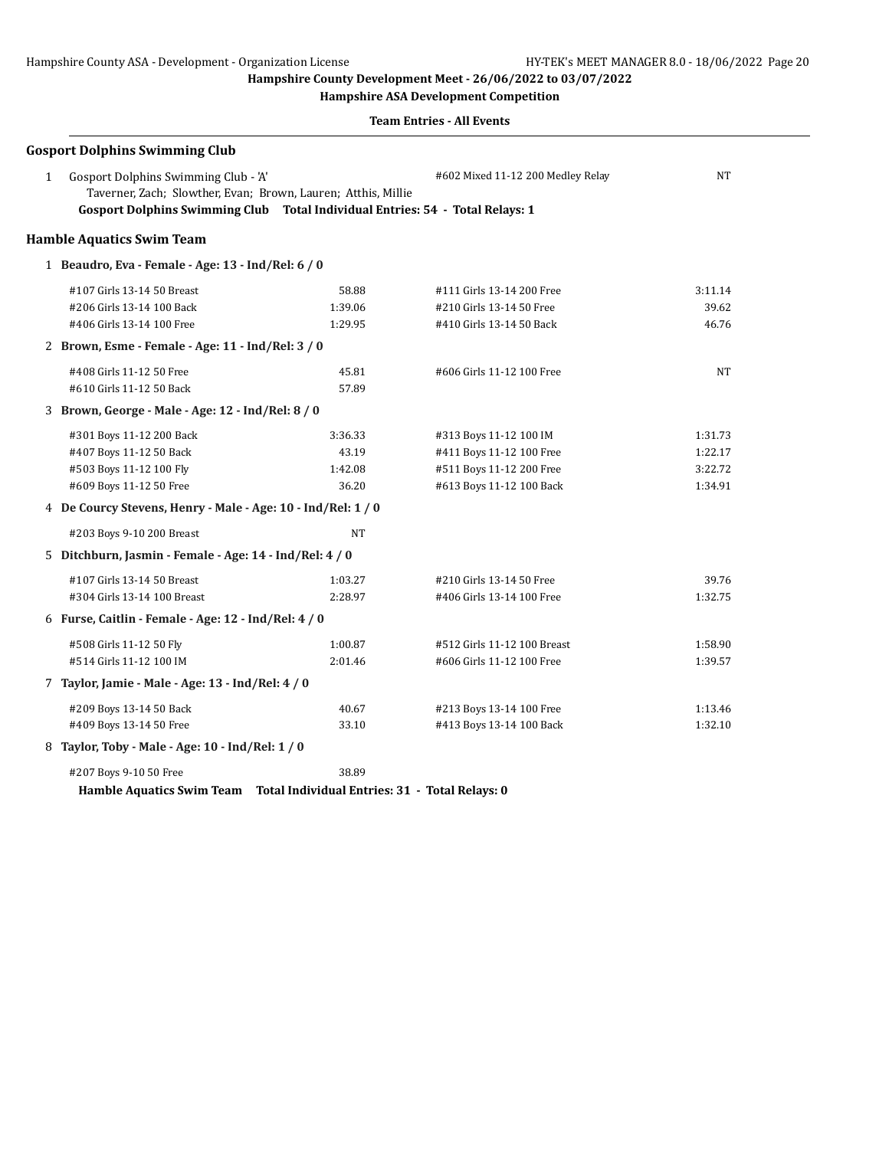**Hampshire ASA Development Competition**

| 1 | <b>Gosport Dolphins Swimming Club</b><br>Gosport Dolphins Swimming Club - 'A'                                                                  |           | #602 Mixed 11-12 200 Medley Relay | NΤ      |
|---|------------------------------------------------------------------------------------------------------------------------------------------------|-----------|-----------------------------------|---------|
|   | Taverner, Zach; Slowther, Evan; Brown, Lauren; Atthis, Millie<br>Gosport Dolphins Swimming Club Total Individual Entries: 54 - Total Relays: 1 |           |                                   |         |
|   | <b>Hamble Aquatics Swim Team</b>                                                                                                               |           |                                   |         |
|   | 1 Beaudro, Eva - Female - Age: 13 - Ind/Rel: 6 / 0                                                                                             |           |                                   |         |
|   | #107 Girls 13-14 50 Breast                                                                                                                     | 58.88     | #111 Girls 13-14 200 Free         | 3:11.14 |
|   | #206 Girls 13-14 100 Back                                                                                                                      | 1:39.06   | #210 Girls 13-14 50 Free          | 39.62   |
|   | #406 Girls 13-14 100 Free                                                                                                                      | 1:29.95   | #410 Girls 13-14 50 Back          | 46.76   |
|   | 2 Brown, Esme - Female - Age: 11 - Ind/Rel: 3 / 0                                                                                              |           |                                   |         |
|   | #408 Girls 11-12 50 Free                                                                                                                       | 45.81     | #606 Girls 11-12 100 Free         | NΤ      |
|   | #610 Girls 11-12 50 Back                                                                                                                       | 57.89     |                                   |         |
|   | 3 Brown, George - Male - Age: 12 - Ind/Rel: 8 / 0                                                                                              |           |                                   |         |
|   | #301 Boys 11-12 200 Back                                                                                                                       | 3:36.33   | #313 Boys 11-12 100 IM            | 1:31.73 |
|   | #407 Boys 11-12 50 Back                                                                                                                        | 43.19     | #411 Boys 11-12 100 Free          | 1:22.17 |
|   | #503 Boys 11-12 100 Fly                                                                                                                        | 1:42.08   | #511 Boys 11-12 200 Free          | 3:22.72 |
|   | #609 Boys 11-12 50 Free                                                                                                                        | 36.20     | #613 Boys 11-12 100 Back          | 1:34.91 |
|   | 4 De Courcy Stevens, Henry - Male - Age: 10 - Ind/Rel: 1 / 0                                                                                   |           |                                   |         |
|   | #203 Boys 9-10 200 Breast                                                                                                                      | <b>NT</b> |                                   |         |
|   | 5 Ditchburn, Jasmin - Female - Age: 14 - Ind/Rel: 4 / 0                                                                                        |           |                                   |         |
|   | #107 Girls 13-14 50 Breast                                                                                                                     | 1:03.27   | #210 Girls 13-14 50 Free          | 39.76   |
|   | #304 Girls 13-14 100 Breast                                                                                                                    | 2:28.97   | #406 Girls 13-14 100 Free         | 1:32.75 |
|   | 6 Furse, Caitlin - Female - Age: 12 - Ind/Rel: 4 / 0                                                                                           |           |                                   |         |
|   | #508 Girls 11-12 50 Fly                                                                                                                        | 1:00.87   | #512 Girls 11-12 100 Breast       | 1:58.90 |
|   | #514 Girls 11-12 100 IM                                                                                                                        | 2:01.46   | #606 Girls 11-12 100 Free         | 1:39.57 |
|   | 7 Taylor, Jamie - Male - Age: 13 - Ind/Rel: 4 / 0                                                                                              |           |                                   |         |
|   | #209 Boys 13-14 50 Back                                                                                                                        | 40.67     | #213 Boys 13-14 100 Free          | 1:13.46 |
|   | #409 Boys 13-14 50 Free                                                                                                                        | 33.10     | #413 Boys 13-14 100 Back          | 1:32.10 |
|   | 8 Taylor, Toby - Male - Age: 10 - Ind/Rel: 1 / 0                                                                                               |           |                                   |         |
|   | #207 Boys 9-10 50 Free                                                                                                                         | 38.89     |                                   |         |
|   | Hamble Aquatics Swim Team Total Individual Entries: 31 - Total Relays: 0                                                                       |           |                                   |         |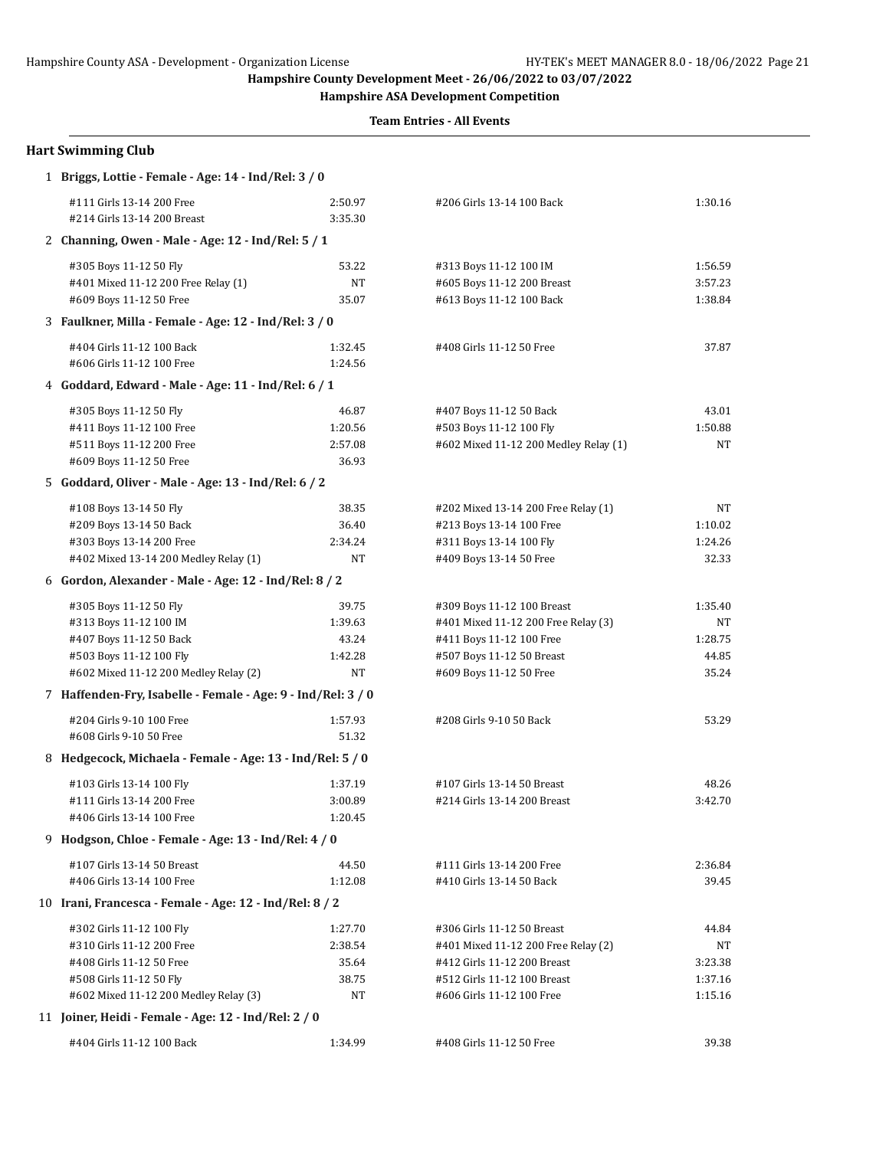**Hampshire ASA Development Competition**

| <b>Hart Swimming Club</b>                                                                                                                                        |                                            |                                                                                                                                                              |                                              |
|------------------------------------------------------------------------------------------------------------------------------------------------------------------|--------------------------------------------|--------------------------------------------------------------------------------------------------------------------------------------------------------------|----------------------------------------------|
| 1 Briggs, Lottie - Female - Age: 14 - Ind/Rel: 3 / 0                                                                                                             |                                            |                                                                                                                                                              |                                              |
| #111 Girls 13-14 200 Free<br>#214 Girls 13-14 200 Breast                                                                                                         | 2:50.97<br>3:35.30                         | #206 Girls 13-14 100 Back                                                                                                                                    | 1:30.16                                      |
| 2 Channing, Owen - Male - Age: 12 - Ind/Rel: 5 / 1                                                                                                               |                                            |                                                                                                                                                              |                                              |
| #305 Boys 11-12 50 Fly<br>#401 Mixed 11-12 200 Free Relay (1)<br>#609 Boys 11-12 50 Free                                                                         | 53.22<br>NT<br>35.07                       | #313 Boys 11-12 100 IM<br>#605 Boys 11-12 200 Breast<br>#613 Boys 11-12 100 Back                                                                             | 1:56.59<br>3:57.23<br>1:38.84                |
| 3 Faulkner, Milla - Female - Age: 12 - Ind/Rel: 3 / 0                                                                                                            |                                            |                                                                                                                                                              |                                              |
| #404 Girls 11-12 100 Back<br>#606 Girls 11-12 100 Free                                                                                                           | 1:32.45<br>1:24.56                         | #408 Girls 11-12 50 Free                                                                                                                                     | 37.87                                        |
| 4 Goddard, Edward - Male - Age: 11 - Ind/Rel: 6 / 1                                                                                                              |                                            |                                                                                                                                                              |                                              |
| #305 Boys 11-12 50 Fly<br>#411 Boys 11-12 100 Free<br>#511 Boys 11-12 200 Free<br>#609 Boys 11-12 50 Free<br>5 Goddard, Oliver - Male - Age: 13 - Ind/Rel: 6 / 2 | 46.87<br>1:20.56<br>2:57.08<br>36.93       | #407 Boys 11-12 50 Back<br>#503 Boys 11-12 100 Fly<br>#602 Mixed 11-12 200 Medley Relay (1)                                                                  | 43.01<br>1:50.88<br>NT                       |
| #108 Boys 13-14 50 Fly                                                                                                                                           | 38.35                                      | #202 Mixed 13-14 200 Free Relay (1)                                                                                                                          | NT                                           |
| #209 Boys 13-14 50 Back<br>#303 Boys 13-14 200 Free<br>#402 Mixed 13-14 200 Medley Relay (1)                                                                     | 36.40<br>2:34.24<br>NT                     | #213 Boys 13-14 100 Free<br>#311 Boys 13-14 100 Fly<br>#409 Boys 13-14 50 Free                                                                               | 1:10.02<br>1:24.26<br>32.33                  |
| 6 Gordon, Alexander - Male - Age: 12 - Ind/Rel: 8 / 2                                                                                                            |                                            |                                                                                                                                                              |                                              |
| #305 Boys 11-12 50 Fly<br>#313 Boys 11-12 100 IM<br>#407 Boys 11-12 50 Back<br>#503 Boys 11-12 100 Fly<br>#602 Mixed 11-12 200 Medley Relay (2)                  | 39.75<br>1:39.63<br>43.24<br>1:42.28<br>NT | #309 Boys 11-12 100 Breast<br>#401 Mixed 11-12 200 Free Relay (3)<br>#411 Boys 11-12 100 Free<br>#507 Boys 11-12 50 Breast<br>#609 Boys 11-12 50 Free        | 1:35.40<br>NΤ<br>1:28.75<br>44.85<br>35.24   |
| 7 Haffenden-Fry, Isabelle - Female - Age: 9 - Ind/Rel: 3 / 0                                                                                                     |                                            |                                                                                                                                                              |                                              |
| #204 Girls 9-10 100 Free<br>#608 Girls 9-10 50 Free<br>8 Hedgecock, Michaela - Female - Age: 13 - Ind/Rel: 5 / 0                                                 | 1:57.93<br>51.32                           | #208 Girls 9-10 50 Back                                                                                                                                      | 53.29                                        |
| #103 Girls 13-14 100 Fly                                                                                                                                         | 1:37.19                                    | #107 Girls 13-14 50 Breast                                                                                                                                   | 48.26                                        |
| #111 Girls 13-14 200 Free<br>#406 Girls 13-14 100 Free                                                                                                           | 3:00.89<br>1:20.45                         | #214 Girls 13-14 200 Breast                                                                                                                                  | 3:42.70                                      |
| 9 Hodgson, Chloe - Female - Age: 13 - Ind/Rel: 4 / 0                                                                                                             |                                            |                                                                                                                                                              |                                              |
| #107 Girls 13-14 50 Breast<br>#406 Girls 13-14 100 Free                                                                                                          | 44.50<br>1:12.08                           | #111 Girls 13-14 200 Free<br>#410 Girls 13-14 50 Back                                                                                                        | 2:36.84<br>39.45                             |
| 10 Irani, Francesca - Female - Age: 12 - Ind/Rel: 8 / 2                                                                                                          |                                            |                                                                                                                                                              |                                              |
| #302 Girls 11-12 100 Fly<br>#310 Girls 11-12 200 Free<br>#408 Girls 11-12 50 Free<br>#508 Girls 11-12 50 Fly<br>#602 Mixed 11-12 200 Medley Relay (3)            | 1:27.70<br>2:38.54<br>35.64<br>38.75<br>NT | #306 Girls 11-12 50 Breast<br>#401 Mixed 11-12 200 Free Relay (2)<br>#412 Girls 11-12 200 Breast<br>#512 Girls 11-12 100 Breast<br>#606 Girls 11-12 100 Free | 44.84<br>NΤ<br>3:23.38<br>1:37.16<br>1:15.16 |
| 11 Joiner, Heidi - Female - Age: 12 - Ind/Rel: 2 / 0                                                                                                             |                                            |                                                                                                                                                              |                                              |
| #404 Girls 11-12 100 Back                                                                                                                                        | 1:34.99                                    | #408 Girls 11-12 50 Free                                                                                                                                     | 39.38                                        |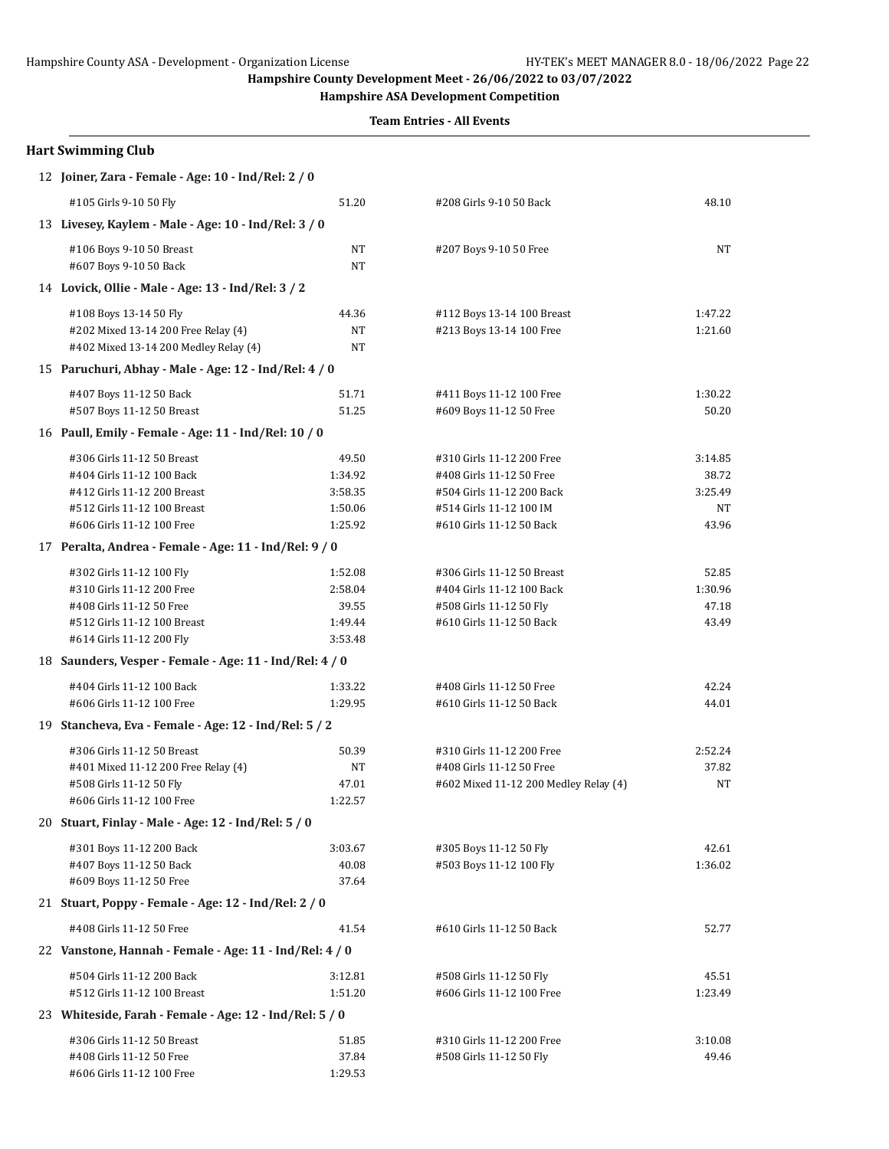**Hampshire ASA Development Competition**

| <b>Hart Swimming Club</b>                               |           |                                       |         |
|---------------------------------------------------------|-----------|---------------------------------------|---------|
| 12 Joiner, Zara - Female - Age: 10 - Ind/Rel: 2 / 0     |           |                                       |         |
| #105 Girls 9-10 50 Fly                                  | 51.20     | #208 Girls 9-10 50 Back               | 48.10   |
| 13 Livesey, Kaylem - Male - Age: 10 - Ind/Rel: 3 / 0    |           |                                       |         |
| #106 Boys 9-10 50 Breast                                | NT        | #207 Boys 9-10 50 Free                | NT      |
| #607 Boys 9-10 50 Back                                  | <b>NT</b> |                                       |         |
| 14 Lovick, Ollie - Male - Age: 13 - Ind/Rel: 3 / 2      |           |                                       |         |
| #108 Boys 13-14 50 Fly                                  | 44.36     | #112 Boys 13-14 100 Breast            | 1:47.22 |
| #202 Mixed 13-14 200 Free Relay (4)                     | NT        | #213 Boys 13-14 100 Free              | 1:21.60 |
| #402 Mixed 13-14 200 Medley Relay (4)                   | <b>NT</b> |                                       |         |
| 15 Paruchuri, Abhay - Male - Age: 12 - Ind/Rel: 4 / 0   |           |                                       |         |
| #407 Boys 11-12 50 Back                                 | 51.71     | #411 Boys 11-12 100 Free              | 1:30.22 |
| #507 Boys 11-12 50 Breast                               | 51.25     | #609 Boys 11-12 50 Free               | 50.20   |
| 16 Paull, Emily - Female - Age: 11 - Ind/Rel: 10 / 0    |           |                                       |         |
| #306 Girls 11-12 50 Breast                              | 49.50     | #310 Girls 11-12 200 Free             | 3:14.85 |
| #404 Girls 11-12 100 Back                               | 1:34.92   | #408 Girls 11-12 50 Free              | 38.72   |
| #412 Girls 11-12 200 Breast                             | 3:58.35   | #504 Girls 11-12 200 Back             | 3:25.49 |
| #512 Girls 11-12 100 Breast                             | 1:50.06   | #514 Girls 11-12 100 IM               | NT      |
| #606 Girls 11-12 100 Free                               | 1:25.92   | #610 Girls 11-12 50 Back              | 43.96   |
| 17 Peralta, Andrea - Female - Age: 11 - Ind/Rel: 9 / 0  |           |                                       |         |
| #302 Girls 11-12 100 Fly                                | 1:52.08   | #306 Girls 11-12 50 Breast            | 52.85   |
| #310 Girls 11-12 200 Free                               | 2:58.04   | #404 Girls 11-12 100 Back             | 1:30.96 |
| #408 Girls 11-12 50 Free                                | 39.55     | #508 Girls 11-12 50 Fly               | 47.18   |
| #512 Girls 11-12 100 Breast                             | 1:49.44   | #610 Girls 11-12 50 Back              | 43.49   |
| #614 Girls 11-12 200 Fly                                | 3:53.48   |                                       |         |
| 18 Saunders, Vesper - Female - Age: 11 - Ind/Rel: 4 / 0 |           |                                       |         |
| #404 Girls 11-12 100 Back                               | 1:33.22   | #408 Girls 11-12 50 Free              | 42.24   |
| #606 Girls 11-12 100 Free                               | 1:29.95   | #610 Girls 11-12 50 Back              | 44.01   |
| 19 Stancheva, Eva - Female - Age: 12 - Ind/Rel: 5 / 2   |           |                                       |         |
| #306 Girls 11-12 50 Breast                              | 50.39     | #310 Girls 11-12 200 Free             | 2:52.24 |
| #401 Mixed 11-12 200 Free Relay (4)                     | NT        | #408 Girls 11-12 50 Free              | 37.82   |
| #508 Girls 11-12 50 Fly                                 | 47.01     | #602 Mixed 11-12 200 Medley Relay (4) | NT      |
| #606 Girls 11-12 100 Free                               | 1:22.57   |                                       |         |
| 20 Stuart, Finlay - Male - Age: 12 - Ind/Rel: 5 / 0     |           |                                       |         |
| #301 Boys 11-12 200 Back                                | 3:03.67   | #305 Boys 11-12 50 Fly                | 42.61   |
| #407 Boys 11-12 50 Back                                 | 40.08     | #503 Boys 11-12 100 Fly               | 1:36.02 |
| #609 Boys 11-12 50 Free                                 | 37.64     |                                       |         |
| 21 Stuart, Poppy - Female - Age: 12 - Ind/Rel: 2 / 0    |           |                                       |         |
| #408 Girls 11-12 50 Free                                | 41.54     | #610 Girls 11-12 50 Back              | 52.77   |
| 22 Vanstone, Hannah - Female - Age: 11 - Ind/Rel: 4 / 0 |           |                                       |         |
| #504 Girls 11-12 200 Back                               | 3:12.81   | #508 Girls 11-12 50 Fly               | 45.51   |
| #512 Girls 11-12 100 Breast                             | 1:51.20   | #606 Girls 11-12 100 Free             | 1:23.49 |
| 23 Whiteside, Farah - Female - Age: 12 - Ind/Rel: 5 / 0 |           |                                       |         |
| #306 Girls 11-12 50 Breast                              | 51.85     | #310 Girls 11-12 200 Free             | 3:10.08 |
| #408 Girls 11-12 50 Free                                | 37.84     | #508 Girls 11-12 50 Fly               | 49.46   |
| #606 Girls 11-12 100 Free                               | 1:29.53   |                                       |         |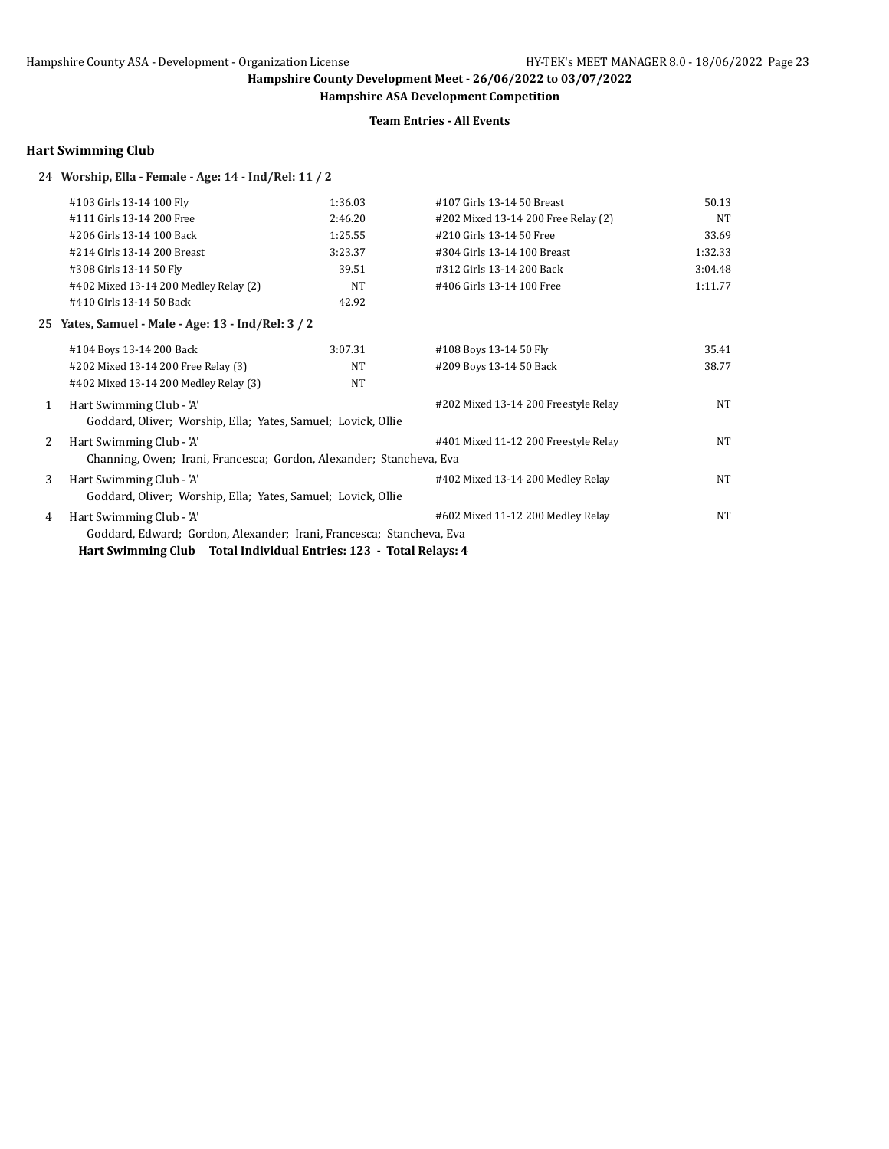**Hampshire ASA Development Competition**

### **Team Entries - All Events**

## **Hart Swimming Club**

## 24 **Worship, Ella - Female - Age: 14 - Ind/Rel: 11 / 2**

|              | #103 Girls 13-14 100 Fly                                             | 1:36.03 | #107 Girls 13-14 50 Breast           | 50.13     |
|--------------|----------------------------------------------------------------------|---------|--------------------------------------|-----------|
|              | #111 Girls 13-14 200 Free                                            | 2:46.20 | #202 Mixed 13-14 200 Free Relay (2)  | NT        |
|              | #206 Girls 13-14 100 Back                                            | 1:25.55 | #210 Girls 13-14 50 Free             | 33.69     |
|              | #214 Girls 13-14 200 Breast                                          | 3:23.37 | #304 Girls 13-14 100 Breast          | 1:32.33   |
|              | #308 Girls 13-14 50 Fly                                              | 39.51   | #312 Girls 13-14 200 Back            | 3:04.48   |
|              | #402 Mixed 13-14 200 Medley Relay (2)                                | NT      | #406 Girls 13-14 100 Free            | 1:11.77   |
|              | #410 Girls 13-14 50 Back                                             | 42.92   |                                      |           |
| 25           | Yates, Samuel - Male - Age: 13 - Ind/Rel: 3 / 2                      |         |                                      |           |
|              | #104 Boys 13-14 200 Back                                             | 3:07.31 | #108 Boys 13-14 50 Fly               | 35.41     |
|              | #202 Mixed 13-14 200 Free Relay (3)                                  | NT      | #209 Boys 13-14 50 Back              | 38.77     |
|              | #402 Mixed 13-14 200 Medley Relay (3)                                | NT      |                                      |           |
| $\mathbf{1}$ | Hart Swimming Club - 'A'                                             |         | #202 Mixed 13-14 200 Freestyle Relay | NT        |
|              | Goddard, Oliver; Worship, Ella; Yates, Samuel; Lovick, Ollie         |         |                                      |           |
| 2            | Hart Swimming Club - 'A'                                             |         | #401 Mixed 11-12 200 Freestyle Relay | NT        |
|              | Channing, Owen; Irani, Francesca; Gordon, Alexander; Stancheva, Eva  |         |                                      |           |
| 3            | Hart Swimming Club - 'A'                                             |         | #402 Mixed 13-14 200 Medley Relay    | NT        |
|              | Goddard, Oliver; Worship, Ella; Yates, Samuel; Lovick, Ollie         |         |                                      |           |
| 4            | Hart Swimming Club - 'A'                                             |         | #602 Mixed 11-12 200 Medley Relay    | <b>NT</b> |
|              | Goddard, Edward; Gordon, Alexander; Irani, Francesca; Stancheva, Eva |         |                                      |           |
|              | Hart Swimming Club Total Individual Entries: 123 - Total Relays: 4   |         |                                      |           |
|              |                                                                      |         |                                      |           |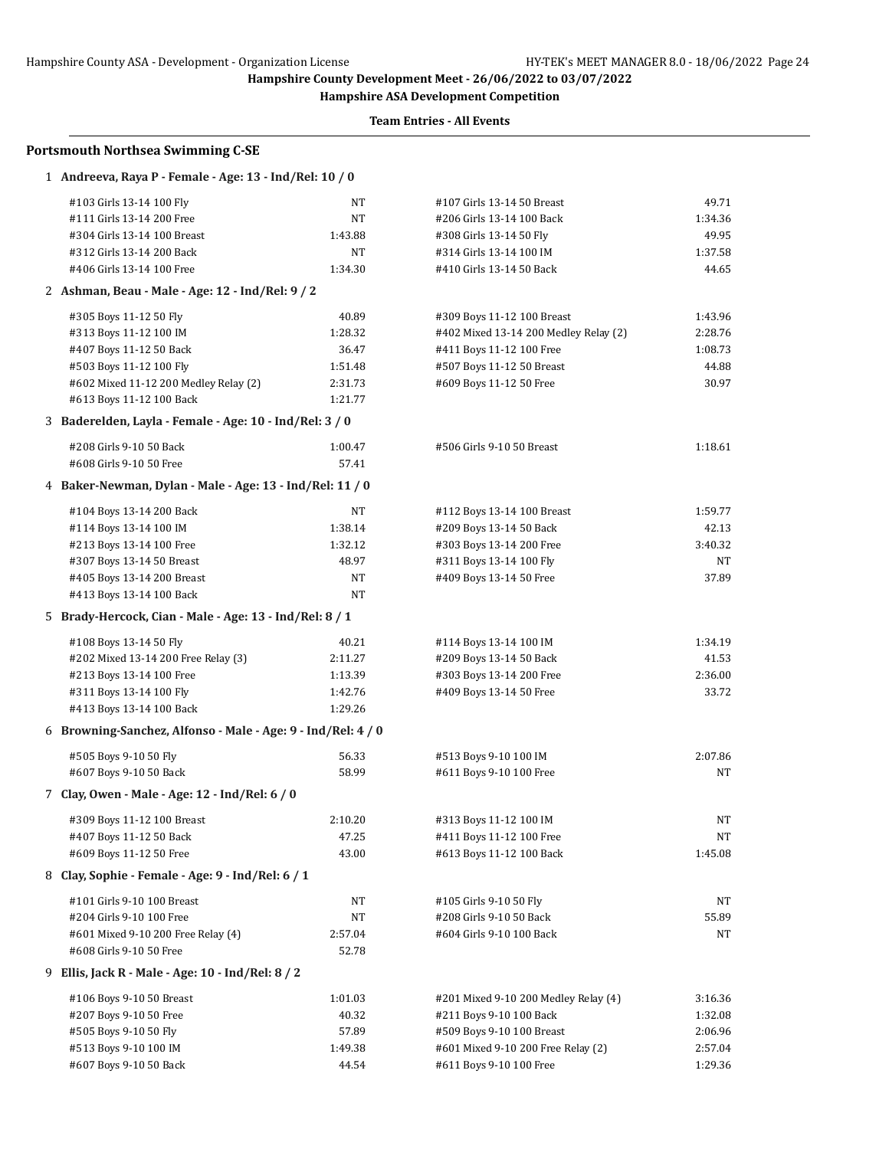**Hampshire ASA Development Competition**

| <b>Portsmouth Northsea Swimming C-SE</b>                     |         |                                       |         |  |  |
|--------------------------------------------------------------|---------|---------------------------------------|---------|--|--|
| 1 Andreeva, Raya P - Female - Age: 13 - Ind/Rel: 10 / 0      |         |                                       |         |  |  |
| #103 Girls 13-14 100 Fly                                     | NΤ      | #107 Girls 13-14 50 Breast            | 49.71   |  |  |
| #111 Girls 13-14 200 Free                                    | NT      | #206 Girls 13-14 100 Back             | 1:34.36 |  |  |
| #304 Girls 13-14 100 Breast                                  | 1:43.88 | #308 Girls 13-14 50 Fly               | 49.95   |  |  |
| #312 Girls 13-14 200 Back                                    | NT      | #314 Girls 13-14 100 IM               | 1:37.58 |  |  |
| #406 Girls 13-14 100 Free                                    | 1:34.30 | #410 Girls 13-14 50 Back              | 44.65   |  |  |
| 2 Ashman, Beau - Male - Age: 12 - Ind/Rel: 9 / 2             |         |                                       |         |  |  |
| #305 Boys 11-12 50 Fly                                       | 40.89   | #309 Boys 11-12 100 Breast            | 1:43.96 |  |  |
| #313 Boys 11-12 100 IM                                       | 1:28.32 | #402 Mixed 13-14 200 Medley Relay (2) | 2:28.76 |  |  |
| #407 Boys 11-12 50 Back                                      | 36.47   | #411 Boys 11-12 100 Free              | 1:08.73 |  |  |
| #503 Boys 11-12 100 Fly                                      | 1:51.48 | #507 Boys 11-12 50 Breast             | 44.88   |  |  |
| #602 Mixed 11-12 200 Medley Relay (2)                        | 2:31.73 | #609 Boys 11-12 50 Free               | 30.97   |  |  |
| #613 Boys 11-12 100 Back                                     | 1:21.77 |                                       |         |  |  |
| 3 Baderelden, Layla - Female - Age: 10 - Ind/Rel: 3 / 0      |         |                                       |         |  |  |
| #208 Girls 9-10 50 Back                                      | 1:00.47 | #506 Girls 9-10 50 Breast             | 1:18.61 |  |  |
| #608 Girls 9-10 50 Free                                      | 57.41   |                                       |         |  |  |
| 4 Baker-Newman, Dylan - Male - Age: 13 - Ind/Rel: 11 / 0     |         |                                       |         |  |  |
| #104 Boys 13-14 200 Back                                     | NT      | #112 Boys 13-14 100 Breast            | 1:59.77 |  |  |
| #114 Boys 13-14 100 IM                                       | 1:38.14 | #209 Boys 13-14 50 Back               | 42.13   |  |  |
| #213 Boys 13-14 100 Free                                     | 1:32.12 | #303 Boys 13-14 200 Free              | 3:40.32 |  |  |
| #307 Boys 13-14 50 Breast                                    | 48.97   | #311 Boys 13-14 100 Fly               | NT      |  |  |
| #405 Boys 13-14 200 Breast                                   | NT      | #409 Boys 13-14 50 Free               | 37.89   |  |  |
| #413 Boys 13-14 100 Back                                     | NT      |                                       |         |  |  |
| 5 Brady-Hercock, Cian - Male - Age: 13 - Ind/Rel: 8 / 1      |         |                                       |         |  |  |
| #108 Boys 13-14 50 Fly                                       | 40.21   | #114 Boys 13-14 100 IM                | 1:34.19 |  |  |
| #202 Mixed 13-14 200 Free Relay (3)                          | 2:11.27 | #209 Boys 13-14 50 Back               | 41.53   |  |  |
| #213 Boys 13-14 100 Free                                     | 1:13.39 | #303 Boys 13-14 200 Free              | 2:36.00 |  |  |
| #311 Boys 13-14 100 Fly                                      | 1:42.76 | #409 Boys 13-14 50 Free               | 33.72   |  |  |
| #413 Boys 13-14 100 Back                                     | 1:29.26 |                                       |         |  |  |
| 6 Browning-Sanchez, Alfonso - Male - Age: 9 - Ind/Rel: 4 / 0 |         |                                       |         |  |  |
| #505 Boys 9-10 50 Fly                                        | 56.33   | #513 Boys 9-10 100 IM                 | 2:07.86 |  |  |
| #607 Boys 9-10 50 Back                                       | 58.99   | #611 Boys 9-10 100 Free               | NT      |  |  |
| Clay, Owen - Male - Age: 12 - Ind/Rel: 6 / 0                 |         |                                       |         |  |  |
| #309 Boys 11-12 100 Breast                                   | 2:10.20 | #313 Boys 11-12 100 IM                | NT      |  |  |
| #407 Boys 11-12 50 Back                                      | 47.25   | #411 Boys 11-12 100 Free              | NT      |  |  |
| #609 Boys 11-12 50 Free                                      | 43.00   | #613 Boys 11-12 100 Back              | 1:45.08 |  |  |
| 8 Clay, Sophie - Female - Age: 9 - Ind/Rel: 6 / 1            |         |                                       |         |  |  |
| #101 Girls 9-10 100 Breast                                   | NT      | #105 Girls 9-10 50 Fly                | NT      |  |  |
| #204 Girls 9-10 100 Free                                     | NT      | #208 Girls 9-10 50 Back               | 55.89   |  |  |
| #601 Mixed 9-10 200 Free Relay (4)                           | 2:57.04 | #604 Girls 9-10 100 Back              | NT      |  |  |
| #608 Girls 9-10 50 Free                                      | 52.78   |                                       |         |  |  |
| 9 Ellis, Jack R - Male - Age: 10 - Ind/Rel: 8 / 2            |         |                                       |         |  |  |
| #106 Boys 9-10 50 Breast                                     | 1:01.03 | #201 Mixed 9-10 200 Medley Relay (4)  | 3:16.36 |  |  |
| #207 Boys 9-10 50 Free                                       | 40.32   | #211 Boys 9-10 100 Back               | 1:32.08 |  |  |
| #505 Boys 9-10 50 Fly                                        | 57.89   | #509 Boys 9-10 100 Breast             | 2:06.96 |  |  |
| #513 Boys 9-10 100 IM                                        | 1:49.38 | #601 Mixed 9-10 200 Free Relay (2)    | 2:57.04 |  |  |
| #607 Boys 9-10 50 Back                                       | 44.54   | #611 Boys 9-10 100 Free               | 1:29.36 |  |  |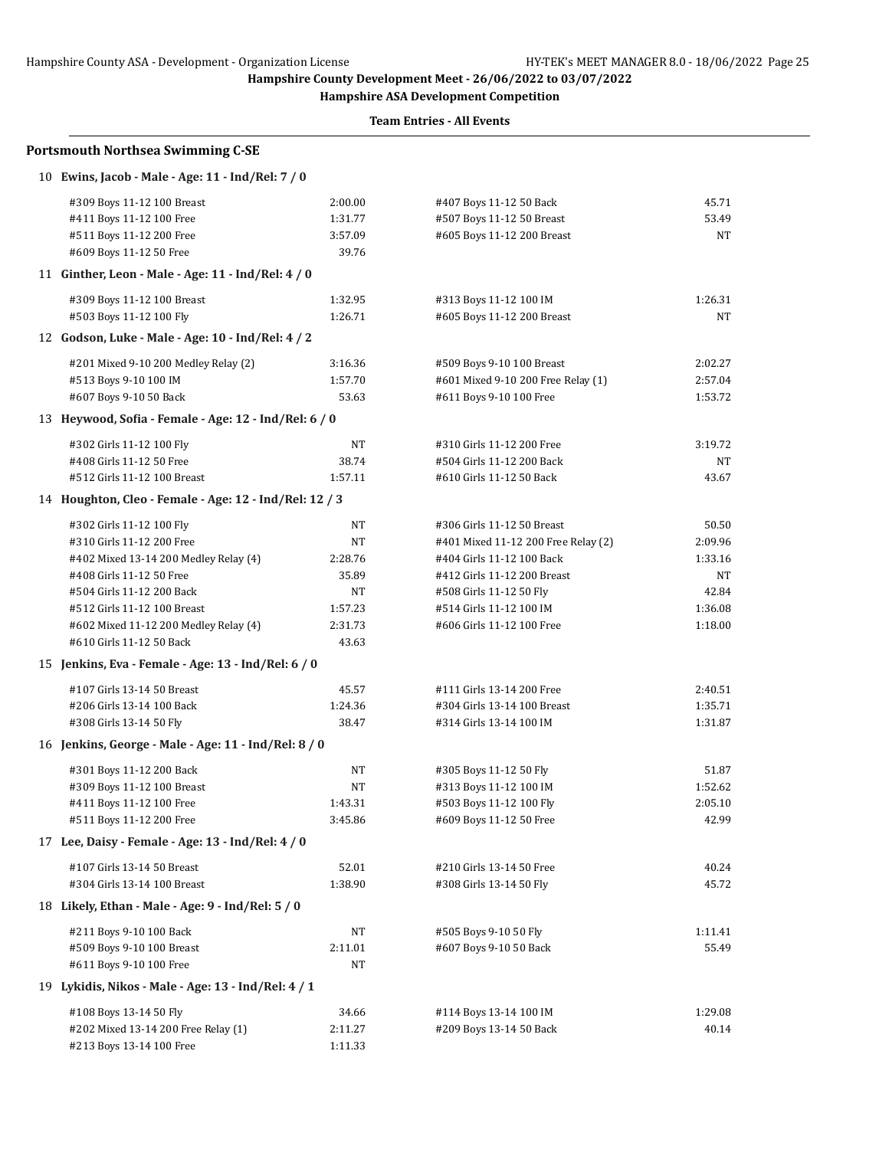**Hampshire ASA Development Competition**

| <b>Portsmouth Northsea Swimming C-SE</b>               |           |                                     |         |
|--------------------------------------------------------|-----------|-------------------------------------|---------|
| 10 Ewins, Jacob - Male - Age: 11 - Ind/Rel: 7 / 0      |           |                                     |         |
| #309 Boys 11-12 100 Breast                             | 2:00.00   | #407 Boys 11-12 50 Back             | 45.71   |
| #411 Boys 11-12 100 Free                               | 1:31.77   | #507 Boys 11-12 50 Breast           | 53.49   |
| #511 Boys 11-12 200 Free                               | 3:57.09   | #605 Boys 11-12 200 Breast          | NT      |
| #609 Boys 11-12 50 Free                                | 39.76     |                                     |         |
| 11 Ginther, Leon - Male - Age: 11 - Ind/Rel: 4 / 0     |           |                                     |         |
| #309 Boys 11-12 100 Breast                             | 1:32.95   | #313 Boys 11-12 100 IM              | 1:26.31 |
| #503 Boys 11-12 100 Fly                                | 1:26.71   | #605 Boys 11-12 200 Breast          | NT      |
| 12 Godson, Luke - Male - Age: 10 - Ind/Rel: 4 / 2      |           |                                     |         |
| #201 Mixed 9-10 200 Medley Relay (2)                   | 3:16.36   | #509 Boys 9-10 100 Breast           | 2:02.27 |
| #513 Boys 9-10 100 IM                                  | 1:57.70   | #601 Mixed 9-10 200 Free Relay (1)  | 2:57.04 |
| #607 Boys 9-10 50 Back                                 | 53.63     | #611 Boys 9-10 100 Free             | 1:53.72 |
| 13 Heywood, Sofia - Female - Age: 12 - Ind/Rel: 6 / 0  |           |                                     |         |
| #302 Girls 11-12 100 Fly                               | NT        | #310 Girls 11-12 200 Free           | 3:19.72 |
| #408 Girls 11-12 50 Free                               | 38.74     | #504 Girls 11-12 200 Back           | NT      |
| #512 Girls 11-12 100 Breast                            | 1:57.11   | #610 Girls 11-12 50 Back            | 43.67   |
| 14 Houghton, Cleo - Female - Age: 12 - Ind/Rel: 12 / 3 |           |                                     |         |
| #302 Girls 11-12 100 Fly                               | NΤ        | #306 Girls 11-12 50 Breast          | 50.50   |
| #310 Girls 11-12 200 Free                              | NΤ        | #401 Mixed 11-12 200 Free Relay (2) | 2:09.96 |
| #402 Mixed 13-14 200 Medley Relay (4)                  | 2:28.76   | #404 Girls 11-12 100 Back           | 1:33.16 |
| #408 Girls 11-12 50 Free                               | 35.89     | #412 Girls 11-12 200 Breast         | NT      |
| #504 Girls 11-12 200 Back                              | NT        | #508 Girls 11-12 50 Fly             | 42.84   |
| #512 Girls 11-12 100 Breast                            | 1:57.23   | #514 Girls 11-12 100 IM             | 1:36.08 |
| #602 Mixed 11-12 200 Medley Relay (4)                  | 2:31.73   | #606 Girls 11-12 100 Free           | 1:18.00 |
| #610 Girls 11-12 50 Back                               | 43.63     |                                     |         |
| 15 Jenkins, Eva - Female - Age: 13 - Ind/Rel: 6 / 0    |           |                                     |         |
| #107 Girls 13-14 50 Breast                             | 45.57     | #111 Girls 13-14 200 Free           | 2:40.51 |
| #206 Girls 13-14 100 Back                              | 1:24.36   | #304 Girls 13-14 100 Breast         | 1:35.71 |
| #308 Girls 13-14 50 Fly                                | 38.47     | #314 Girls 13-14 100 IM             | 1:31.87 |
| 16 Jenkins, George - Male - Age: 11 - Ind/Rel: 8 / 0   |           |                                     |         |
| #301 Boys 11-12 200 Back                               | NT        | #305 Boys 11-12 50 Fly              | 51.87   |
| #309 Boys 11-12 100 Breast                             | <b>NT</b> | #313 Boys 11-12 100 IM              | 1:52.62 |
| #411 Boys 11-12 100 Free                               | 1:43.31   | #503 Boys 11-12 100 Fly             | 2:05.10 |
| #511 Boys 11-12 200 Free                               | 3:45.86   | #609 Boys 11-12 50 Free             | 42.99   |
| 17 Lee, Daisy - Female - Age: 13 - Ind/Rel: 4 / 0      |           |                                     |         |
| #107 Girls 13-14 50 Breast                             | 52.01     | #210 Girls 13-14 50 Free            | 40.24   |
| #304 Girls 13-14 100 Breast                            | 1:38.90   | #308 Girls 13-14 50 Fly             | 45.72   |
| 18 Likely, Ethan - Male - Age: 9 - Ind/Rel: 5 / 0      |           |                                     |         |
| #211 Boys 9-10 100 Back                                | NT        | #505 Boys 9-10 50 Fly               | 1:11.41 |
| #509 Boys 9-10 100 Breast                              | 2:11.01   | #607 Boys 9-10 50 Back              | 55.49   |
| #611 Boys 9-10 100 Free                                | NΤ        |                                     |         |
| 19 Lykidis, Nikos - Male - Age: 13 - Ind/Rel: 4 / 1    |           |                                     |         |
| #108 Boys 13-14 50 Fly                                 | 34.66     | #114 Boys 13-14 100 IM              | 1:29.08 |
| #202 Mixed 13-14 200 Free Relay (1)                    | 2:11.27   | #209 Boys 13-14 50 Back             | 40.14   |
| #213 Boys 13-14 100 Free                               | 1:11.33   |                                     |         |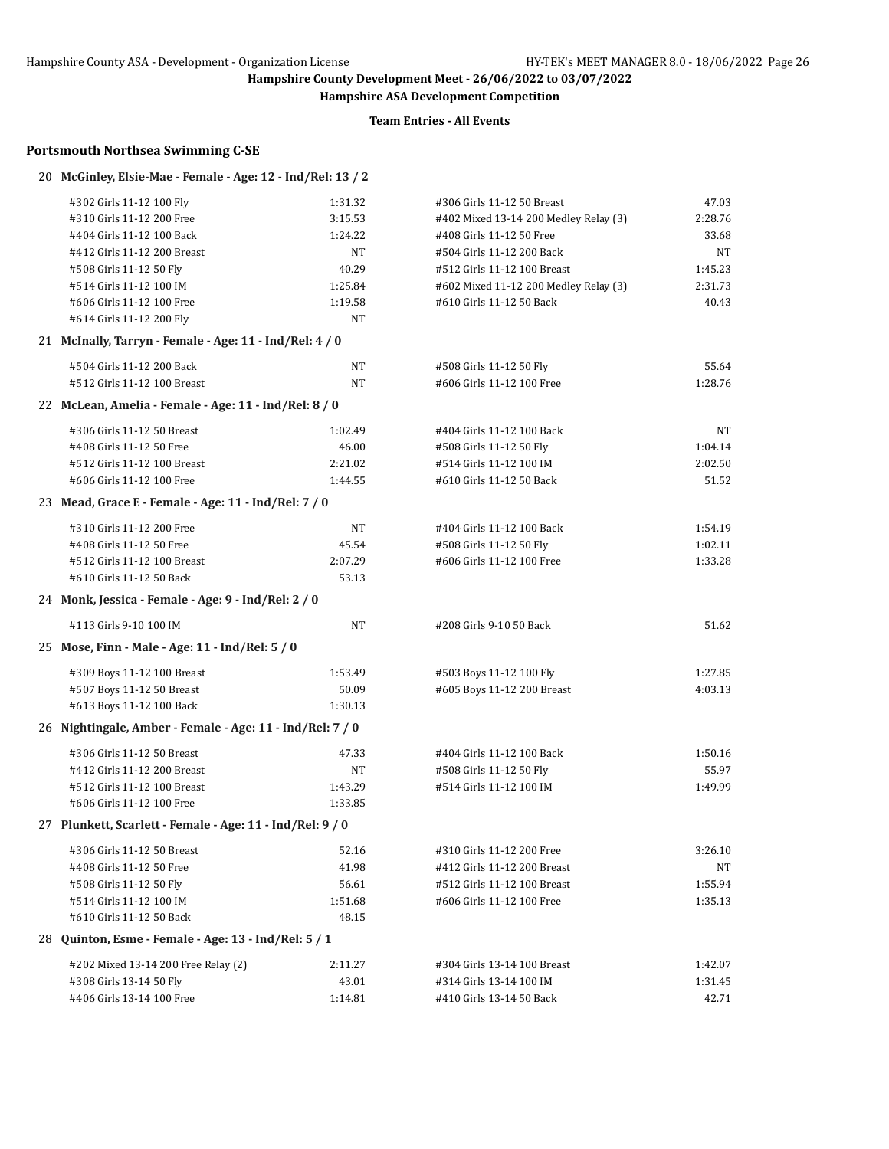**Hampshire ASA Development Competition**

| <b>Portsmouth Northsea Swimming C-SE</b>                    |         |                                       |         |
|-------------------------------------------------------------|---------|---------------------------------------|---------|
| 20 McGinley, Elsie-Mae - Female - Age: 12 - Ind/Rel: 13 / 2 |         |                                       |         |
| #302 Girls 11-12 100 Fly                                    | 1:31.32 | #306 Girls 11-12 50 Breast            | 47.03   |
| #310 Girls 11-12 200 Free                                   | 3:15.53 | #402 Mixed 13-14 200 Medley Relay (3) | 2:28.76 |
| #404 Girls 11-12 100 Back                                   | 1:24.22 | #408 Girls 11-12 50 Free              | 33.68   |
| #412 Girls 11-12 200 Breast                                 | NT      | #504 Girls 11-12 200 Back             | NT      |
| #508 Girls 11-12 50 Fly                                     | 40.29   | #512 Girls 11-12 100 Breast           | 1:45.23 |
| #514 Girls 11-12 100 IM                                     | 1:25.84 | #602 Mixed 11-12 200 Medley Relay (3) | 2:31.73 |
| #606 Girls 11-12 100 Free                                   | 1:19.58 | #610 Girls 11-12 50 Back              | 40.43   |
| #614 Girls 11-12 200 Fly                                    | NT      |                                       |         |
| 21 McInally, Tarryn - Female - Age: 11 - Ind/Rel: 4 / 0     |         |                                       |         |
| #504 Girls 11-12 200 Back                                   | NT      | #508 Girls 11-12 50 Fly               | 55.64   |
| #512 Girls 11-12 100 Breast                                 | NT      | #606 Girls 11-12 100 Free             | 1:28.76 |
| 22 McLean, Amelia - Female - Age: 11 - Ind/Rel: 8 / 0       |         |                                       |         |
| #306 Girls 11-12 50 Breast                                  | 1:02.49 | #404 Girls 11-12 100 Back             | NT      |
| #408 Girls 11-12 50 Free                                    | 46.00   | #508 Girls 11-12 50 Fly               | 1:04.14 |
| #512 Girls 11-12 100 Breast                                 | 2:21.02 | #514 Girls 11-12 100 IM               | 2:02.50 |
| #606 Girls 11-12 100 Free                                   | 1:44.55 | #610 Girls 11-12 50 Back              | 51.52   |
| 23 Mead, Grace E - Female - Age: 11 - Ind/Rel: 7 / 0        |         |                                       |         |
| #310 Girls 11-12 200 Free                                   | NT      | #404 Girls 11-12 100 Back             | 1:54.19 |
| #408 Girls 11-12 50 Free                                    | 45.54   | #508 Girls 11-12 50 Fly               | 1:02.11 |
| #512 Girls 11-12 100 Breast                                 | 2:07.29 | #606 Girls 11-12 100 Free             | 1:33.28 |
| #610 Girls 11-12 50 Back                                    | 53.13   |                                       |         |
| 24 Monk, Jessica - Female - Age: 9 - Ind/Rel: 2 / 0         |         |                                       |         |
| #113 Girls 9-10 100 IM                                      | NT      | #208 Girls 9-10 50 Back               | 51.62   |
| 25 Mose, Finn - Male - Age: 11 - Ind/Rel: 5 / 0             |         |                                       |         |
| #309 Boys 11-12 100 Breast                                  | 1:53.49 | #503 Boys 11-12 100 Fly               | 1:27.85 |
| #507 Boys 11-12 50 Breast                                   | 50.09   | #605 Boys 11-12 200 Breast            | 4:03.13 |
| #613 Boys 11-12 100 Back                                    | 1:30.13 |                                       |         |
| 26 Nightingale, Amber - Female - Age: 11 - Ind/Rel: 7 / 0   |         |                                       |         |
| #306 Girls 11-12 50 Breast                                  | 47.33   | #404 Girls 11-12 100 Back             | 1:50.16 |
| #412 Girls 11-12 200 Breast                                 | NΤ      | #508 Girls 11-12 50 Fly               | 55.97   |
| #512 Girls 11-12 100 Breast                                 | 1:43.29 | #514 Girls 11-12 100 IM               | 1:49.99 |
| #606 Girls 11-12 100 Free                                   | 1:33.85 |                                       |         |
| 27 Plunkett, Scarlett - Female - Age: 11 - Ind/Rel: 9 / 0   |         |                                       |         |
| #306 Girls 11-12 50 Breast                                  | 52.16   | #310 Girls 11-12 200 Free             | 3:26.10 |
| #408 Girls 11-12 50 Free                                    | 41.98   | #412 Girls 11-12 200 Breast           | NT      |
| #508 Girls 11-12 50 Fly                                     | 56.61   | #512 Girls 11-12 100 Breast           | 1:55.94 |
| #514 Girls 11-12 100 IM                                     | 1:51.68 | #606 Girls 11-12 100 Free             | 1:35.13 |
| #610 Girls 11-12 50 Back                                    | 48.15   |                                       |         |
| 28 Quinton, Esme - Female - Age: 13 - Ind/Rel: 5 / 1        |         |                                       |         |
| #202 Mixed 13-14 200 Free Relay (2)                         | 2:11.27 | #304 Girls 13-14 100 Breast           | 1:42.07 |
| #308 Girls 13-14 50 Fly                                     | 43.01   | #314 Girls 13-14 100 IM               | 1:31.45 |
| #406 Girls 13-14 100 Free                                   | 1:14.81 | #410 Girls 13-14 50 Back              | 42.71   |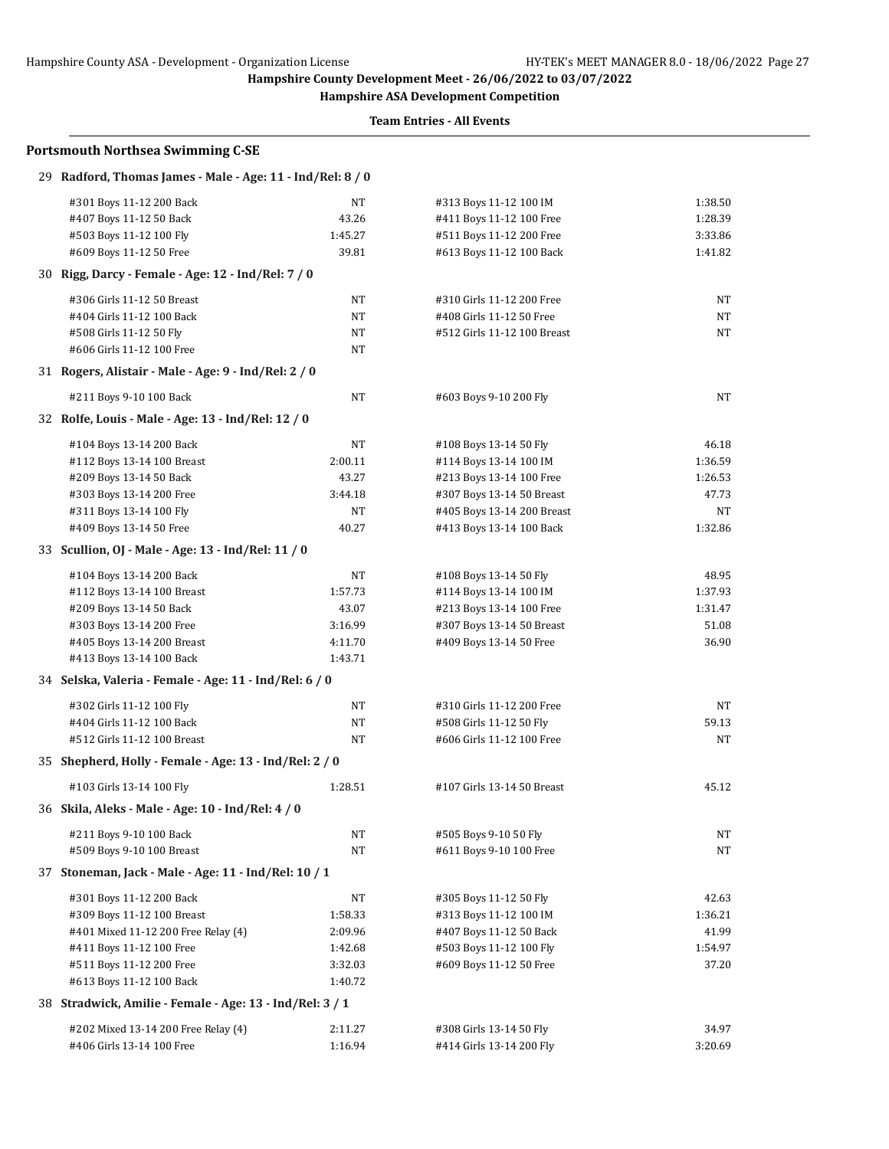**Hampshire ASA Development Competition**

| 29 Radford, Thomas James - Male - Age: 11 - Ind/Rel: 8 / 0 |         |                             |         |
|------------------------------------------------------------|---------|-----------------------------|---------|
| #301 Boys 11-12 200 Back                                   | NT      | #313 Boys 11-12 100 IM      | 1:38.50 |
| #407 Boys 11-12 50 Back                                    | 43.26   | #411 Boys 11-12 100 Free    | 1:28.39 |
| #503 Boys 11-12 100 Fly                                    | 1:45.27 | #511 Boys 11-12 200 Free    | 3:33.86 |
| #609 Boys 11-12 50 Free                                    | 39.81   | #613 Boys 11-12 100 Back    | 1:41.82 |
| 30 Rigg, Darcy - Female - Age: 12 - Ind/Rel: 7 / 0         |         |                             |         |
| #306 Girls 11-12 50 Breast                                 | NT      | #310 Girls 11-12 200 Free   | NΤ      |
| #404 Girls 11-12 100 Back                                  | NT      | #408 Girls 11-12 50 Free    | NT      |
| #508 Girls 11-12 50 Fly                                    | NΤ      | #512 Girls 11-12 100 Breast | NT      |
| #606 Girls 11-12 100 Free                                  | NΤ      |                             |         |
| 31 Rogers, Alistair - Male - Age: 9 - Ind/Rel: 2 / 0       |         |                             |         |
| #211 Boys 9-10 100 Back                                    | NT      | #603 Boys 9-10 200 Fly      | NT      |
| 32 Rolfe, Louis - Male - Age: 13 - Ind/Rel: 12 / 0         |         |                             |         |
| #104 Boys 13-14 200 Back                                   | NΤ      | #108 Boys 13-14 50 Fly      | 46.18   |
| #112 Boys 13-14 100 Breast                                 | 2:00.11 | #114 Boys 13-14 100 IM      | 1:36.59 |
| #209 Boys 13-14 50 Back                                    | 43.27   | #213 Boys 13-14 100 Free    | 1:26.53 |
| #303 Boys 13-14 200 Free                                   | 3:44.18 | #307 Boys 13-14 50 Breast   | 47.73   |
| #311 Boys 13-14 100 Fly                                    | NΤ      | #405 Boys 13-14 200 Breast  | NT      |
| #409 Boys 13-14 50 Free                                    | 40.27   | #413 Boys 13-14 100 Back    | 1:32.86 |
| 33 Scullion, OJ - Male - Age: 13 - Ind/Rel: 11 / 0         |         |                             |         |
| #104 Boys 13-14 200 Back                                   | NT      | #108 Boys 13-14 50 Fly      | 48.95   |
| #112 Boys 13-14 100 Breast                                 | 1:57.73 | #114 Boys 13-14 100 IM      | 1:37.93 |
| #209 Boys 13-14 50 Back                                    | 43.07   | #213 Boys 13-14 100 Free    | 1:31.47 |
| #303 Boys 13-14 200 Free                                   | 3:16.99 | #307 Boys 13-14 50 Breast   | 51.08   |
| #405 Boys 13-14 200 Breast                                 | 4:11.70 | #409 Boys 13-14 50 Free     | 36.90   |
| #413 Boys 13-14 100 Back                                   | 1:43.71 |                             |         |
| 34 Selska, Valeria - Female - Age: 11 - Ind/Rel: 6 / 0     |         |                             |         |
| #302 Girls 11-12 100 Fly                                   | NΤ      | #310 Girls 11-12 200 Free   | NT      |
| #404 Girls 11-12 100 Back                                  | NT      | #508 Girls 11-12 50 Fly     | 59.13   |
| #512 Girls 11-12 100 Breast                                | NΤ      | #606 Girls 11-12 100 Free   | NT      |
| 35 Shepherd, Holly - Female - Age: 13 - Ind/Rel: 2 / 0     |         |                             |         |
| #103 Girls 13-14 100 Fly                                   | 1:28.51 | #107 Girls 13-14 50 Breast  | 45.12   |
| 36 Skila, Aleks - Male - Age: 10 - Ind/Rel: 4 / 0          |         |                             |         |
| #211 Boys 9-10 100 Back                                    | NT      | #505 Boys 9-10 50 Fly       | NΤ      |
| #509 Boys 9-10 100 Breast                                  | NΤ      | #611 Boys 9-10 100 Free     | NΤ      |
| 37 Stoneman, Jack - Male - Age: 11 - Ind/Rel: 10 / 1       |         |                             |         |
| #301 Boys 11-12 200 Back                                   | NT      | #305 Boys 11-12 50 Fly      | 42.63   |
| #309 Boys 11-12 100 Breast                                 | 1:58.33 | #313 Boys 11-12 100 IM      | 1:36.21 |
| #401 Mixed 11-12 200 Free Relay (4)                        | 2:09.96 | #407 Boys 11-12 50 Back     | 41.99   |
| #411 Boys 11-12 100 Free                                   | 1:42.68 | #503 Boys 11-12 100 Fly     | 1:54.97 |
| #511 Boys 11-12 200 Free                                   | 3:32.03 | #609 Boys 11-12 50 Free     | 37.20   |
| #613 Boys 11-12 100 Back                                   | 1:40.72 |                             |         |
| 38 Stradwick, Amilie - Female - Age: 13 - Ind/Rel: 3 / 1   |         |                             |         |
| #202 Mixed 13-14 200 Free Relay (4)                        | 2:11.27 | #308 Girls 13-14 50 Fly     | 34.97   |
| #406 Girls 13-14 100 Free                                  | 1:16.94 | #414 Girls 13-14 200 Fly    | 3:20.69 |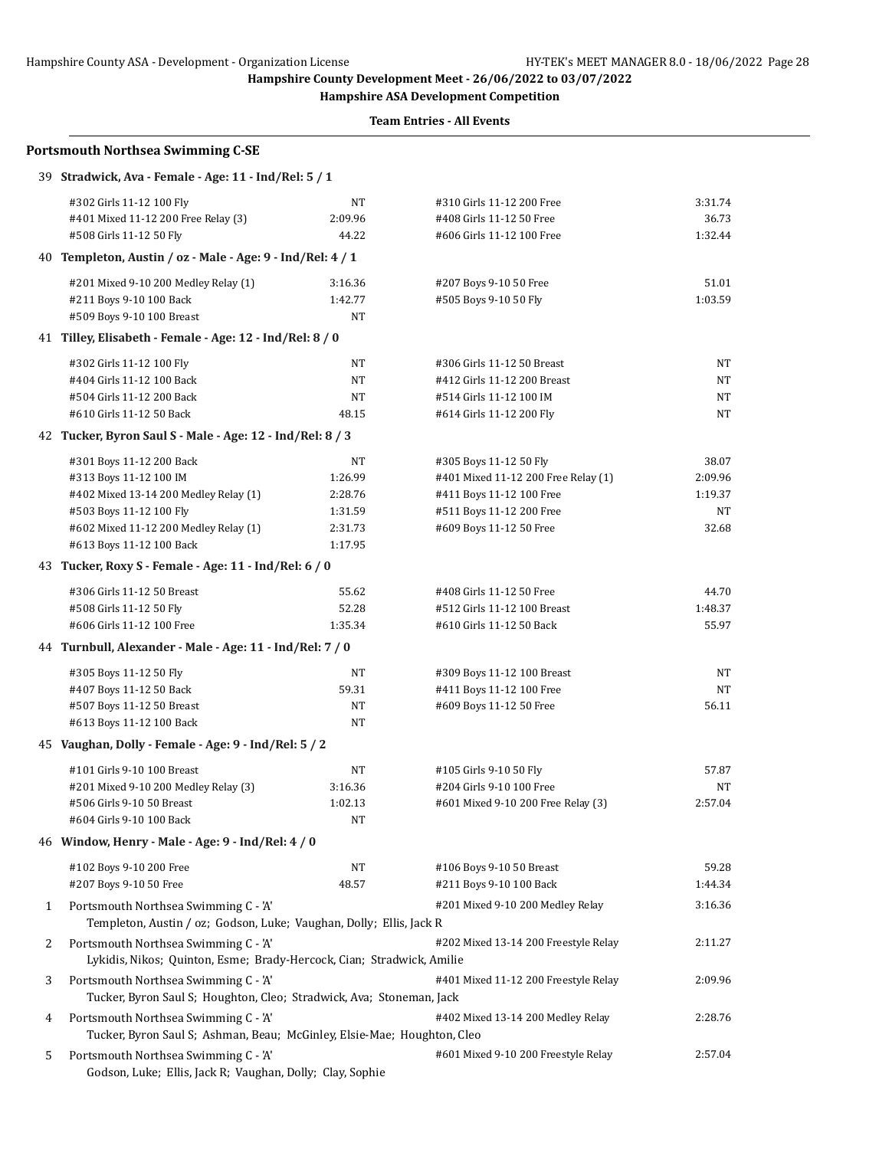## Hampshire County ASA - Development - Organization License HY-TEK's MEET MANAGER 8.0 - 18/06/2022 Page 28

**Hampshire County Development Meet - 26/06/2022 to 03/07/2022**

**Hampshire ASA Development Competition**

|   | <b>Portsmouth Northsea Swimming C-SE</b>                                                                     |                    |                                                         |                  |
|---|--------------------------------------------------------------------------------------------------------------|--------------------|---------------------------------------------------------|------------------|
|   | 39 Stradwick, Ava - Female - Age: 11 - Ind/Rel: 5 / 1                                                        |                    |                                                         |                  |
|   | #302 Girls 11-12 100 Fly                                                                                     | NΤ                 | #310 Girls 11-12 200 Free                               | 3:31.74          |
|   | #401 Mixed 11-12 200 Free Relay (3)                                                                          | 2:09.96            | #408 Girls 11-12 50 Free                                | 36.73            |
|   | #508 Girls 11-12 50 Fly                                                                                      | 44.22              | #606 Girls 11-12 100 Free                               | 1:32.44          |
|   | 40 Templeton, Austin / oz - Male - Age: 9 - Ind/Rel: 4 / 1                                                   |                    |                                                         |                  |
|   | #201 Mixed 9-10 200 Medley Relay (1)                                                                         | 3:16.36            | #207 Boys 9-10 50 Free                                  | 51.01            |
|   | #211 Boys 9-10 100 Back                                                                                      | 1:42.77            | #505 Boys 9-10 50 Fly                                   | 1:03.59          |
|   | #509 Boys 9-10 100 Breast                                                                                    | NT                 |                                                         |                  |
|   | 41 Tilley, Elisabeth - Female - Age: 12 - Ind/Rel: 8 / 0                                                     |                    |                                                         |                  |
|   | #302 Girls 11-12 100 Fly                                                                                     | NΤ                 | #306 Girls 11-12 50 Breast                              | NT               |
|   | #404 Girls 11-12 100 Back                                                                                    | NΤ                 | #412 Girls 11-12 200 Breast                             | NΤ               |
|   | #504 Girls 11-12 200 Back                                                                                    | NT                 | #514 Girls 11-12 100 IM                                 | NΤ               |
|   | #610 Girls 11-12 50 Back                                                                                     | 48.15              | #614 Girls 11-12 200 Fly                                | NT               |
|   | 42 Tucker, Byron Saul S - Male - Age: 12 - Ind/Rel: 8 / 3                                                    |                    |                                                         |                  |
|   | #301 Boys 11-12 200 Back                                                                                     | NΤ                 | #305 Boys 11-12 50 Fly                                  | 38.07            |
|   | #313 Boys 11-12 100 IM                                                                                       | 1:26.99            | #401 Mixed 11-12 200 Free Relay (1)                     | 2:09.96          |
|   | #402 Mixed 13-14 200 Medley Relay (1)                                                                        | 2:28.76            | #411 Boys 11-12 100 Free                                | 1:19.37          |
|   | #503 Boys 11-12 100 Fly                                                                                      | 1:31.59            | #511 Boys 11-12 200 Free                                | NT               |
|   | #602 Mixed 11-12 200 Medley Relay (1)<br>#613 Boys 11-12 100 Back                                            | 2:31.73<br>1:17.95 | #609 Boys 11-12 50 Free                                 | 32.68            |
|   | 43 Tucker, Roxy S - Female - Age: 11 - Ind/Rel: 6 / 0                                                        |                    |                                                         |                  |
|   |                                                                                                              |                    |                                                         |                  |
|   | #306 Girls 11-12 50 Breast                                                                                   | 55.62              | #408 Girls 11-12 50 Free                                | 44.70            |
|   | #508 Girls 11-12 50 Fly<br>#606 Girls 11-12 100 Free                                                         | 52.28<br>1:35.34   | #512 Girls 11-12 100 Breast<br>#610 Girls 11-12 50 Back | 1:48.37<br>55.97 |
|   | 44 Turnbull, Alexander - Male - Age: 11 - Ind/Rel: 7 / 0                                                     |                    |                                                         |                  |
|   |                                                                                                              |                    |                                                         |                  |
|   | #305 Boys 11-12 50 Fly<br>#407 Boys 11-12 50 Back                                                            | NΤ<br>59.31        | #309 Boys 11-12 100 Breast<br>#411 Boys 11-12 100 Free  | NT<br>NT         |
|   | #507 Boys 11-12 50 Breast                                                                                    | NT                 | #609 Boys 11-12 50 Free                                 | 56.11            |
|   | #613 Boys 11-12 100 Back                                                                                     | NT                 |                                                         |                  |
|   | 45 Vaughan, Dolly - Female - Age: 9 - Ind/Rel: 5 / 2                                                         |                    |                                                         |                  |
|   | #101 Girls 9-10 100 Breast                                                                                   | NT                 | #105 Girls 9-10 50 Fly                                  | 57.87            |
|   | #201 Mixed 9-10 200 Medley Relay (3)                                                                         | 3:16.36            | #204 Girls 9-10 100 Free                                | NT               |
|   | #506 Girls 9-10 50 Breast                                                                                    | 1:02.13            | #601 Mixed 9-10 200 Free Relay (3)                      | 2:57.04          |
|   | #604 Girls 9-10 100 Back                                                                                     | NT                 |                                                         |                  |
|   | 46 Window, Henry - Male - Age: 9 - Ind/Rel: 4 / 0                                                            |                    |                                                         |                  |
|   | #102 Boys 9-10 200 Free                                                                                      | NT                 | #106 Boys 9-10 50 Breast                                | 59.28            |
|   | #207 Boys 9-10 50 Free                                                                                       | 48.57              | #211 Boys 9-10 100 Back                                 | 1:44.34          |
| 1 | Portsmouth Northsea Swimming C - 'A'                                                                         |                    | #201 Mixed 9-10 200 Medley Relay                        | 3:16.36          |
|   | Templeton, Austin / oz; Godson, Luke; Vaughan, Dolly; Ellis, Jack R                                          |                    |                                                         |                  |
| 2 | Portsmouth Northsea Swimming C - 'A'                                                                         |                    | #202 Mixed 13-14 200 Freestyle Relay                    | 2:11.27          |
|   | Lykidis, Nikos; Quinton, Esme; Brady-Hercock, Cian; Stradwick, Amilie                                        |                    |                                                         |                  |
| 3 | Portsmouth Northsea Swimming C - 'A'<br>Tucker, Byron Saul S; Houghton, Cleo; Stradwick, Ava; Stoneman, Jack |                    | #401 Mixed 11-12 200 Freestyle Relay                    | 2:09.96          |
| 4 | Portsmouth Northsea Swimming C - 'A'                                                                         |                    | #402 Mixed 13-14 200 Medley Relay                       | 2:28.76          |
|   | Tucker, Byron Saul S; Ashman, Beau; McGinley, Elsie-Mae; Houghton, Cleo                                      |                    |                                                         |                  |
| 5 | Portsmouth Northsea Swimming C - 'A'<br>Godson, Luke; Ellis, Jack R; Vaughan, Dolly; Clay, Sophie            |                    | #601 Mixed 9-10 200 Freestyle Relay                     | 2:57.04          |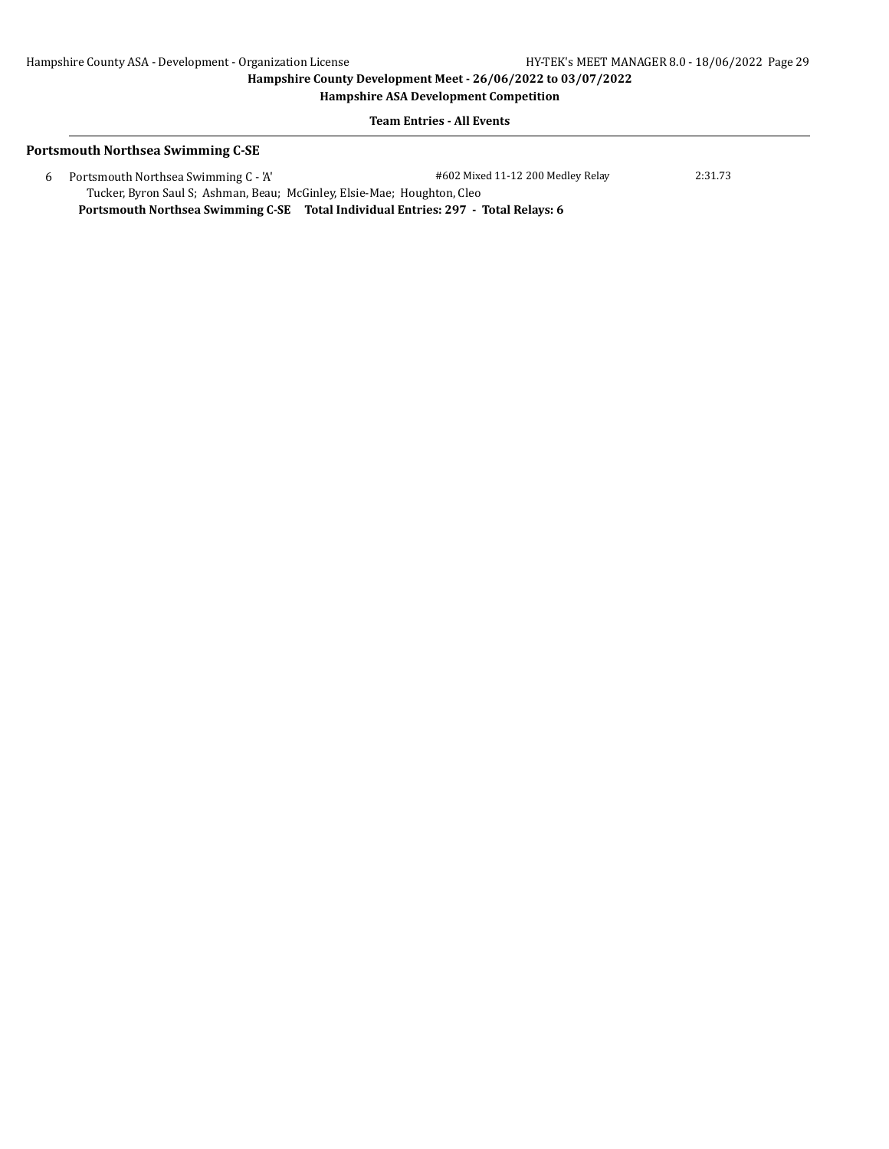#### **Hampshire ASA Development Competition**

**Team Entries - All Events**

### **Portsmouth Northsea Swimming C-SE**

 6 Portsmouth Northsea Swimming C - 'A' #602 Mixed 11-12 200 Medley Relay 2:31.73 Tucker, Byron Saul S; Ashman, Beau; McGinley, Elsie-Mae; Houghton, Cleo **Portsmouth Northsea Swimming C-SE Total Individual Entries: 297 - Total Relays: 6**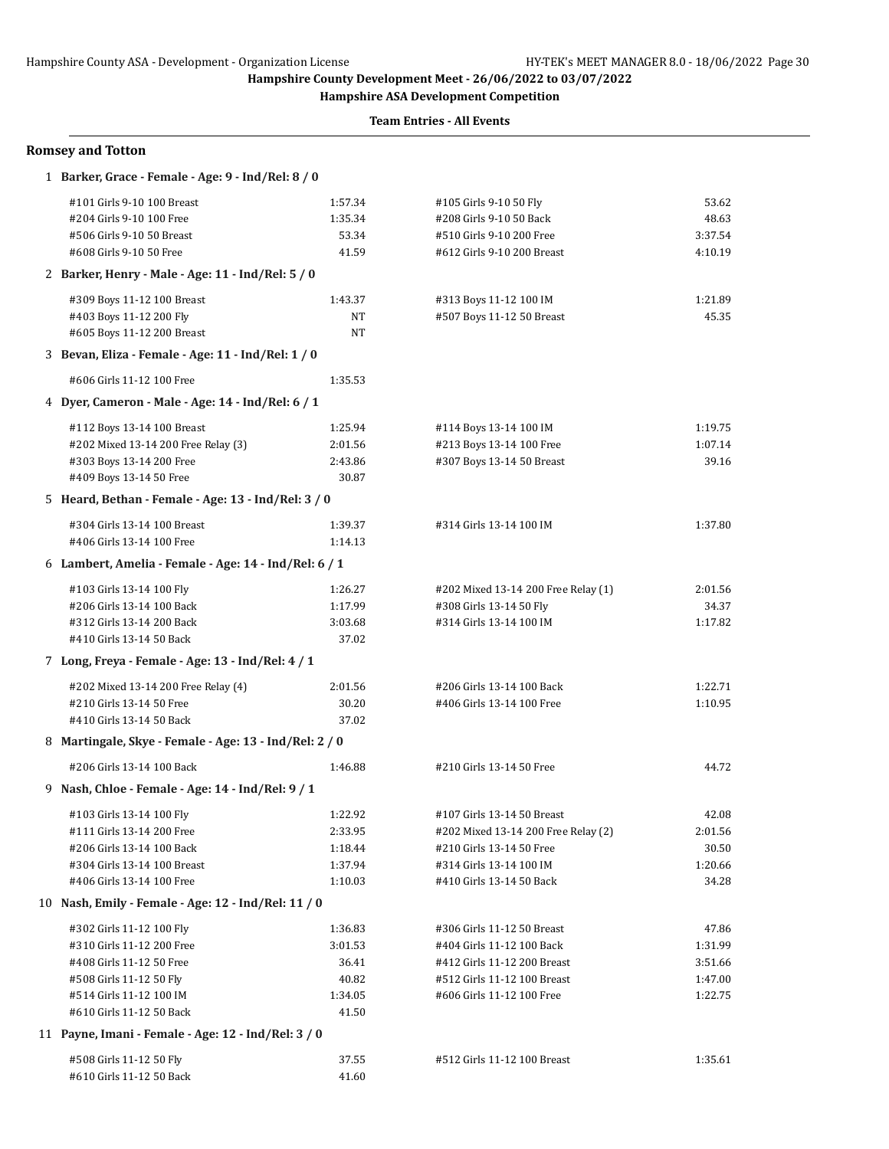**Hampshire ASA Development Competition**

**Team Entries - All Events**

| <b>Romsey and Totton</b>                                                                                                                                                                            |                                                          |                                                                                                                                                      |                                                   |  |  |  |
|-----------------------------------------------------------------------------------------------------------------------------------------------------------------------------------------------------|----------------------------------------------------------|------------------------------------------------------------------------------------------------------------------------------------------------------|---------------------------------------------------|--|--|--|
| 1 Barker, Grace - Female - Age: 9 - Ind/Rel: 8 / 0                                                                                                                                                  |                                                          |                                                                                                                                                      |                                                   |  |  |  |
| #101 Girls 9-10 100 Breast<br>#204 Girls 9-10 100 Free<br>#506 Girls 9-10 50 Breast<br>#608 Girls 9-10 50 Free                                                                                      | 1:57.34<br>1:35.34<br>53.34<br>41.59                     | #105 Girls 9-10 50 Fly<br>#208 Girls 9-10 50 Back<br>#510 Girls 9-10 200 Free<br>#612 Girls 9-10 200 Breast                                          | 53.62<br>48.63<br>3:37.54<br>4:10.19              |  |  |  |
| 2 Barker, Henry - Male - Age: 11 - Ind/Rel: 5 / 0                                                                                                                                                   |                                                          |                                                                                                                                                      |                                                   |  |  |  |
| #309 Boys 11-12 100 Breast<br>#403 Boys 11-12 200 Fly<br>#605 Boys 11-12 200 Breast                                                                                                                 | 1:43.37<br><b>NT</b><br>NT                               | #313 Boys 11-12 100 IM<br>#507 Boys 11-12 50 Breast                                                                                                  | 1:21.89<br>45.35                                  |  |  |  |
| 3 Bevan, Eliza - Female - Age: 11 - Ind/Rel: 1 / 0                                                                                                                                                  |                                                          |                                                                                                                                                      |                                                   |  |  |  |
| #606 Girls 11-12 100 Free                                                                                                                                                                           | 1:35.53                                                  |                                                                                                                                                      |                                                   |  |  |  |
| 4 Dyer, Cameron - Male - Age: 14 - Ind/Rel: 6 / 1                                                                                                                                                   |                                                          |                                                                                                                                                      |                                                   |  |  |  |
| #112 Boys 13-14 100 Breast<br>#202 Mixed 13-14 200 Free Relay (3)<br>#303 Boys 13-14 200 Free<br>#409 Boys 13-14 50 Free                                                                            | 1:25.94<br>2:01.56<br>2:43.86<br>30.87                   | #114 Boys 13-14 100 IM<br>#213 Boys 13-14 100 Free<br>#307 Boys 13-14 50 Breast                                                                      | 1:19.75<br>1:07.14<br>39.16                       |  |  |  |
| 5 Heard, Bethan - Female - Age: 13 - Ind/Rel: 3 / 0                                                                                                                                                 |                                                          |                                                                                                                                                      |                                                   |  |  |  |
| #304 Girls 13-14 100 Breast<br>#406 Girls 13-14 100 Free                                                                                                                                            | 1:39.37<br>1:14.13                                       | #314 Girls 13-14 100 IM                                                                                                                              | 1:37.80                                           |  |  |  |
| 6 Lambert, Amelia - Female - Age: 14 - Ind/Rel: 6 / 1                                                                                                                                               |                                                          |                                                                                                                                                      |                                                   |  |  |  |
| #103 Girls 13-14 100 Fly<br>#206 Girls 13-14 100 Back<br>#312 Girls 13-14 200 Back<br>#410 Girls 13-14 50 Back                                                                                      | 1:26.27<br>1:17.99<br>3:03.68<br>37.02                   | #202 Mixed 13-14 200 Free Relay (1)<br>#308 Girls 13-14 50 Fly<br>#314 Girls 13-14 100 IM                                                            | 2:01.56<br>34.37<br>1:17.82                       |  |  |  |
| 7 Long, Freya - Female - Age: 13 - Ind/Rel: 4 / 1                                                                                                                                                   |                                                          |                                                                                                                                                      |                                                   |  |  |  |
| #202 Mixed 13-14 200 Free Relay (4)<br>#210 Girls 13-14 50 Free<br>#410 Girls 13-14 50 Back                                                                                                         | 2:01.56<br>30.20<br>37.02                                | #206 Girls 13-14 100 Back<br>#406 Girls 13-14 100 Free                                                                                               | 1:22.71<br>1:10.95                                |  |  |  |
| 8 Martingale, Skye - Female - Age: 13 - Ind/Rel: 2 / 0                                                                                                                                              |                                                          |                                                                                                                                                      |                                                   |  |  |  |
| #206 Girls 13-14 100 Back                                                                                                                                                                           | 1:46.88                                                  | #210 Girls 13-14 50 Free                                                                                                                             | 44.72                                             |  |  |  |
| 9 Nash, Chloe - Female - Age: 14 - Ind/Rel: 9 / 1<br>#103 Girls 13-14 100 Fly<br>#111 Girls 13-14 200 Free<br>#206 Girls 13-14 100 Back<br>#304 Girls 13-14 100 Breast<br>#406 Girls 13-14 100 Free | 1:22.92<br>2:33.95<br>1:18.44<br>1:37.94<br>1:10.03      | #107 Girls 13-14 50 Breast<br>#202 Mixed 13-14 200 Free Relay (2)<br>#210 Girls 13-14 50 Free<br>#314 Girls 13-14 100 IM<br>#410 Girls 13-14 50 Back | 42.08<br>2:01.56<br>30.50<br>1:20.66<br>34.28     |  |  |  |
| 10 Nash, Emily - Female - Age: 12 - Ind/Rel: 11 / 0                                                                                                                                                 |                                                          |                                                                                                                                                      |                                                   |  |  |  |
| #302 Girls 11-12 100 Fly<br>#310 Girls 11-12 200 Free<br>#408 Girls 11-12 50 Free<br>#508 Girls 11-12 50 Fly<br>#514 Girls 11-12 100 IM<br>#610 Girls 11-12 50 Back                                 | 1:36.83<br>3:01.53<br>36.41<br>40.82<br>1:34.05<br>41.50 | #306 Girls 11-12 50 Breast<br>#404 Girls 11-12 100 Back<br>#412 Girls 11-12 200 Breast<br>#512 Girls 11-12 100 Breast<br>#606 Girls 11-12 100 Free   | 47.86<br>1:31.99<br>3:51.66<br>1:47.00<br>1:22.75 |  |  |  |
| 11 Payne, Imani - Female - Age: 12 - Ind/Rel: 3 / 0                                                                                                                                                 |                                                          |                                                                                                                                                      |                                                   |  |  |  |
| #508 Girls 11-12 50 Fly                                                                                                                                                                             | 37.55                                                    | #512 Girls 11-12 100 Breast                                                                                                                          | 1:35.61                                           |  |  |  |

#610 Girls 11-12 50 Back 41.60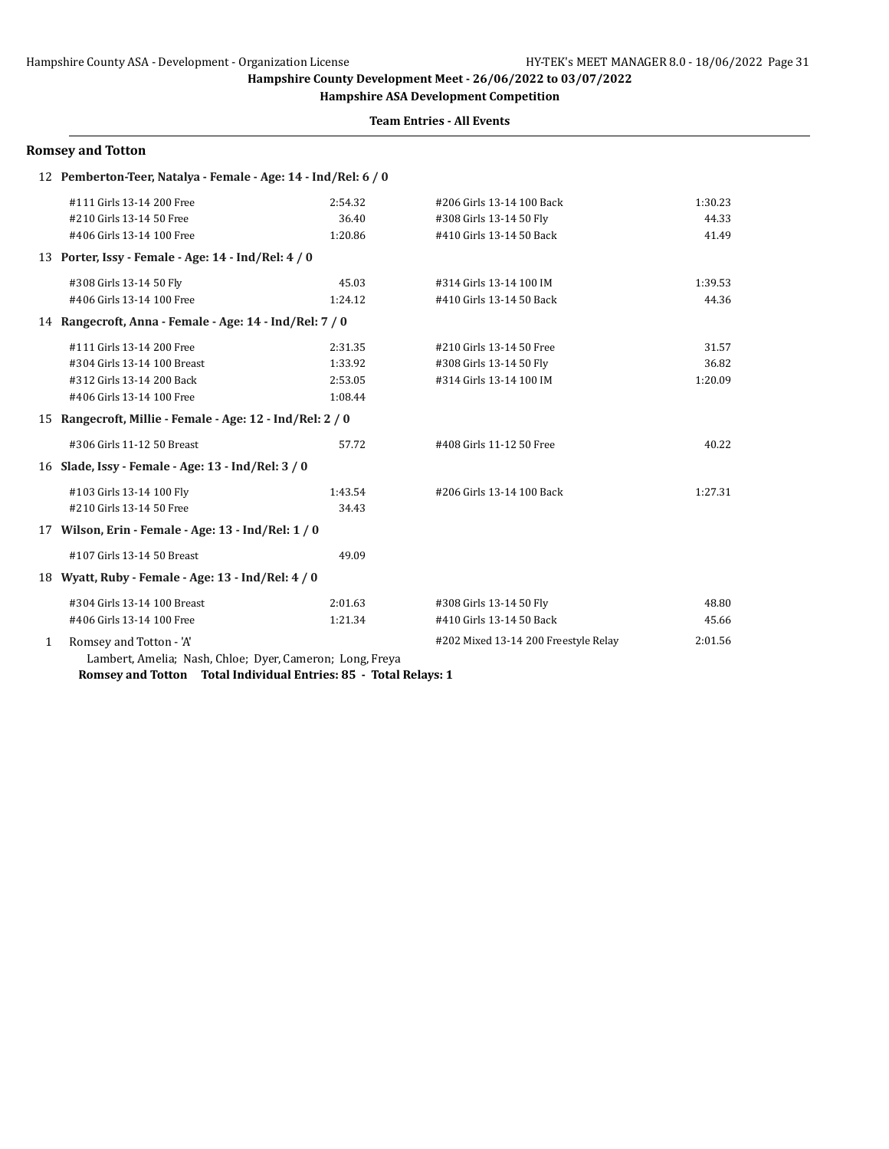**Hampshire ASA Development Competition**

### **Team Entries - All Events**

|              | <b>Romsey and Totton</b>                                       |         |                                      |         |
|--------------|----------------------------------------------------------------|---------|--------------------------------------|---------|
|              | 12 Pemberton-Teer, Natalya - Female - Age: 14 - Ind/Rel: 6 / 0 |         |                                      |         |
|              | #111 Girls 13-14 200 Free                                      | 2:54.32 | #206 Girls 13-14 100 Back            | 1:30.23 |
|              | #210 Girls 13-14 50 Free                                       | 36.40   | #308 Girls 13-14 50 Fly              | 44.33   |
|              | #406 Girls 13-14 100 Free                                      | 1:20.86 | #410 Girls 13-14 50 Back             | 41.49   |
|              | 13 Porter, Issy - Female - Age: 14 - Ind/Rel: 4 / 0            |         |                                      |         |
|              | #308 Girls 13-14 50 Fly                                        | 45.03   | #314 Girls 13-14 100 IM              | 1:39.53 |
|              | #406 Girls 13-14 100 Free                                      | 1:24.12 | #410 Girls 13-14 50 Back             | 44.36   |
|              | 14 Rangecroft, Anna - Female - Age: 14 - Ind/Rel: 7 / 0        |         |                                      |         |
|              | #111 Girls 13-14 200 Free                                      | 2:31.35 | #210 Girls 13-14 50 Free             | 31.57   |
|              | #304 Girls 13-14 100 Breast                                    | 1:33.92 | #308 Girls 13-14 50 Fly              | 36.82   |
|              | #312 Girls 13-14 200 Back                                      | 2:53.05 | #314 Girls 13-14 100 IM              | 1:20.09 |
|              | #406 Girls 13-14 100 Free                                      | 1:08.44 |                                      |         |
| 15           | Rangecroft, Millie - Female - Age: 12 - Ind/Rel: 2 / 0         |         |                                      |         |
|              | #306 Girls 11-12 50 Breast                                     | 57.72   | #408 Girls 11-12 50 Free             | 40.22   |
|              | 16 Slade, Issy - Female - Age: 13 - Ind/Rel: 3 / 0             |         |                                      |         |
|              | #103 Girls 13-14 100 Fly                                       | 1:43.54 | #206 Girls 13-14 100 Back            | 1:27.31 |
|              | #210 Girls 13-14 50 Free                                       | 34.43   |                                      |         |
|              | 17 Wilson, Erin - Female - Age: 13 - Ind/Rel: 1 / 0            |         |                                      |         |
|              | #107 Girls 13-14 50 Breast                                     | 49.09   |                                      |         |
|              | 18 Wyatt, Ruby - Female - Age: 13 - Ind/Rel: 4 / 0             |         |                                      |         |
|              | #304 Girls 13-14 100 Breast                                    | 2:01.63 | #308 Girls 13-14 50 Fly              | 48.80   |
|              | #406 Girls 13-14 100 Free                                      | 1:21.34 | #410 Girls 13-14 50 Back             | 45.66   |
| $\mathbf{1}$ | Romsey and Totton - 'A'                                        |         | #202 Mixed 13-14 200 Freestyle Relay | 2:01.56 |
|              | Lambert, Amelia; Nash, Chloe; Dyer, Cameron; Long, Freya       |         |                                      |         |

**Romsey and Totton Total Individual Entries: 85 - Total Relays: 1**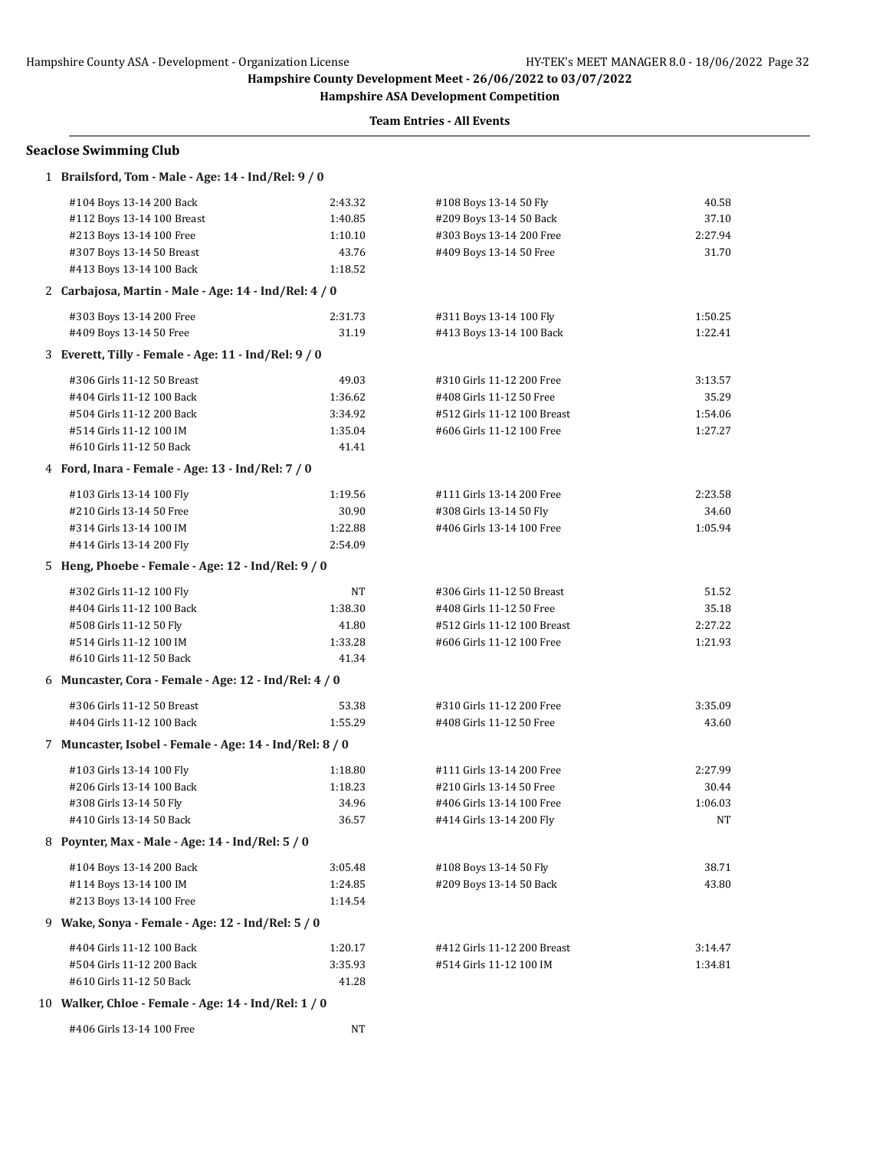**Hampshire ASA Development Competition**

| <b>Seaclose Swimming Club</b>                           |                                                     |                             |         |  |  |
|---------------------------------------------------------|-----------------------------------------------------|-----------------------------|---------|--|--|
|                                                         | 1 Brailsford, Tom - Male - Age: 14 - Ind/Rel: 9 / 0 |                             |         |  |  |
| #104 Boys 13-14 200 Back                                | 2:43.32                                             | #108 Boys 13-14 50 Fly      | 40.58   |  |  |
| #112 Boys 13-14 100 Breast                              | 1:40.85                                             | #209 Boys 13-14 50 Back     | 37.10   |  |  |
| #213 Boys 13-14 100 Free                                | 1:10.10                                             | #303 Boys 13-14 200 Free    | 2:27.94 |  |  |
| #307 Boys 13-14 50 Breast                               | 43.76                                               | #409 Boys 13-14 50 Free     | 31.70   |  |  |
| #413 Boys 13-14 100 Back                                | 1:18.52                                             |                             |         |  |  |
| 2 Carbajosa, Martin - Male - Age: 14 - Ind/Rel: 4 / 0   |                                                     |                             |         |  |  |
| #303 Boys 13-14 200 Free                                | 2:31.73                                             | #311 Boys 13-14 100 Fly     | 1:50.25 |  |  |
| #409 Boys 13-14 50 Free                                 | 31.19                                               | #413 Boys 13-14 100 Back    | 1:22.41 |  |  |
| 3 Everett, Tilly - Female - Age: 11 - Ind/Rel: 9 / 0    |                                                     |                             |         |  |  |
| #306 Girls 11-12 50 Breast                              | 49.03                                               | #310 Girls 11-12 200 Free   | 3:13.57 |  |  |
| #404 Girls 11-12 100 Back                               | 1:36.62                                             | #408 Girls 11-12 50 Free    | 35.29   |  |  |
| #504 Girls 11-12 200 Back                               | 3:34.92                                             | #512 Girls 11-12 100 Breast | 1:54.06 |  |  |
| #514 Girls 11-12 100 IM                                 | 1:35.04                                             | #606 Girls 11-12 100 Free   | 1:27.27 |  |  |
| #610 Girls 11-12 50 Back                                | 41.41                                               |                             |         |  |  |
| 4 Ford, Inara - Female - Age: 13 - Ind/Rel: 7 / 0       |                                                     |                             |         |  |  |
| #103 Girls 13-14 100 Fly                                | 1:19.56                                             | #111 Girls 13-14 200 Free   | 2:23.58 |  |  |
| #210 Girls 13-14 50 Free                                | 30.90                                               | #308 Girls 13-14 50 Fly     | 34.60   |  |  |
| #314 Girls 13-14 100 IM                                 | 1:22.88                                             | #406 Girls 13-14 100 Free   | 1:05.94 |  |  |
| #414 Girls 13-14 200 Fly                                | 2:54.09                                             |                             |         |  |  |
| 5 Heng, Phoebe - Female - Age: 12 - Ind/Rel: 9 / 0      |                                                     |                             |         |  |  |
| #302 Girls 11-12 100 Fly                                | NT                                                  | #306 Girls 11-12 50 Breast  | 51.52   |  |  |
| #404 Girls 11-12 100 Back                               | 1:38.30                                             | #408 Girls 11-12 50 Free    | 35.18   |  |  |
| #508 Girls 11-12 50 Fly                                 | 41.80                                               | #512 Girls 11-12 100 Breast | 2:27.22 |  |  |
| #514 Girls 11-12 100 IM                                 | 1:33.28                                             | #606 Girls 11-12 100 Free   | 1:21.93 |  |  |
| #610 Girls 11-12 50 Back                                | 41.34                                               |                             |         |  |  |
| 6 Muncaster, Cora - Female - Age: 12 - Ind/Rel: 4 / 0   |                                                     |                             |         |  |  |
| #306 Girls 11-12 50 Breast                              | 53.38                                               | #310 Girls 11-12 200 Free   | 3:35.09 |  |  |
| #404 Girls 11-12 100 Back                               | 1:55.29                                             | #408 Girls 11-12 50 Free    | 43.60   |  |  |
| 7 Muncaster, Isobel - Female - Age: 14 - Ind/Rel: 8 / 0 |                                                     |                             |         |  |  |
| #103 Girls 13-14 100 Fly                                | 1:18.80                                             | #111 Girls 13-14 200 Free   | 2:27.99 |  |  |
| #206 Girls 13-14 100 Back                               | 1:18.23                                             | #210 Girls 13-14 50 Free    | 30.44   |  |  |
| #308 Girls 13-14 50 Fly                                 | 34.96                                               | #406 Girls 13-14 100 Free   | 1:06.03 |  |  |
| #410 Girls 13-14 50 Back                                | 36.57                                               | #414 Girls 13-14 200 Fly    | NT      |  |  |
| 8 Poynter, Max - Male - Age: 14 - Ind/Rel: 5 / 0        |                                                     |                             |         |  |  |
| #104 Boys 13-14 200 Back                                | 3:05.48                                             | #108 Boys 13-14 50 Fly      | 38.71   |  |  |
| #114 Boys 13-14 100 IM                                  | 1:24.85                                             | #209 Boys 13-14 50 Back     | 43.80   |  |  |
| #213 Boys 13-14 100 Free                                | 1:14.54                                             |                             |         |  |  |
| 9 Wake, Sonya - Female - Age: 12 - Ind/Rel: 5 / 0       |                                                     |                             |         |  |  |
| #404 Girls 11-12 100 Back                               | 1:20.17                                             | #412 Girls 11-12 200 Breast | 3:14.47 |  |  |
| #504 Girls 11-12 200 Back                               | 3:35.93                                             | #514 Girls 11-12 100 IM     | 1:34.81 |  |  |
| #610 Girls 11-12 50 Back                                | 41.28                                               |                             |         |  |  |
| 10 Walker, Chloe - Female - Age: 14 - Ind/Rel: 1 / 0    |                                                     |                             |         |  |  |
| #406 Girls 13-14 100 Free                               | NT                                                  |                             |         |  |  |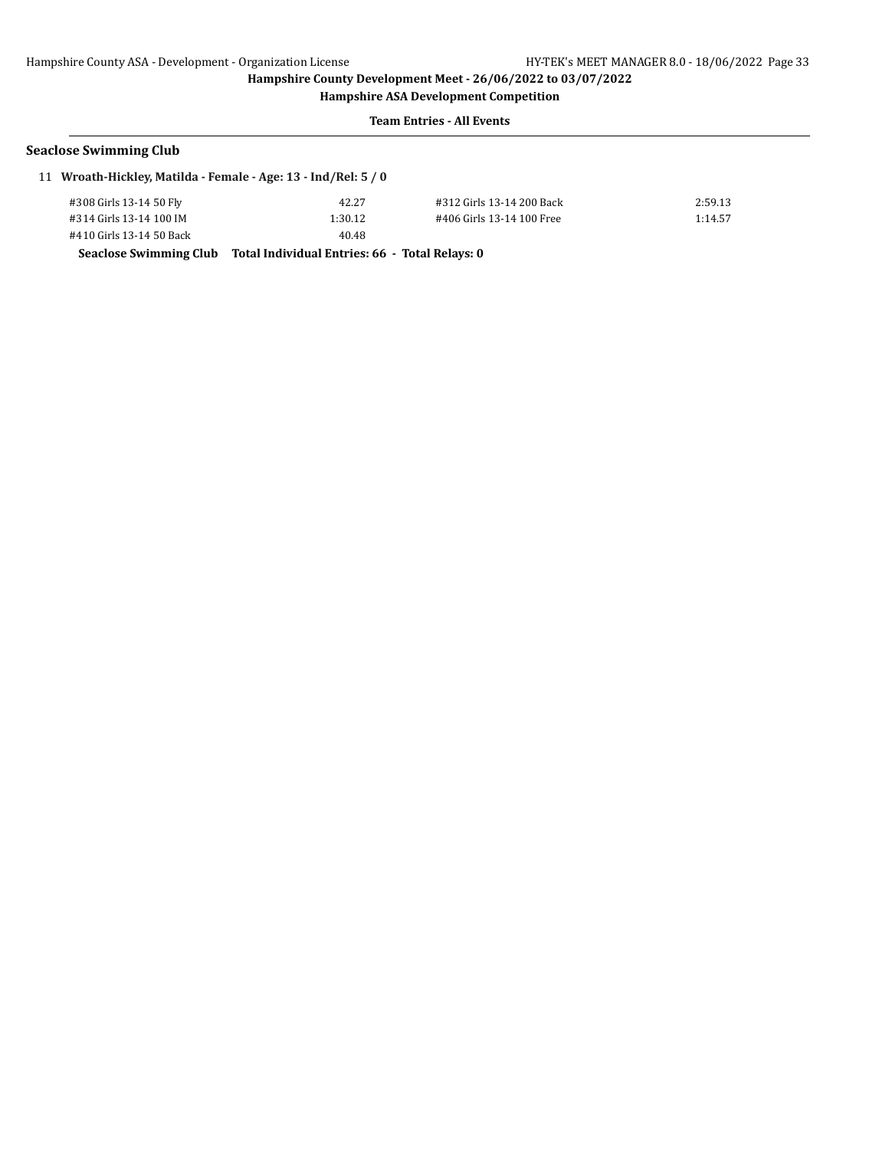**Hampshire ASA Development Competition**

### **Team Entries - All Events**

### **Seaclose Swimming Club**

| 11 Wroath-Hickley, Matilda - Female - Age: 13 - Ind/Rel: 5 / 0 |  |  |  |  |  |  |  |
|----------------------------------------------------------------|--|--|--|--|--|--|--|
|----------------------------------------------------------------|--|--|--|--|--|--|--|

| #308 Girls 13-14 50 Fly  | 42.27   | #312 Girls 13-14 200 Back | 2:59.13 |
|--------------------------|---------|---------------------------|---------|
| #314 Girls 13-14 100 IM  | 1:30.12 | #406 Girls 13-14 100 Free | 1:14.57 |
| #410 Girls 13-14 50 Back | 40.48   |                           |         |

**Seaclose Swimming Club Total Individual Entries: 66 - Total Relays: 0**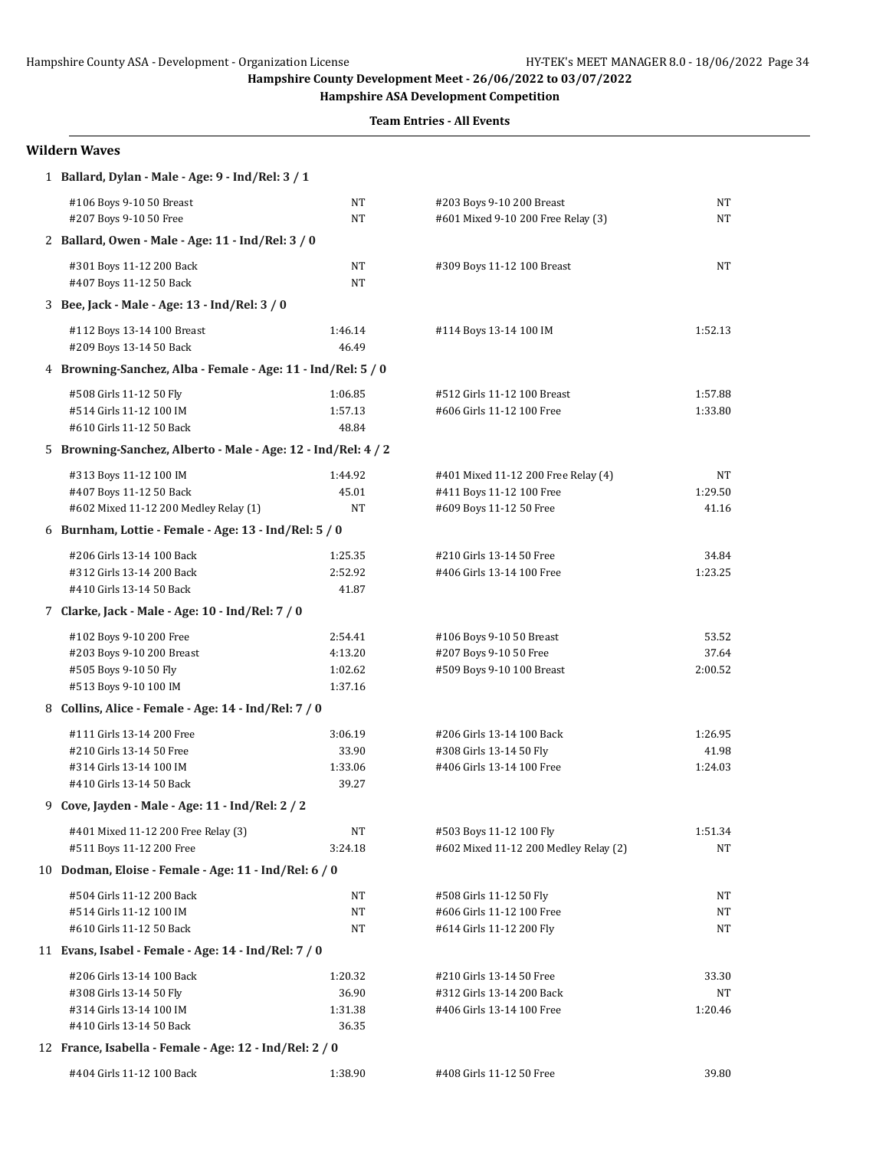**Hampshire ASA Development Competition**

**Team Entries - All Events**

#### **Wildern Waves**

| 1 Ballard, Dylan - Male - Age: 9 - Ind/Rel: 3 / 1             |          |                                                                 |          |
|---------------------------------------------------------------|----------|-----------------------------------------------------------------|----------|
| #106 Boys 9-10 50 Breast<br>#207 Boys 9-10 50 Free            | NT<br>NT | #203 Boys 9-10 200 Breast<br>#601 Mixed 9-10 200 Free Relay (3) | NT<br>NT |
|                                                               |          |                                                                 |          |
| 2 Ballard, Owen - Male - Age: 11 - Ind/Rel: 3 / 0             |          |                                                                 |          |
| #301 Boys 11-12 200 Back<br>#407 Boys 11-12 50 Back           | NT<br>NT | #309 Boys 11-12 100 Breast                                      | NT       |
| 3 Bee, Jack - Male - Age: 13 - Ind/Rel: 3 / 0                 |          |                                                                 |          |
| #112 Boys 13-14 100 Breast                                    | 1:46.14  | #114 Boys 13-14 100 IM                                          | 1:52.13  |
| #209 Boys 13-14 50 Back                                       | 46.49    |                                                                 |          |
| 4 Browning-Sanchez, Alba - Female - Age: 11 - Ind/Rel: 5 / 0  |          |                                                                 |          |
| #508 Girls 11-12 50 Fly                                       | 1:06.85  | #512 Girls 11-12 100 Breast                                     | 1:57.88  |
| #514 Girls 11-12 100 IM                                       | 1:57.13  | #606 Girls 11-12 100 Free                                       | 1:33.80  |
| #610 Girls 11-12 50 Back                                      | 48.84    |                                                                 |          |
| 5 Browning-Sanchez, Alberto - Male - Age: 12 - Ind/Rel: 4 / 2 |          |                                                                 |          |
| #313 Boys 11-12 100 IM                                        | 1:44.92  | #401 Mixed 11-12 200 Free Relay (4)                             | NT       |
| #407 Boys 11-12 50 Back                                       | 45.01    | #411 Boys 11-12 100 Free                                        | 1:29.50  |
| #602 Mixed 11-12 200 Medley Relay (1)                         | NΤ       | #609 Boys 11-12 50 Free                                         | 41.16    |
| 6 Burnham, Lottie - Female - Age: 13 - Ind/Rel: 5 / 0         |          |                                                                 |          |
| #206 Girls 13-14 100 Back                                     | 1:25.35  | #210 Girls 13-14 50 Free                                        | 34.84    |
| #312 Girls 13-14 200 Back                                     | 2:52.92  | #406 Girls 13-14 100 Free                                       | 1:23.25  |
| #410 Girls 13-14 50 Back                                      | 41.87    |                                                                 |          |
| 7 Clarke, Jack - Male - Age: 10 - Ind/Rel: 7 / 0              |          |                                                                 |          |
| #102 Boys 9-10 200 Free                                       | 2:54.41  | #106 Boys 9-10 50 Breast                                        | 53.52    |
| #203 Boys 9-10 200 Breast                                     | 4:13.20  | #207 Boys 9-10 50 Free                                          | 37.64    |
| #505 Boys 9-10 50 Fly                                         | 1:02.62  | #509 Boys 9-10 100 Breast                                       | 2:00.52  |
| #513 Boys 9-10 100 IM                                         | 1:37.16  |                                                                 |          |
| 8 Collins, Alice - Female - Age: 14 - Ind/Rel: 7 / 0          |          |                                                                 |          |
| #111 Girls 13-14 200 Free                                     | 3:06.19  | #206 Girls 13-14 100 Back                                       | 1:26.95  |
| #210 Girls 13-14 50 Free                                      | 33.90    | #308 Girls 13-14 50 Fly                                         | 41.98    |
| #314 Girls 13-14 100 IM                                       | 1:33.06  | #406 Girls 13-14 100 Free                                       | 1:24.03  |
| #410 Girls 13-14 50 Back                                      | 39.27    |                                                                 |          |
| 9 Cove, Jayden - Male - Age: 11 - Ind/Rel: 2 / 2              |          |                                                                 |          |
| #401 Mixed 11-12 200 Free Relay (3)                           | NΤ       | #503 Boys 11-12 100 Fly                                         | 1:51.34  |
| #511 Boys 11-12 200 Free                                      | 3:24.18  | #602 Mixed 11-12 200 Medley Relay (2)                           | NT       |
| 10 Dodman, Eloise - Female - Age: 11 - Ind/Rel: 6 / 0         |          |                                                                 |          |
| #504 Girls 11-12 200 Back                                     | NΤ       | #508 Girls 11-12 50 Fly                                         | NT       |
| #514 Girls 11-12 100 IM                                       | NT       | #606 Girls 11-12 100 Free                                       | NT       |
| #610 Girls 11-12 50 Back                                      | NΤ       | #614 Girls 11-12 200 Fly                                        | NT       |
| 11 Evans, Isabel - Female - Age: 14 - Ind/Rel: 7 / 0          |          |                                                                 |          |
| #206 Girls 13-14 100 Back                                     | 1:20.32  | #210 Girls 13-14 50 Free                                        | 33.30    |
| #308 Girls 13-14 50 Fly                                       | 36.90    | #312 Girls 13-14 200 Back                                       | NT       |
| #314 Girls 13-14 100 IM                                       | 1:31.38  | #406 Girls 13-14 100 Free                                       | 1:20.46  |
| #410 Girls 13-14 50 Back                                      | 36.35    |                                                                 |          |
| 12 France, Isabella - Female - Age: 12 - Ind/Rel: 2 / 0       |          |                                                                 |          |
| #404 Girls 11-12 100 Back                                     | 1:38.90  | #408 Girls 11-12 50 Free                                        | 39.80    |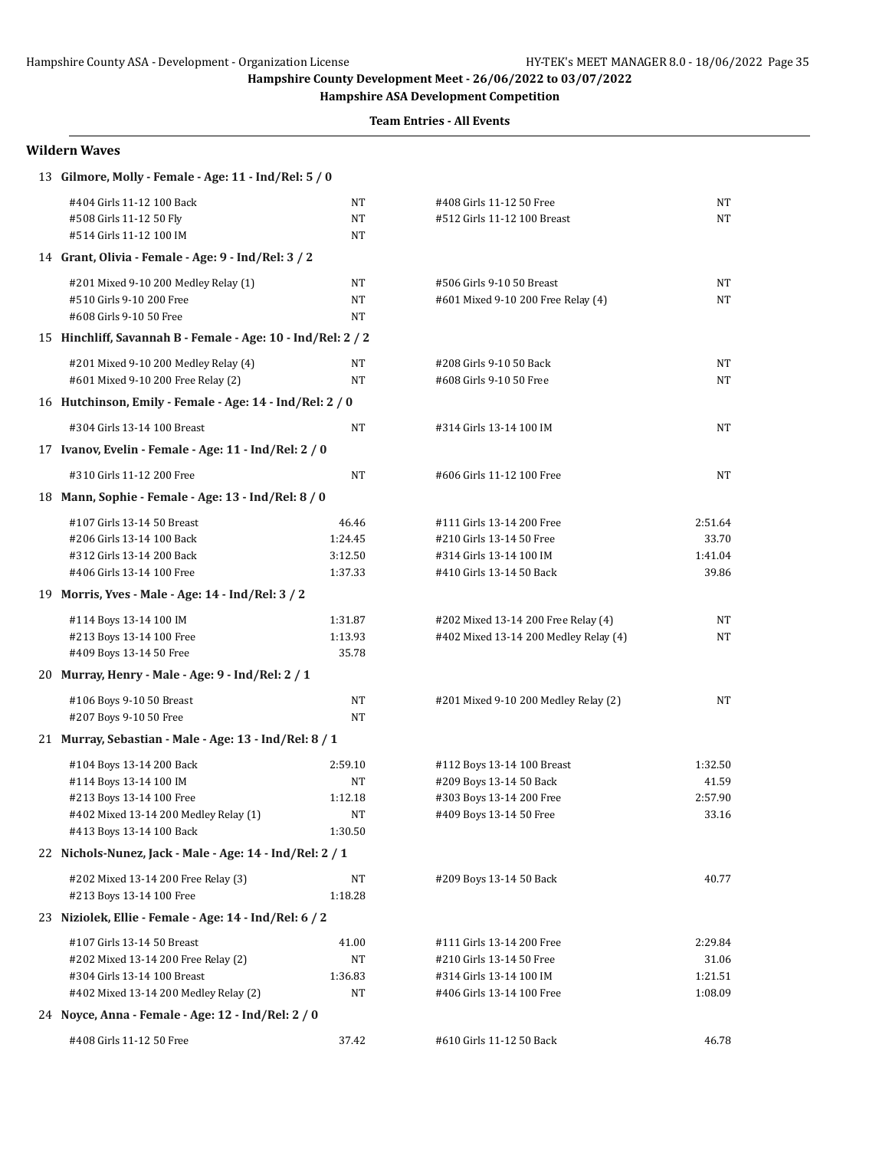**Hampshire ASA Development Competition**

**Team Entries - All Events**

### **Wildern Waves**

| #404 Girls 11-12 100 Back<br>NT<br>#408 Girls 11-12 50 Free<br>NT<br>NT<br>#508 Girls 11-12 50 Fly<br>NT<br>#512 Girls 11-12 100 Breast<br>#514 Girls 11-12 100 IM<br>NT<br>14 Grant, Olivia - Female - Age: 9 - Ind/Rel: 3 / 2<br>#201 Mixed 9-10 200 Medley Relay (1)<br>NT<br>#506 Girls 9-10 50 Breast<br>NT<br>#510 Girls 9-10 200 Free<br>NT<br>#601 Mixed 9-10 200 Free Relay (4)<br>NT<br>NT<br>#608 Girls 9-10 50 Free<br>15 Hinchliff, Savannah B - Female - Age: 10 - Ind/Rel: 2 / 2<br>#201 Mixed 9-10 200 Medley Relay (4)<br>NT<br>#208 Girls 9-10 50 Back<br>NT<br>#601 Mixed 9-10 200 Free Relay (2)<br>NT<br>NT<br>#608 Girls 9-10 50 Free<br>16 Hutchinson, Emily - Female - Age: 14 - Ind/Rel: 2 / 0<br><b>NT</b><br>#304 Girls 13-14 100 Breast<br>#314 Girls 13-14 100 IM<br>NT<br>17 Ivanov, Evelin - Female - Age: 11 - Ind/Rel: 2 / 0<br>#310 Girls 11-12 200 Free<br><b>NT</b><br>NT<br>#606 Girls 11-12 100 Free<br>18 Mann, Sophie - Female - Age: 13 - Ind/Rel: 8 / 0<br>#107 Girls 13-14 50 Breast<br>46.46<br>#111 Girls 13-14 200 Free<br>2:51.64<br>#206 Girls 13-14 100 Back<br>33.70<br>1:24.45<br>#210 Girls 13-14 50 Free<br>1:41.04<br>#312 Girls 13-14 200 Back<br>3:12.50<br>#314 Girls 13-14 100 IM<br>#406 Girls 13-14 100 Free<br>1:37.33<br>#410 Girls 13-14 50 Back<br>39.86<br>19 Morris, Yves - Male - Age: 14 - Ind/Rel: 3 / 2<br>#114 Boys 13-14 100 IM<br>1:31.87<br>#202 Mixed 13-14 200 Free Relay (4)<br>NT<br>#213 Boys 13-14 100 Free<br>1:13.93<br>#402 Mixed 13-14 200 Medley Relay (4)<br>NT<br>#409 Boys 13-14 50 Free<br>35.78<br>20 Murray, Henry - Male - Age: 9 - Ind/Rel: 2 / 1<br>#106 Boys 9-10 50 Breast<br>NT<br>#201 Mixed 9-10 200 Medley Relay (2)<br>NT<br>#207 Boys 9-10 50 Free<br>NT<br>21 Murray, Sebastian - Male - Age: 13 - Ind/Rel: 8 / 1<br>#104 Boys 13-14 200 Back<br>2:59.10<br>#112 Boys 13-14 100 Breast<br>1:32.50<br>#114 Boys 13-14 100 IM<br>#209 Boys 13-14 50 Back<br>NΤ<br>41.59<br>#213 Boys 13-14 100 Free<br>#303 Boys 13-14 200 Free<br>2:57.90<br>1:12.18<br>#402 Mixed 13-14 200 Medley Relay (1)<br>NT<br>#409 Boys 13-14 50 Free<br>33.16<br>#413 Boys 13-14 100 Back<br>1:30.50<br>22 Nichols-Nunez, Jack - Male - Age: 14 - Ind/Rel: 2 / 1<br>#202 Mixed 13-14 200 Free Relay (3)<br>40.77<br>NΤ<br>#209 Boys 13-14 50 Back<br>1:18.28<br>#213 Boys 13-14 100 Free<br>23 Niziolek, Ellie - Female - Age: 14 - Ind/Rel: 6 / 2<br>#107 Girls 13-14 50 Breast<br>2:29.84<br>41.00<br>#111 Girls 13-14 200 Free<br>#202 Mixed 13-14 200 Free Relay (2)<br>NΤ<br>31.06<br>#210 Girls 13-14 50 Free<br>1:21.51<br>#304 Girls 13-14 100 Breast<br>1:36.83<br>#314 Girls 13-14 100 IM<br>#402 Mixed 13-14 200 Medley Relay (2)<br>NT<br>1:08.09<br>#406 Girls 13-14 100 Free<br>24 Noyce, Anna - Female - Age: 12 - Ind/Rel: 2 / 0<br>46.78 | 13 Gilmore, Molly - Female - Age: 11 - Ind/Rel: 5 / 0 |       |                          |  |
|-------------------------------------------------------------------------------------------------------------------------------------------------------------------------------------------------------------------------------------------------------------------------------------------------------------------------------------------------------------------------------------------------------------------------------------------------------------------------------------------------------------------------------------------------------------------------------------------------------------------------------------------------------------------------------------------------------------------------------------------------------------------------------------------------------------------------------------------------------------------------------------------------------------------------------------------------------------------------------------------------------------------------------------------------------------------------------------------------------------------------------------------------------------------------------------------------------------------------------------------------------------------------------------------------------------------------------------------------------------------------------------------------------------------------------------------------------------------------------------------------------------------------------------------------------------------------------------------------------------------------------------------------------------------------------------------------------------------------------------------------------------------------------------------------------------------------------------------------------------------------------------------------------------------------------------------------------------------------------------------------------------------------------------------------------------------------------------------------------------------------------------------------------------------------------------------------------------------------------------------------------------------------------------------------------------------------------------------------------------------------------------------------------------------------------------------------------------------------------------------------------------------------------------------------------------------------------------------------------------------------------------------------------------------------------------------------------------------------------------------------------------------------------------------------------------------------------------------|-------------------------------------------------------|-------|--------------------------|--|
|                                                                                                                                                                                                                                                                                                                                                                                                                                                                                                                                                                                                                                                                                                                                                                                                                                                                                                                                                                                                                                                                                                                                                                                                                                                                                                                                                                                                                                                                                                                                                                                                                                                                                                                                                                                                                                                                                                                                                                                                                                                                                                                                                                                                                                                                                                                                                                                                                                                                                                                                                                                                                                                                                                                                                                                                                                           |                                                       |       |                          |  |
|                                                                                                                                                                                                                                                                                                                                                                                                                                                                                                                                                                                                                                                                                                                                                                                                                                                                                                                                                                                                                                                                                                                                                                                                                                                                                                                                                                                                                                                                                                                                                                                                                                                                                                                                                                                                                                                                                                                                                                                                                                                                                                                                                                                                                                                                                                                                                                                                                                                                                                                                                                                                                                                                                                                                                                                                                                           |                                                       |       |                          |  |
|                                                                                                                                                                                                                                                                                                                                                                                                                                                                                                                                                                                                                                                                                                                                                                                                                                                                                                                                                                                                                                                                                                                                                                                                                                                                                                                                                                                                                                                                                                                                                                                                                                                                                                                                                                                                                                                                                                                                                                                                                                                                                                                                                                                                                                                                                                                                                                                                                                                                                                                                                                                                                                                                                                                                                                                                                                           |                                                       |       |                          |  |
|                                                                                                                                                                                                                                                                                                                                                                                                                                                                                                                                                                                                                                                                                                                                                                                                                                                                                                                                                                                                                                                                                                                                                                                                                                                                                                                                                                                                                                                                                                                                                                                                                                                                                                                                                                                                                                                                                                                                                                                                                                                                                                                                                                                                                                                                                                                                                                                                                                                                                                                                                                                                                                                                                                                                                                                                                                           |                                                       |       |                          |  |
|                                                                                                                                                                                                                                                                                                                                                                                                                                                                                                                                                                                                                                                                                                                                                                                                                                                                                                                                                                                                                                                                                                                                                                                                                                                                                                                                                                                                                                                                                                                                                                                                                                                                                                                                                                                                                                                                                                                                                                                                                                                                                                                                                                                                                                                                                                                                                                                                                                                                                                                                                                                                                                                                                                                                                                                                                                           |                                                       |       |                          |  |
|                                                                                                                                                                                                                                                                                                                                                                                                                                                                                                                                                                                                                                                                                                                                                                                                                                                                                                                                                                                                                                                                                                                                                                                                                                                                                                                                                                                                                                                                                                                                                                                                                                                                                                                                                                                                                                                                                                                                                                                                                                                                                                                                                                                                                                                                                                                                                                                                                                                                                                                                                                                                                                                                                                                                                                                                                                           |                                                       |       |                          |  |
|                                                                                                                                                                                                                                                                                                                                                                                                                                                                                                                                                                                                                                                                                                                                                                                                                                                                                                                                                                                                                                                                                                                                                                                                                                                                                                                                                                                                                                                                                                                                                                                                                                                                                                                                                                                                                                                                                                                                                                                                                                                                                                                                                                                                                                                                                                                                                                                                                                                                                                                                                                                                                                                                                                                                                                                                                                           |                                                       |       |                          |  |
|                                                                                                                                                                                                                                                                                                                                                                                                                                                                                                                                                                                                                                                                                                                                                                                                                                                                                                                                                                                                                                                                                                                                                                                                                                                                                                                                                                                                                                                                                                                                                                                                                                                                                                                                                                                                                                                                                                                                                                                                                                                                                                                                                                                                                                                                                                                                                                                                                                                                                                                                                                                                                                                                                                                                                                                                                                           |                                                       |       |                          |  |
|                                                                                                                                                                                                                                                                                                                                                                                                                                                                                                                                                                                                                                                                                                                                                                                                                                                                                                                                                                                                                                                                                                                                                                                                                                                                                                                                                                                                                                                                                                                                                                                                                                                                                                                                                                                                                                                                                                                                                                                                                                                                                                                                                                                                                                                                                                                                                                                                                                                                                                                                                                                                                                                                                                                                                                                                                                           |                                                       |       |                          |  |
|                                                                                                                                                                                                                                                                                                                                                                                                                                                                                                                                                                                                                                                                                                                                                                                                                                                                                                                                                                                                                                                                                                                                                                                                                                                                                                                                                                                                                                                                                                                                                                                                                                                                                                                                                                                                                                                                                                                                                                                                                                                                                                                                                                                                                                                                                                                                                                                                                                                                                                                                                                                                                                                                                                                                                                                                                                           |                                                       |       |                          |  |
|                                                                                                                                                                                                                                                                                                                                                                                                                                                                                                                                                                                                                                                                                                                                                                                                                                                                                                                                                                                                                                                                                                                                                                                                                                                                                                                                                                                                                                                                                                                                                                                                                                                                                                                                                                                                                                                                                                                                                                                                                                                                                                                                                                                                                                                                                                                                                                                                                                                                                                                                                                                                                                                                                                                                                                                                                                           |                                                       |       |                          |  |
|                                                                                                                                                                                                                                                                                                                                                                                                                                                                                                                                                                                                                                                                                                                                                                                                                                                                                                                                                                                                                                                                                                                                                                                                                                                                                                                                                                                                                                                                                                                                                                                                                                                                                                                                                                                                                                                                                                                                                                                                                                                                                                                                                                                                                                                                                                                                                                                                                                                                                                                                                                                                                                                                                                                                                                                                                                           |                                                       |       |                          |  |
|                                                                                                                                                                                                                                                                                                                                                                                                                                                                                                                                                                                                                                                                                                                                                                                                                                                                                                                                                                                                                                                                                                                                                                                                                                                                                                                                                                                                                                                                                                                                                                                                                                                                                                                                                                                                                                                                                                                                                                                                                                                                                                                                                                                                                                                                                                                                                                                                                                                                                                                                                                                                                                                                                                                                                                                                                                           |                                                       |       |                          |  |
|                                                                                                                                                                                                                                                                                                                                                                                                                                                                                                                                                                                                                                                                                                                                                                                                                                                                                                                                                                                                                                                                                                                                                                                                                                                                                                                                                                                                                                                                                                                                                                                                                                                                                                                                                                                                                                                                                                                                                                                                                                                                                                                                                                                                                                                                                                                                                                                                                                                                                                                                                                                                                                                                                                                                                                                                                                           |                                                       |       |                          |  |
|                                                                                                                                                                                                                                                                                                                                                                                                                                                                                                                                                                                                                                                                                                                                                                                                                                                                                                                                                                                                                                                                                                                                                                                                                                                                                                                                                                                                                                                                                                                                                                                                                                                                                                                                                                                                                                                                                                                                                                                                                                                                                                                                                                                                                                                                                                                                                                                                                                                                                                                                                                                                                                                                                                                                                                                                                                           |                                                       |       |                          |  |
|                                                                                                                                                                                                                                                                                                                                                                                                                                                                                                                                                                                                                                                                                                                                                                                                                                                                                                                                                                                                                                                                                                                                                                                                                                                                                                                                                                                                                                                                                                                                                                                                                                                                                                                                                                                                                                                                                                                                                                                                                                                                                                                                                                                                                                                                                                                                                                                                                                                                                                                                                                                                                                                                                                                                                                                                                                           |                                                       |       |                          |  |
|                                                                                                                                                                                                                                                                                                                                                                                                                                                                                                                                                                                                                                                                                                                                                                                                                                                                                                                                                                                                                                                                                                                                                                                                                                                                                                                                                                                                                                                                                                                                                                                                                                                                                                                                                                                                                                                                                                                                                                                                                                                                                                                                                                                                                                                                                                                                                                                                                                                                                                                                                                                                                                                                                                                                                                                                                                           |                                                       |       |                          |  |
|                                                                                                                                                                                                                                                                                                                                                                                                                                                                                                                                                                                                                                                                                                                                                                                                                                                                                                                                                                                                                                                                                                                                                                                                                                                                                                                                                                                                                                                                                                                                                                                                                                                                                                                                                                                                                                                                                                                                                                                                                                                                                                                                                                                                                                                                                                                                                                                                                                                                                                                                                                                                                                                                                                                                                                                                                                           |                                                       |       |                          |  |
|                                                                                                                                                                                                                                                                                                                                                                                                                                                                                                                                                                                                                                                                                                                                                                                                                                                                                                                                                                                                                                                                                                                                                                                                                                                                                                                                                                                                                                                                                                                                                                                                                                                                                                                                                                                                                                                                                                                                                                                                                                                                                                                                                                                                                                                                                                                                                                                                                                                                                                                                                                                                                                                                                                                                                                                                                                           |                                                       |       |                          |  |
|                                                                                                                                                                                                                                                                                                                                                                                                                                                                                                                                                                                                                                                                                                                                                                                                                                                                                                                                                                                                                                                                                                                                                                                                                                                                                                                                                                                                                                                                                                                                                                                                                                                                                                                                                                                                                                                                                                                                                                                                                                                                                                                                                                                                                                                                                                                                                                                                                                                                                                                                                                                                                                                                                                                                                                                                                                           |                                                       |       |                          |  |
|                                                                                                                                                                                                                                                                                                                                                                                                                                                                                                                                                                                                                                                                                                                                                                                                                                                                                                                                                                                                                                                                                                                                                                                                                                                                                                                                                                                                                                                                                                                                                                                                                                                                                                                                                                                                                                                                                                                                                                                                                                                                                                                                                                                                                                                                                                                                                                                                                                                                                                                                                                                                                                                                                                                                                                                                                                           |                                                       |       |                          |  |
|                                                                                                                                                                                                                                                                                                                                                                                                                                                                                                                                                                                                                                                                                                                                                                                                                                                                                                                                                                                                                                                                                                                                                                                                                                                                                                                                                                                                                                                                                                                                                                                                                                                                                                                                                                                                                                                                                                                                                                                                                                                                                                                                                                                                                                                                                                                                                                                                                                                                                                                                                                                                                                                                                                                                                                                                                                           |                                                       |       |                          |  |
|                                                                                                                                                                                                                                                                                                                                                                                                                                                                                                                                                                                                                                                                                                                                                                                                                                                                                                                                                                                                                                                                                                                                                                                                                                                                                                                                                                                                                                                                                                                                                                                                                                                                                                                                                                                                                                                                                                                                                                                                                                                                                                                                                                                                                                                                                                                                                                                                                                                                                                                                                                                                                                                                                                                                                                                                                                           |                                                       |       |                          |  |
|                                                                                                                                                                                                                                                                                                                                                                                                                                                                                                                                                                                                                                                                                                                                                                                                                                                                                                                                                                                                                                                                                                                                                                                                                                                                                                                                                                                                                                                                                                                                                                                                                                                                                                                                                                                                                                                                                                                                                                                                                                                                                                                                                                                                                                                                                                                                                                                                                                                                                                                                                                                                                                                                                                                                                                                                                                           |                                                       |       |                          |  |
|                                                                                                                                                                                                                                                                                                                                                                                                                                                                                                                                                                                                                                                                                                                                                                                                                                                                                                                                                                                                                                                                                                                                                                                                                                                                                                                                                                                                                                                                                                                                                                                                                                                                                                                                                                                                                                                                                                                                                                                                                                                                                                                                                                                                                                                                                                                                                                                                                                                                                                                                                                                                                                                                                                                                                                                                                                           |                                                       |       |                          |  |
|                                                                                                                                                                                                                                                                                                                                                                                                                                                                                                                                                                                                                                                                                                                                                                                                                                                                                                                                                                                                                                                                                                                                                                                                                                                                                                                                                                                                                                                                                                                                                                                                                                                                                                                                                                                                                                                                                                                                                                                                                                                                                                                                                                                                                                                                                                                                                                                                                                                                                                                                                                                                                                                                                                                                                                                                                                           |                                                       |       |                          |  |
|                                                                                                                                                                                                                                                                                                                                                                                                                                                                                                                                                                                                                                                                                                                                                                                                                                                                                                                                                                                                                                                                                                                                                                                                                                                                                                                                                                                                                                                                                                                                                                                                                                                                                                                                                                                                                                                                                                                                                                                                                                                                                                                                                                                                                                                                                                                                                                                                                                                                                                                                                                                                                                                                                                                                                                                                                                           |                                                       |       |                          |  |
|                                                                                                                                                                                                                                                                                                                                                                                                                                                                                                                                                                                                                                                                                                                                                                                                                                                                                                                                                                                                                                                                                                                                                                                                                                                                                                                                                                                                                                                                                                                                                                                                                                                                                                                                                                                                                                                                                                                                                                                                                                                                                                                                                                                                                                                                                                                                                                                                                                                                                                                                                                                                                                                                                                                                                                                                                                           |                                                       |       |                          |  |
|                                                                                                                                                                                                                                                                                                                                                                                                                                                                                                                                                                                                                                                                                                                                                                                                                                                                                                                                                                                                                                                                                                                                                                                                                                                                                                                                                                                                                                                                                                                                                                                                                                                                                                                                                                                                                                                                                                                                                                                                                                                                                                                                                                                                                                                                                                                                                                                                                                                                                                                                                                                                                                                                                                                                                                                                                                           |                                                       |       |                          |  |
|                                                                                                                                                                                                                                                                                                                                                                                                                                                                                                                                                                                                                                                                                                                                                                                                                                                                                                                                                                                                                                                                                                                                                                                                                                                                                                                                                                                                                                                                                                                                                                                                                                                                                                                                                                                                                                                                                                                                                                                                                                                                                                                                                                                                                                                                                                                                                                                                                                                                                                                                                                                                                                                                                                                                                                                                                                           |                                                       |       |                          |  |
|                                                                                                                                                                                                                                                                                                                                                                                                                                                                                                                                                                                                                                                                                                                                                                                                                                                                                                                                                                                                                                                                                                                                                                                                                                                                                                                                                                                                                                                                                                                                                                                                                                                                                                                                                                                                                                                                                                                                                                                                                                                                                                                                                                                                                                                                                                                                                                                                                                                                                                                                                                                                                                                                                                                                                                                                                                           |                                                       |       |                          |  |
|                                                                                                                                                                                                                                                                                                                                                                                                                                                                                                                                                                                                                                                                                                                                                                                                                                                                                                                                                                                                                                                                                                                                                                                                                                                                                                                                                                                                                                                                                                                                                                                                                                                                                                                                                                                                                                                                                                                                                                                                                                                                                                                                                                                                                                                                                                                                                                                                                                                                                                                                                                                                                                                                                                                                                                                                                                           |                                                       |       |                          |  |
|                                                                                                                                                                                                                                                                                                                                                                                                                                                                                                                                                                                                                                                                                                                                                                                                                                                                                                                                                                                                                                                                                                                                                                                                                                                                                                                                                                                                                                                                                                                                                                                                                                                                                                                                                                                                                                                                                                                                                                                                                                                                                                                                                                                                                                                                                                                                                                                                                                                                                                                                                                                                                                                                                                                                                                                                                                           |                                                       |       |                          |  |
|                                                                                                                                                                                                                                                                                                                                                                                                                                                                                                                                                                                                                                                                                                                                                                                                                                                                                                                                                                                                                                                                                                                                                                                                                                                                                                                                                                                                                                                                                                                                                                                                                                                                                                                                                                                                                                                                                                                                                                                                                                                                                                                                                                                                                                                                                                                                                                                                                                                                                                                                                                                                                                                                                                                                                                                                                                           |                                                       |       |                          |  |
|                                                                                                                                                                                                                                                                                                                                                                                                                                                                                                                                                                                                                                                                                                                                                                                                                                                                                                                                                                                                                                                                                                                                                                                                                                                                                                                                                                                                                                                                                                                                                                                                                                                                                                                                                                                                                                                                                                                                                                                                                                                                                                                                                                                                                                                                                                                                                                                                                                                                                                                                                                                                                                                                                                                                                                                                                                           |                                                       |       |                          |  |
|                                                                                                                                                                                                                                                                                                                                                                                                                                                                                                                                                                                                                                                                                                                                                                                                                                                                                                                                                                                                                                                                                                                                                                                                                                                                                                                                                                                                                                                                                                                                                                                                                                                                                                                                                                                                                                                                                                                                                                                                                                                                                                                                                                                                                                                                                                                                                                                                                                                                                                                                                                                                                                                                                                                                                                                                                                           |                                                       |       |                          |  |
|                                                                                                                                                                                                                                                                                                                                                                                                                                                                                                                                                                                                                                                                                                                                                                                                                                                                                                                                                                                                                                                                                                                                                                                                                                                                                                                                                                                                                                                                                                                                                                                                                                                                                                                                                                                                                                                                                                                                                                                                                                                                                                                                                                                                                                                                                                                                                                                                                                                                                                                                                                                                                                                                                                                                                                                                                                           |                                                       |       |                          |  |
|                                                                                                                                                                                                                                                                                                                                                                                                                                                                                                                                                                                                                                                                                                                                                                                                                                                                                                                                                                                                                                                                                                                                                                                                                                                                                                                                                                                                                                                                                                                                                                                                                                                                                                                                                                                                                                                                                                                                                                                                                                                                                                                                                                                                                                                                                                                                                                                                                                                                                                                                                                                                                                                                                                                                                                                                                                           |                                                       |       |                          |  |
|                                                                                                                                                                                                                                                                                                                                                                                                                                                                                                                                                                                                                                                                                                                                                                                                                                                                                                                                                                                                                                                                                                                                                                                                                                                                                                                                                                                                                                                                                                                                                                                                                                                                                                                                                                                                                                                                                                                                                                                                                                                                                                                                                                                                                                                                                                                                                                                                                                                                                                                                                                                                                                                                                                                                                                                                                                           |                                                       |       |                          |  |
|                                                                                                                                                                                                                                                                                                                                                                                                                                                                                                                                                                                                                                                                                                                                                                                                                                                                                                                                                                                                                                                                                                                                                                                                                                                                                                                                                                                                                                                                                                                                                                                                                                                                                                                                                                                                                                                                                                                                                                                                                                                                                                                                                                                                                                                                                                                                                                                                                                                                                                                                                                                                                                                                                                                                                                                                                                           |                                                       |       |                          |  |
|                                                                                                                                                                                                                                                                                                                                                                                                                                                                                                                                                                                                                                                                                                                                                                                                                                                                                                                                                                                                                                                                                                                                                                                                                                                                                                                                                                                                                                                                                                                                                                                                                                                                                                                                                                                                                                                                                                                                                                                                                                                                                                                                                                                                                                                                                                                                                                                                                                                                                                                                                                                                                                                                                                                                                                                                                                           | #408 Girls 11-12 50 Free                              | 37.42 | #610 Girls 11-12 50 Back |  |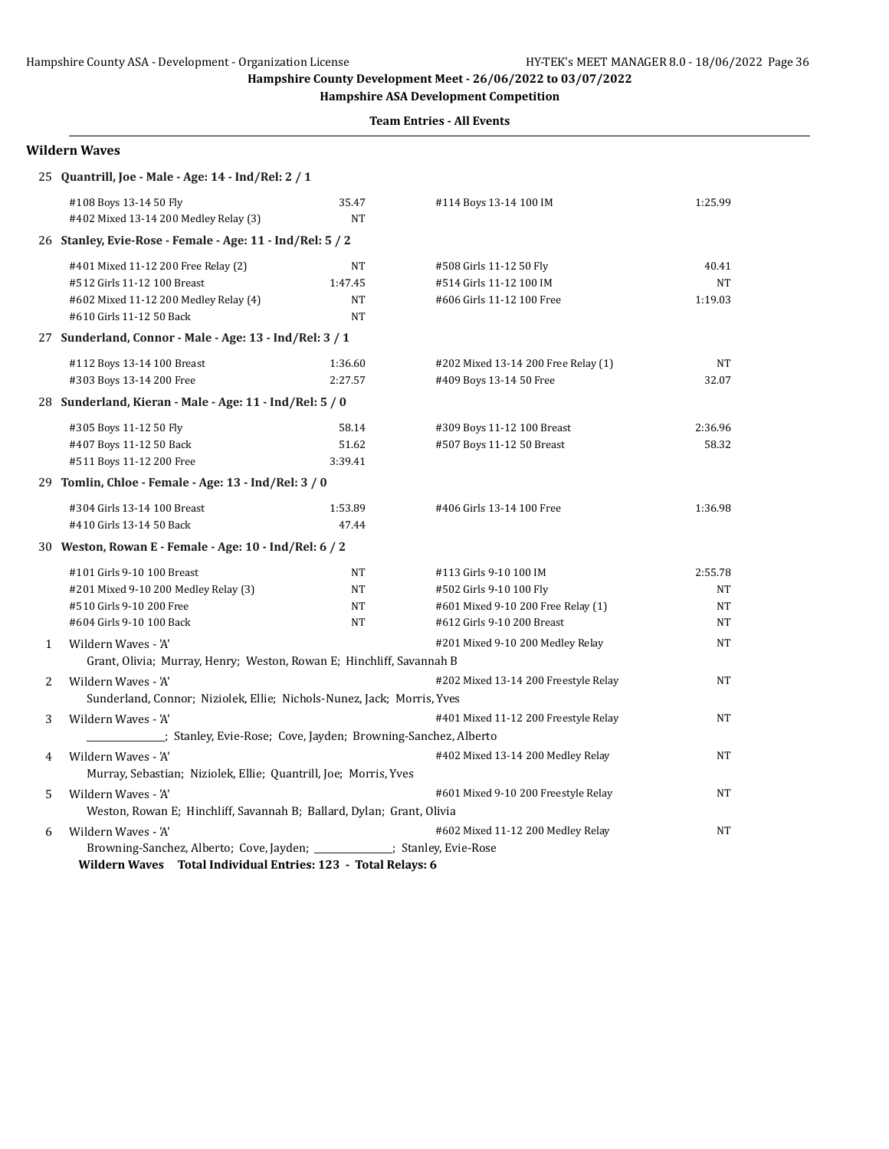**Hampshire ASA Development Competition**

**Team Entries - All Events**

|              | <b>Wildern Waves</b>                                                                                                                    |                                  |                                                                                                                       |                           |
|--------------|-----------------------------------------------------------------------------------------------------------------------------------------|----------------------------------|-----------------------------------------------------------------------------------------------------------------------|---------------------------|
|              | 25 Quantrill, Joe - Male - Age: 14 - Ind/Rel: 2 / 1                                                                                     |                                  |                                                                                                                       |                           |
|              | #108 Boys 13-14 50 Fly<br>#402 Mixed 13-14 200 Medley Relay (3)                                                                         | 35.47<br>NT                      | #114 Boys 13-14 100 IM                                                                                                | 1:25.99                   |
|              | 26 Stanley, Evie-Rose - Female - Age: 11 - Ind/Rel: 5 / 2                                                                               |                                  |                                                                                                                       |                           |
|              | #401 Mixed 11-12 200 Free Relay (2)<br>#512 Girls 11-12 100 Breast<br>#602 Mixed 11-12 200 Medley Relay (4)<br>#610 Girls 11-12 50 Back | NT<br>1:47.45<br>NT<br><b>NT</b> | #508 Girls 11-12 50 Fly<br>#514 Girls 11-12 100 IM<br>#606 Girls 11-12 100 Free                                       | 40.41<br>NT<br>1:19.03    |
|              | 27 Sunderland, Connor - Male - Age: 13 - Ind/Rel: 3 / 1                                                                                 |                                  |                                                                                                                       |                           |
|              | #112 Boys 13-14 100 Breast<br>#303 Boys 13-14 200 Free<br>28 Sunderland, Kieran - Male - Age: 11 - Ind/Rel: 5 / 0                       | 1:36.60<br>2:27.57               | #202 Mixed 13-14 200 Free Relay (1)<br>#409 Boys 13-14 50 Free                                                        | NT<br>32.07               |
|              | #305 Boys 11-12 50 Fly<br>#407 Boys 11-12 50 Back<br>#511 Boys 11-12 200 Free                                                           | 58.14<br>51.62<br>3:39.41        | #309 Boys 11-12 100 Breast<br>#507 Boys 11-12 50 Breast                                                               | 2:36.96<br>58.32          |
|              | 29 Tomlin, Chloe - Female - Age: 13 - Ind/Rel: 3 / 0                                                                                    |                                  |                                                                                                                       |                           |
|              | #304 Girls 13-14 100 Breast<br>#410 Girls 13-14 50 Back                                                                                 | 1:53.89<br>47.44                 | #406 Girls 13-14 100 Free                                                                                             | 1:36.98                   |
|              | 30 Weston, Rowan E - Female - Age: 10 - Ind/Rel: 6 / 2                                                                                  |                                  |                                                                                                                       |                           |
|              | #101 Girls 9-10 100 Breast<br>#201 Mixed 9-10 200 Medley Relay (3)<br>#510 Girls 9-10 200 Free<br>#604 Girls 9-10 100 Back              | NT<br>NT<br>NT<br><b>NT</b>      | #113 Girls 9-10 100 IM<br>#502 Girls 9-10 100 Fly<br>#601 Mixed 9-10 200 Free Relay (1)<br>#612 Girls 9-10 200 Breast | 2:55.78<br>NT<br>NT<br>NT |
| $\mathbf{1}$ | Wildern Waves - 'A'<br>Grant, Olivia; Murray, Henry; Weston, Rowan E; Hinchliff, Savannah B                                             |                                  | #201 Mixed 9-10 200 Medley Relay                                                                                      | <b>NT</b>                 |
| 2            | Wildern Waves - 'A'<br>Sunderland, Connor; Niziolek, Ellie; Nichols-Nunez, Jack; Morris, Yves                                           |                                  | #202 Mixed 13-14 200 Freestyle Relay                                                                                  | NT                        |
| 3            | Wildern Waves - 'A'<br>stanley, Evie-Rose; Cove, Jayden; Browning-Sanchez, Alberto                                                      |                                  | #401 Mixed 11-12 200 Freestyle Relay                                                                                  | NT                        |
| 4            | Wildern Waves - 'A'<br>Murray, Sebastian; Niziolek, Ellie; Quantrill, Joe; Morris, Yves                                                 |                                  | #402 Mixed 13-14 200 Medley Relay                                                                                     | NT                        |
| 5            | Wildern Waves - 'A'<br>Weston, Rowan E; Hinchliff, Savannah B; Ballard, Dylan; Grant, Olivia                                            |                                  | #601 Mixed 9-10 200 Freestyle Relay                                                                                   | NT                        |
| 6            | Wildern Waves - 'A'<br>Browning-Sanchez, Alberto; Cove, Jayden; ___________; Stanley, Evie-Rose                                         |                                  | #602 Mixed 11-12 200 Medley Relay                                                                                     | NT                        |

**Wildern Waves Total Individual Entries: 123 - Total Relays: 6**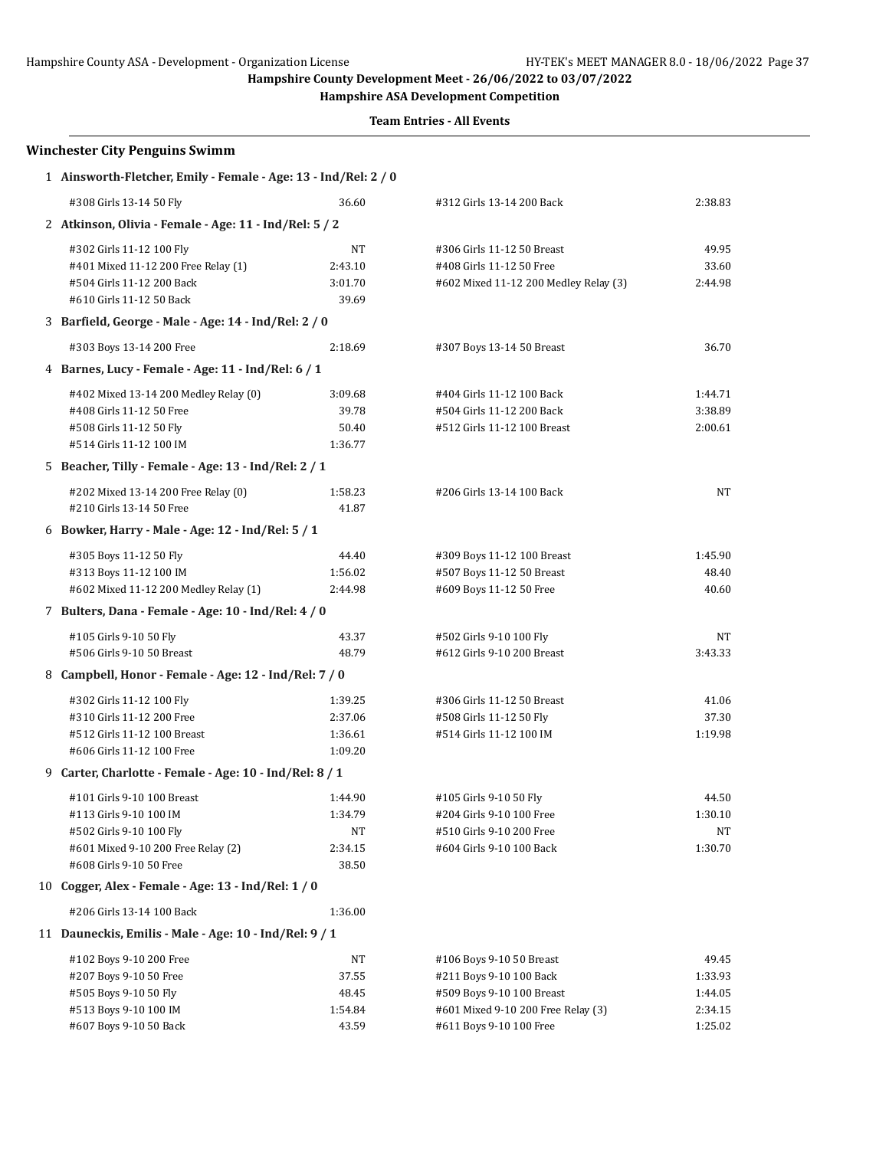**Hampshire ASA Development Competition**

| <b>Winchester City Penguins Swimm</b>                           |         |                                       |         |
|-----------------------------------------------------------------|---------|---------------------------------------|---------|
| 1 Ainsworth-Fletcher, Emily - Female - Age: 13 - Ind/Rel: 2 / 0 |         |                                       |         |
| #308 Girls 13-14 50 Fly                                         | 36.60   | #312 Girls 13-14 200 Back             | 2:38.83 |
| 2 Atkinson, Olivia - Female - Age: 11 - Ind/Rel: 5 / 2          |         |                                       |         |
| #302 Girls 11-12 100 Fly                                        | NT      | #306 Girls 11-12 50 Breast            | 49.95   |
| #401 Mixed 11-12 200 Free Relay (1)                             | 2:43.10 | #408 Girls 11-12 50 Free              | 33.60   |
| #504 Girls 11-12 200 Back                                       | 3:01.70 | #602 Mixed 11-12 200 Medley Relay (3) | 2:44.98 |
| #610 Girls 11-12 50 Back                                        | 39.69   |                                       |         |
| 3 Barfield, George - Male - Age: 14 - Ind/Rel: 2 / 0            |         |                                       |         |
| #303 Boys 13-14 200 Free                                        | 2:18.69 | #307 Boys 13-14 50 Breast             | 36.70   |
| 4 Barnes, Lucy - Female - Age: 11 - Ind/Rel: 6 / 1              |         |                                       |         |
| #402 Mixed 13-14 200 Medley Relay (0)                           | 3:09.68 | #404 Girls 11-12 100 Back             | 1:44.71 |
| #408 Girls 11-12 50 Free                                        | 39.78   | #504 Girls 11-12 200 Back             | 3:38.89 |
| #508 Girls 11-12 50 Fly                                         | 50.40   | #512 Girls 11-12 100 Breast           | 2:00.61 |
| #514 Girls 11-12 100 IM                                         | 1:36.77 |                                       |         |
| 5 Beacher, Tilly - Female - Age: 13 - Ind/Rel: 2 / 1            |         |                                       |         |
| #202 Mixed 13-14 200 Free Relay (0)                             | 1:58.23 | #206 Girls 13-14 100 Back             | NT      |
| #210 Girls 13-14 50 Free                                        | 41.87   |                                       |         |
| 6 Bowker, Harry - Male - Age: 12 - Ind/Rel: 5 / 1               |         |                                       |         |
| #305 Boys 11-12 50 Fly                                          | 44.40   | #309 Boys 11-12 100 Breast            | 1:45.90 |
| #313 Boys 11-12 100 IM                                          | 1:56.02 | #507 Boys 11-12 50 Breast             | 48.40   |
| #602 Mixed 11-12 200 Medley Relay (1)                           | 2:44.98 | #609 Boys 11-12 50 Free               | 40.60   |
| 7 Bulters, Dana - Female - Age: 10 - Ind/Rel: 4 / 0             |         |                                       |         |
| #105 Girls 9-10 50 Fly                                          | 43.37   | #502 Girls 9-10 100 Fly               | NT      |
| #506 Girls 9-10 50 Breast                                       | 48.79   | #612 Girls 9-10 200 Breast            | 3:43.33 |
| 8 Campbell, Honor - Female - Age: 12 - Ind/Rel: 7 / 0           |         |                                       |         |
| #302 Girls 11-12 100 Fly                                        | 1:39.25 | #306 Girls 11-12 50 Breast            | 41.06   |
| #310 Girls 11-12 200 Free                                       | 2:37.06 | #508 Girls 11-12 50 Fly               | 37.30   |
| #512 Girls 11-12 100 Breast                                     | 1:36.61 | #514 Girls 11-12 100 IM               | 1:19.98 |
| #606 Girls 11-12 100 Free                                       | 1:09.20 |                                       |         |
| 9 Carter, Charlotte - Female - Age: 10 - Ind/Rel: 8 / 1         |         |                                       |         |
| #101 Girls 9-10 100 Breast                                      | 1:44.90 | #105 Girls 9-10 50 Fly                | 44.50   |
| #113 Girls 9-10 100 IM                                          | 1:34.79 | #204 Girls 9-10 100 Free              | 1:30.10 |
| #502 Girls 9-10 100 Fly                                         | NT      | #510 Girls 9-10 200 Free              | NT      |
| #601 Mixed 9-10 200 Free Relay (2)                              | 2:34.15 | #604 Girls 9-10 100 Back              | 1:30.70 |
| #608 Girls 9-10 50 Free                                         | 38.50   |                                       |         |
| 10 Cogger, Alex - Female - Age: 13 - Ind/Rel: 1 / 0             |         |                                       |         |
| #206 Girls 13-14 100 Back                                       | 1:36.00 |                                       |         |
| 11 Dauneckis, Emilis - Male - Age: 10 - Ind/Rel: 9 / 1          |         |                                       |         |
| #102 Boys 9-10 200 Free                                         | NΤ      | #106 Boys 9-10 50 Breast              | 49.45   |
| #207 Boys 9-10 50 Free                                          | 37.55   | #211 Boys 9-10 100 Back               | 1:33.93 |
| #505 Boys 9-10 50 Fly                                           | 48.45   | #509 Boys 9-10 100 Breast             | 1:44.05 |
| #513 Boys 9-10 100 IM                                           | 1:54.84 | #601 Mixed 9-10 200 Free Relay (3)    | 2:34.15 |
| #607 Boys 9-10 50 Back                                          | 43.59   | #611 Boys 9-10 100 Free               | 1:25.02 |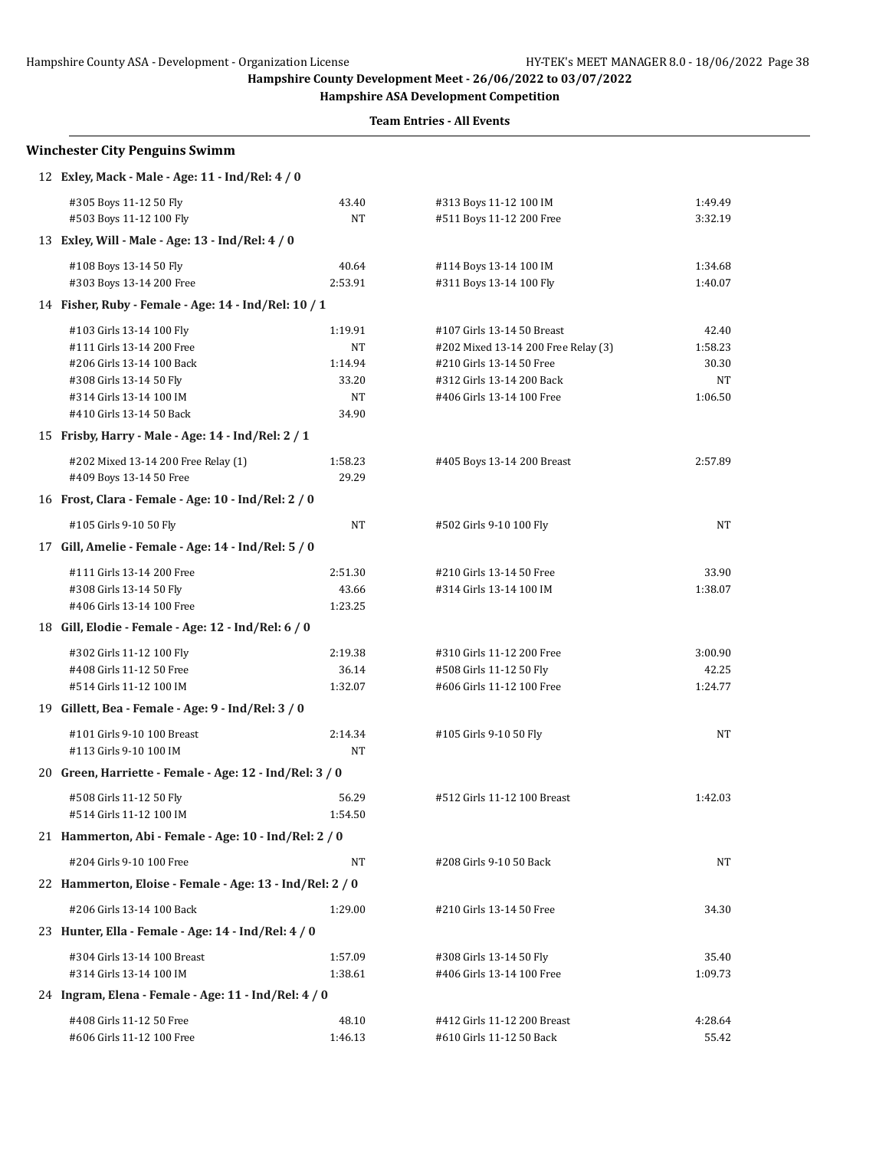**Hampshire ASA Development Competition**

| <b>Winchester City Penguins Swimm</b>                    |           |                                     |         |
|----------------------------------------------------------|-----------|-------------------------------------|---------|
| 12 Exley, Mack - Male - Age: 11 - Ind/Rel: 4 / 0         |           |                                     |         |
| #305 Boys 11-12 50 Fly                                   | 43.40     | #313 Boys 11-12 100 IM              | 1:49.49 |
| #503 Boys 11-12 100 Fly                                  | NT        | #511 Boys 11-12 200 Free            | 3:32.19 |
| 13 Exley, Will - Male - Age: 13 - Ind/Rel: 4 / 0         |           |                                     |         |
| #108 Boys 13-14 50 Fly                                   | 40.64     | #114 Boys 13-14 100 IM              | 1:34.68 |
| #303 Boys 13-14 200 Free                                 | 2:53.91   | #311 Boys 13-14 100 Fly             | 1:40.07 |
| 14 Fisher, Ruby - Female - Age: 14 - Ind/Rel: 10 / 1     |           |                                     |         |
| #103 Girls 13-14 100 Fly                                 | 1:19.91   | #107 Girls 13-14 50 Breast          | 42.40   |
| #111 Girls 13-14 200 Free                                | <b>NT</b> | #202 Mixed 13-14 200 Free Relay (3) | 1:58.23 |
| #206 Girls 13-14 100 Back                                | 1:14.94   | #210 Girls 13-14 50 Free            | 30.30   |
| #308 Girls 13-14 50 Fly                                  | 33.20     | #312 Girls 13-14 200 Back           | NT      |
| #314 Girls 13-14 100 IM                                  | NT        | #406 Girls 13-14 100 Free           | 1:06.50 |
| #410 Girls 13-14 50 Back                                 | 34.90     |                                     |         |
| 15 Frisby, Harry - Male - Age: 14 - Ind/Rel: 2 / 1       |           |                                     |         |
| #202 Mixed 13-14 200 Free Relay (1)                      | 1:58.23   | #405 Boys 13-14 200 Breast          | 2:57.89 |
| #409 Boys 13-14 50 Free                                  | 29.29     |                                     |         |
| 16 Frost, Clara - Female - Age: 10 - Ind/Rel: 2 / 0      |           |                                     |         |
| #105 Girls 9-10 50 Fly                                   | NT        | #502 Girls 9-10 100 Fly             | NT      |
| 17 Gill, Amelie - Female - Age: 14 - Ind/Rel: 5 / 0      |           |                                     |         |
| #111 Girls 13-14 200 Free                                | 2:51.30   | #210 Girls 13-14 50 Free            | 33.90   |
| #308 Girls 13-14 50 Fly                                  | 43.66     | #314 Girls 13-14 100 IM             | 1:38.07 |
| #406 Girls 13-14 100 Free                                | 1:23.25   |                                     |         |
| 18 Gill, Elodie - Female - Age: 12 - Ind/Rel: 6 / 0      |           |                                     |         |
| #302 Girls 11-12 100 Fly                                 | 2:19.38   | #310 Girls 11-12 200 Free           | 3:00.90 |
| #408 Girls 11-12 50 Free                                 | 36.14     | #508 Girls 11-12 50 Fly             | 42.25   |
| #514 Girls 11-12 100 IM                                  | 1:32.07   | #606 Girls 11-12 100 Free           | 1:24.77 |
| 19 Gillett, Bea - Female - Age: 9 - Ind/Rel: 3 / 0       |           |                                     |         |
| #101 Girls 9-10 100 Breast                               | 2:14.34   | #105 Girls 9-10 50 Fly              | NT      |
| #113 Girls 9-10 100 IM                                   | NT        |                                     |         |
| 20 Green, Harriette - Female - Age: 12 - Ind/Rel: 3 / 0  |           |                                     |         |
| #508 Girls 11-12 50 Fly                                  | 56.29     | #512 Girls 11-12 100 Breast         | 1:42.03 |
| #514 Girls 11-12 100 IM                                  | 1:54.50   |                                     |         |
| 21 Hammerton, Abi - Female - Age: 10 - Ind/Rel: 2 / 0    |           |                                     |         |
| #204 Girls 9-10 100 Free                                 | NT        | #208 Girls 9-10 50 Back             | NT      |
| 22 Hammerton, Eloise - Female - Age: 13 - Ind/Rel: 2 / 0 |           |                                     |         |
| #206 Girls 13-14 100 Back                                | 1:29.00   | #210 Girls 13-14 50 Free            | 34.30   |
| 23 Hunter, Ella - Female - Age: 14 - Ind/Rel: 4 / 0      |           |                                     |         |
| #304 Girls 13-14 100 Breast                              | 1:57.09   | #308 Girls 13-14 50 Fly             | 35.40   |
| #314 Girls 13-14 100 IM                                  | 1:38.61   | #406 Girls 13-14 100 Free           | 1:09.73 |
| 24 Ingram, Elena - Female - Age: 11 - Ind/Rel: 4 / 0     |           |                                     |         |
| #408 Girls 11-12 50 Free                                 | 48.10     | #412 Girls 11-12 200 Breast         | 4:28.64 |
| #606 Girls 11-12 100 Free                                | 1:46.13   | #610 Girls 11-12 50 Back            | 55.42   |
|                                                          |           |                                     |         |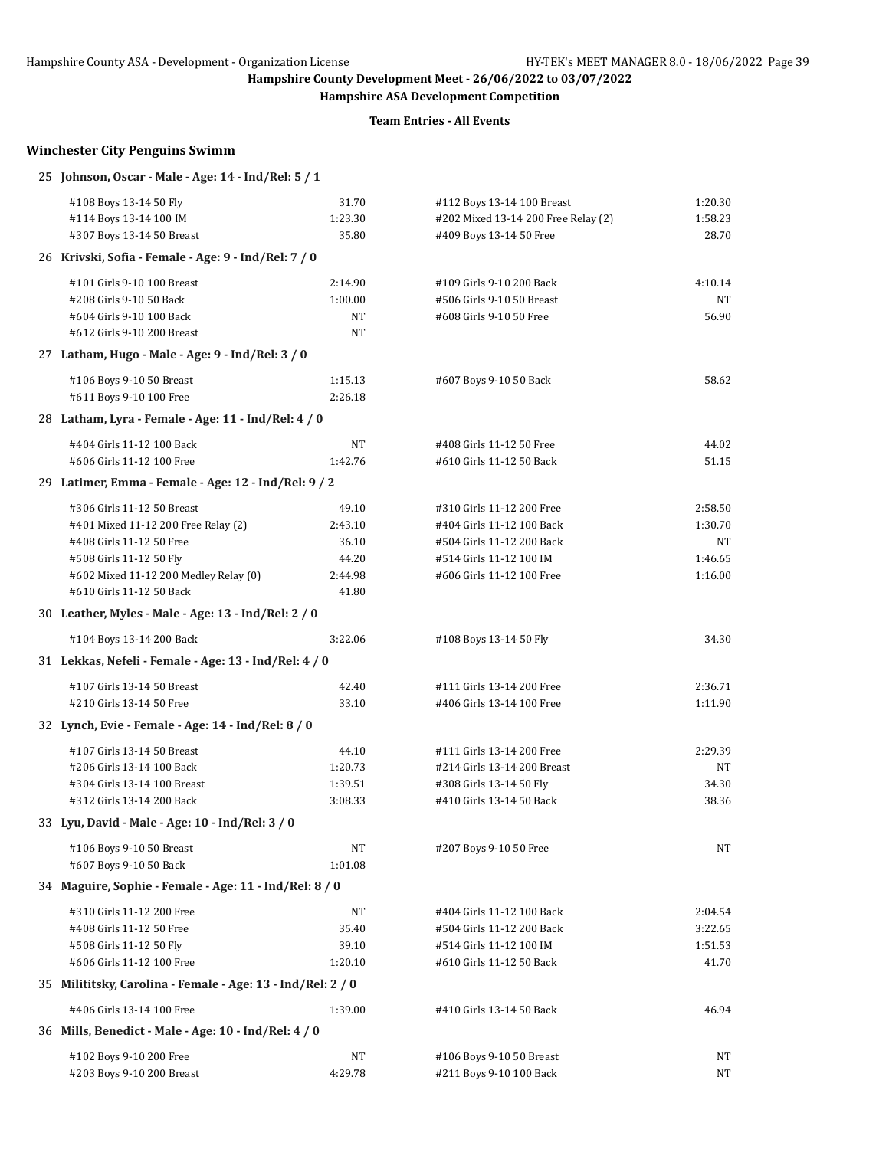**Hampshire ASA Development Competition**

| <b>Winchester City Penguins Swimm</b>                       |         |                                     |         |
|-------------------------------------------------------------|---------|-------------------------------------|---------|
| 25 Johnson, Oscar - Male - Age: 14 - Ind/Rel: 5 / 1         |         |                                     |         |
| #108 Boys 13-14 50 Fly                                      | 31.70   | #112 Boys 13-14 100 Breast          | 1:20.30 |
| #114 Boys 13-14 100 IM                                      | 1:23.30 | #202 Mixed 13-14 200 Free Relay (2) | 1:58.23 |
| #307 Boys 13-14 50 Breast                                   | 35.80   | #409 Boys 13-14 50 Free             | 28.70   |
| 26 Krivski, Sofia - Female - Age: 9 - Ind/Rel: 7 / 0        |         |                                     |         |
| #101 Girls 9-10 100 Breast                                  | 2:14.90 | #109 Girls 9-10 200 Back            | 4:10.14 |
| #208 Girls 9-10 50 Back                                     | 1:00.00 | #506 Girls 9-10 50 Breast           | NT      |
| #604 Girls 9-10 100 Back                                    | NΤ      | #608 Girls 9-10 50 Free             | 56.90   |
| #612 Girls 9-10 200 Breast                                  | NT      |                                     |         |
| 27 Latham, Hugo - Male - Age: 9 - Ind/Rel: 3 / 0            |         |                                     |         |
| #106 Boys 9-10 50 Breast                                    | 1:15.13 | #607 Boys 9-10 50 Back              | 58.62   |
| #611 Boys 9-10 100 Free                                     | 2:26.18 |                                     |         |
| 28 Latham, Lyra - Female - Age: 11 - Ind/Rel: 4 / 0         |         |                                     |         |
| #404 Girls 11-12 100 Back                                   | NT      | #408 Girls 11-12 50 Free            | 44.02   |
| #606 Girls 11-12 100 Free                                   | 1:42.76 | #610 Girls 11-12 50 Back            | 51.15   |
| 29 Latimer, Emma - Female - Age: 12 - Ind/Rel: 9 / 2        |         |                                     |         |
| #306 Girls 11-12 50 Breast                                  | 49.10   | #310 Girls 11-12 200 Free           | 2:58.50 |
| #401 Mixed 11-12 200 Free Relay (2)                         | 2:43.10 | #404 Girls 11-12 100 Back           | 1:30.70 |
| #408 Girls 11-12 50 Free                                    | 36.10   | #504 Girls 11-12 200 Back           | NT      |
| #508 Girls 11-12 50 Fly                                     | 44.20   | #514 Girls 11-12 100 IM             | 1:46.65 |
| #602 Mixed 11-12 200 Medley Relay (0)                       | 2:44.98 | #606 Girls 11-12 100 Free           | 1:16.00 |
| #610 Girls 11-12 50 Back                                    | 41.80   |                                     |         |
| 30 Leather, Myles - Male - Age: 13 - Ind/Rel: 2 / 0         |         |                                     |         |
| #104 Boys 13-14 200 Back                                    | 3:22.06 | #108 Boys 13-14 50 Fly              | 34.30   |
| 31 Lekkas, Nefeli - Female - Age: 13 - Ind/Rel: 4 / 0       |         |                                     |         |
| #107 Girls 13-14 50 Breast                                  | 42.40   | #111 Girls 13-14 200 Free           | 2:36.71 |
| #210 Girls 13-14 50 Free                                    | 33.10   | #406 Girls 13-14 100 Free           | 1:11.90 |
| 32 Lynch, Evie - Female - Age: 14 - Ind/Rel: 8 / 0          |         |                                     |         |
| #107 Girls 13-14 50 Breast                                  | 44.10   | #111 Girls 13-14 200 Free           | 2:29.39 |
| #206 Girls 13-14 100 Back                                   | 1:20.73 | #214 Girls 13-14 200 Breast         | NT      |
| #304 Girls 13-14 100 Breast                                 | 1:39.51 | #308 Girls 13-14 50 Fly             | 34.30   |
| #312 Girls 13-14 200 Back                                   | 3:08.33 | #410 Girls 13-14 50 Back            | 38.36   |
| 33 Lyu, David - Male - Age: 10 - Ind/Rel: 3 / 0             |         |                                     |         |
| #106 Boys 9-10 50 Breast                                    | NΤ      | #207 Boys 9-10 50 Free              | NT      |
| #607 Boys 9-10 50 Back                                      | 1:01.08 |                                     |         |
| 34 Maguire, Sophie - Female - Age: 11 - Ind/Rel: 8 / 0      |         |                                     |         |
| #310 Girls 11-12 200 Free                                   | NT      | #404 Girls 11-12 100 Back           | 2:04.54 |
| #408 Girls 11-12 50 Free                                    | 35.40   | #504 Girls 11-12 200 Back           | 3:22.65 |
| #508 Girls 11-12 50 Fly                                     | 39.10   | #514 Girls 11-12 100 IM             | 1:51.53 |
| #606 Girls 11-12 100 Free                                   | 1:20.10 | #610 Girls 11-12 50 Back            | 41.70   |
| 35 Milititsky, Carolina - Female - Age: 13 - Ind/Rel: 2 / 0 |         |                                     |         |
| #406 Girls 13-14 100 Free                                   | 1:39.00 | #410 Girls 13-14 50 Back            | 46.94   |
| 36 Mills, Benedict - Male - Age: 10 - Ind/Rel: 4 / 0        |         |                                     |         |
| #102 Boys 9-10 200 Free                                     | NT      | #106 Boys 9-10 50 Breast            | NT      |
| #203 Boys 9-10 200 Breast                                   | 4:29.78 | #211 Boys 9-10 100 Back             | NT      |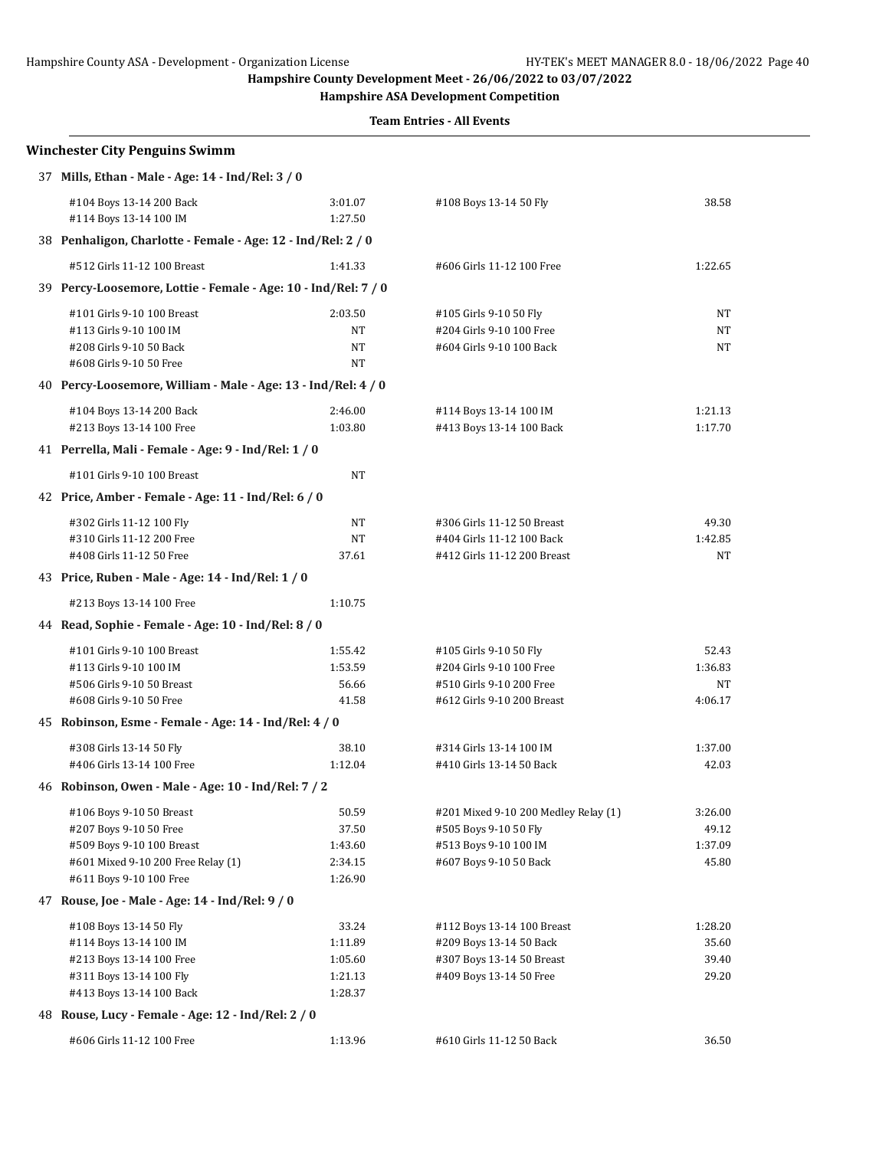**Hampshire ASA Development Competition**

| <b>Winchester City Penguins Swimm</b>                          |                    |                                      |         |
|----------------------------------------------------------------|--------------------|--------------------------------------|---------|
| 37 Mills, Ethan - Male - Age: 14 - Ind/Rel: 3 / 0              |                    |                                      |         |
| #104 Boys 13-14 200 Back<br>#114 Boys 13-14 100 IM             | 3:01.07<br>1:27.50 | #108 Boys 13-14 50 Fly               | 38.58   |
| 38 Penhaligon, Charlotte - Female - Age: 12 - Ind/Rel: 2 / 0   |                    |                                      |         |
| #512 Girls 11-12 100 Breast                                    | 1:41.33            | #606 Girls 11-12 100 Free            | 1:22.65 |
| 39 Percy-Loosemore, Lottie - Female - Age: 10 - Ind/Rel: 7 / 0 |                    |                                      |         |
| #101 Girls 9-10 100 Breast                                     | 2:03.50            | #105 Girls 9-10 50 Fly               | NΤ      |
| #113 Girls 9-10 100 IM                                         | NT                 | #204 Girls 9-10 100 Free             | NT      |
| #208 Girls 9-10 50 Back                                        | NT                 | #604 Girls 9-10 100 Back             | NT      |
| #608 Girls 9-10 50 Free                                        | NT                 |                                      |         |
| 40 Percy-Loosemore, William - Male - Age: 13 - Ind/Rel: 4 / 0  |                    |                                      |         |
| #104 Boys 13-14 200 Back                                       | 2:46.00            | #114 Boys 13-14 100 IM               | 1:21.13 |
| #213 Boys 13-14 100 Free                                       | 1:03.80            | #413 Boys 13-14 100 Back             | 1:17.70 |
| 41 Perrella, Mali - Female - Age: 9 - Ind/Rel: 1 / 0           |                    |                                      |         |
| #101 Girls 9-10 100 Breast                                     | <b>NT</b>          |                                      |         |
| 42 Price, Amber - Female - Age: 11 - Ind/Rel: 6 / 0            |                    |                                      |         |
| #302 Girls 11-12 100 Fly                                       | NT                 | #306 Girls 11-12 50 Breast           | 49.30   |
| #310 Girls 11-12 200 Free                                      | <b>NT</b>          | #404 Girls 11-12 100 Back            | 1:42.85 |
| #408 Girls 11-12 50 Free                                       | 37.61              | #412 Girls 11-12 200 Breast          | NT      |
| 43 Price, Ruben - Male - Age: 14 - Ind/Rel: 1 / 0              |                    |                                      |         |
| #213 Boys 13-14 100 Free                                       | 1:10.75            |                                      |         |
| 44 Read, Sophie - Female - Age: 10 - Ind/Rel: 8 / 0            |                    |                                      |         |
| #101 Girls 9-10 100 Breast                                     | 1:55.42            | #105 Girls 9-10 50 Fly               | 52.43   |
| #113 Girls 9-10 100 IM                                         | 1:53.59            | #204 Girls 9-10 100 Free             | 1:36.83 |
| #506 Girls 9-10 50 Breast                                      | 56.66              | #510 Girls 9-10 200 Free             | NT      |
| #608 Girls 9-10 50 Free                                        | 41.58              | #612 Girls 9-10 200 Breast           | 4:06.17 |
| 45 Robinson, Esme - Female - Age: 14 - Ind/Rel: 4 / 0          |                    |                                      |         |
| #308 Girls 13-14 50 Fly                                        | 38.10              | #314 Girls 13-14 100 IM              | 1:37.00 |
| #406 Girls 13-14 100 Free                                      | 1:12.04            | #410 Girls 13-14 50 Back             | 42.03   |
| 46 Robinson, Owen - Male - Age: 10 - Ind/Rel: 7 / 2            |                    |                                      |         |
| #106 Boys 9-10 50 Breast                                       | 50.59              | #201 Mixed 9-10 200 Medley Relay (1) | 3:26.00 |
| #207 Boys 9-10 50 Free                                         | 37.50              | #505 Boys 9-10 50 Fly                | 49.12   |
| #509 Boys 9-10 100 Breast                                      | 1:43.60            | #513 Boys 9-10 100 IM                | 1:37.09 |
| #601 Mixed 9-10 200 Free Relay (1)                             | 2:34.15            | #607 Boys 9-10 50 Back               | 45.80   |
| #611 Boys 9-10 100 Free                                        | 1:26.90            |                                      |         |
| 47 Rouse, Joe - Male - Age: 14 - Ind/Rel: 9 / 0                |                    |                                      |         |
| #108 Boys 13-14 50 Fly                                         | 33.24              | #112 Boys 13-14 100 Breast           | 1:28.20 |
| #114 Boys 13-14 100 IM                                         | 1:11.89            | #209 Boys 13-14 50 Back              | 35.60   |
| #213 Boys 13-14 100 Free                                       | 1:05.60            | #307 Boys 13-14 50 Breast            | 39.40   |
| #311 Boys 13-14 100 Fly                                        | 1:21.13            | #409 Boys 13-14 50 Free              | 29.20   |
| #413 Boys 13-14 100 Back                                       | 1:28.37            |                                      |         |
| 48 Rouse, Lucy - Female - Age: 12 - Ind/Rel: 2 / 0             |                    |                                      |         |
| #606 Girls 11-12 100 Free                                      | 1:13.96            | #610 Girls 11-12 50 Back             | 36.50   |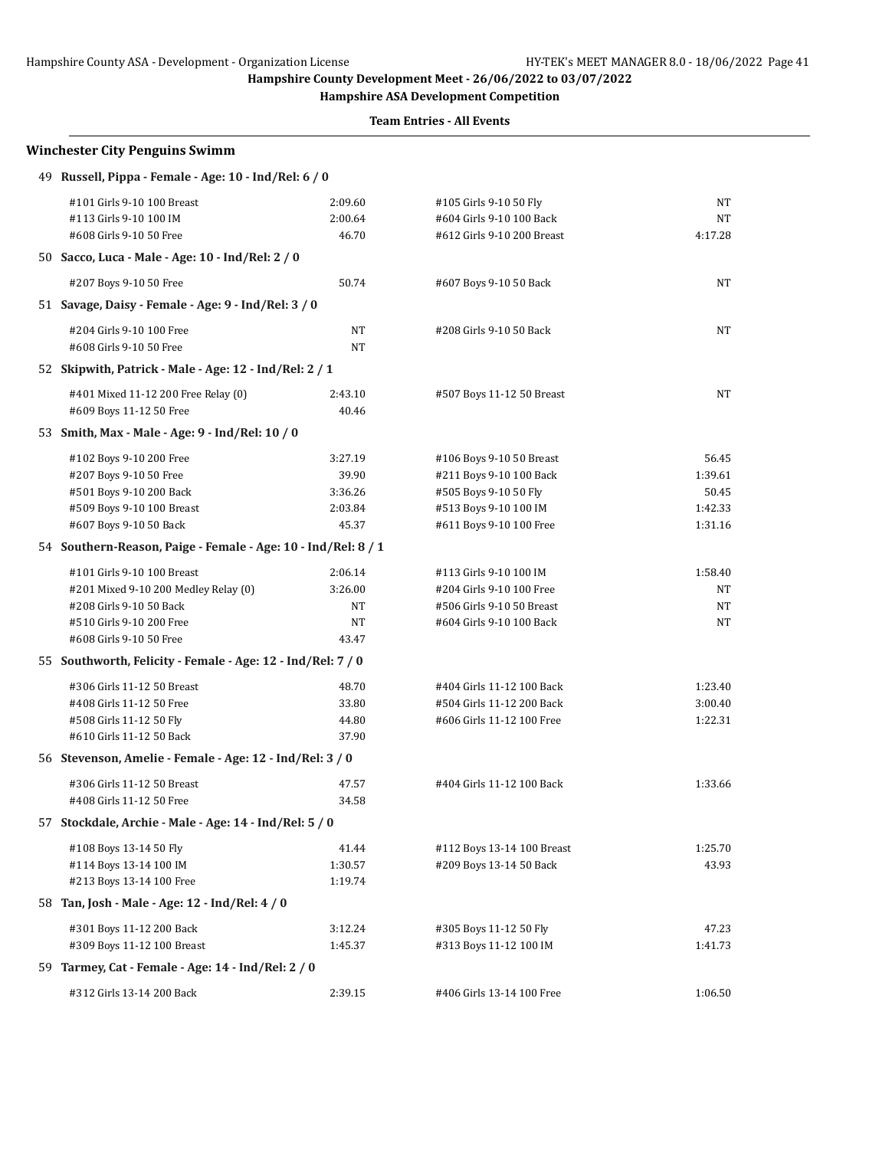**Hampshire ASA Development Competition**

| <b>Winchester City Penguins Swimm</b>                         |           |                                                                                                                                                                                                                                                                                                                                                                                                                                                                                                                                                                                                                                                                                                     |         |  |  |
|---------------------------------------------------------------|-----------|-----------------------------------------------------------------------------------------------------------------------------------------------------------------------------------------------------------------------------------------------------------------------------------------------------------------------------------------------------------------------------------------------------------------------------------------------------------------------------------------------------------------------------------------------------------------------------------------------------------------------------------------------------------------------------------------------------|---------|--|--|
| 49 Russell, Pippa - Female - Age: 10 - Ind/Rel: 6 / 0         |           |                                                                                                                                                                                                                                                                                                                                                                                                                                                                                                                                                                                                                                                                                                     |         |  |  |
| #101 Girls 9-10 100 Breast                                    | 2:09.60   | #105 Girls 9-10 50 Fly                                                                                                                                                                                                                                                                                                                                                                                                                                                                                                                                                                                                                                                                              | NT      |  |  |
| #113 Girls 9-10 100 IM                                        | 2:00.64   | #604 Girls 9-10 100 Back                                                                                                                                                                                                                                                                                                                                                                                                                                                                                                                                                                                                                                                                            | NT      |  |  |
| #608 Girls 9-10 50 Free                                       | 46.70     | #612 Girls 9-10 200 Breast                                                                                                                                                                                                                                                                                                                                                                                                                                                                                                                                                                                                                                                                          | 4:17.28 |  |  |
| 50 Sacco, Luca - Male - Age: 10 - Ind/Rel: 2 / 0              |           |                                                                                                                                                                                                                                                                                                                                                                                                                                                                                                                                                                                                                                                                                                     |         |  |  |
| #207 Boys 9-10 50 Free                                        | 50.74     | #607 Boys 9-10 50 Back                                                                                                                                                                                                                                                                                                                                                                                                                                                                                                                                                                                                                                                                              | NT      |  |  |
| 51 Savage, Daisy - Female - Age: 9 - Ind/Rel: 3 / 0           |           |                                                                                                                                                                                                                                                                                                                                                                                                                                                                                                                                                                                                                                                                                                     |         |  |  |
| #204 Girls 9-10 100 Free                                      | NT        | #208 Girls 9-10 50 Back                                                                                                                                                                                                                                                                                                                                                                                                                                                                                                                                                                                                                                                                             | NT      |  |  |
| #608 Girls 9-10 50 Free                                       | <b>NT</b> |                                                                                                                                                                                                                                                                                                                                                                                                                                                                                                                                                                                                                                                                                                     |         |  |  |
| 52 Skipwith, Patrick - Male - Age: 12 - Ind/Rel: 2 / 1        |           |                                                                                                                                                                                                                                                                                                                                                                                                                                                                                                                                                                                                                                                                                                     |         |  |  |
| #401 Mixed 11-12 200 Free Relay (0)                           | 2:43.10   | NT<br>#507 Boys 11-12 50 Breast<br>56.45<br>#106 Boys 9-10 50 Breast<br>1:39.61<br>#211 Boys 9-10 100 Back<br>#505 Boys 9-10 50 Fly<br>50.45<br>#513 Boys 9-10 100 IM<br>1:42.33<br>#611 Boys 9-10 100 Free<br>1:31.16<br>#113 Girls 9-10 100 IM<br>1:58.40<br>#204 Girls 9-10 100 Free<br>NT<br>NT<br>#506 Girls 9-10 50 Breast<br>NT<br>NT<br>#604 Girls 9-10 100 Back<br>NT<br>1:23.40<br>#404 Girls 11-12 100 Back<br>#504 Girls 11-12 200 Back<br>3:00.40<br>#606 Girls 11-12 100 Free<br>1:22.31<br>1:33.66<br>#404 Girls 11-12 100 Back<br>1:25.70<br>#112 Boys 13-14 100 Breast<br>43.93<br>#209 Boys 13-14 50 Back<br>#305 Boys 11-12 50 Fly<br>47.23<br>#313 Boys 11-12 100 IM<br>1:41.73 |         |  |  |
| #609 Boys 11-12 50 Free                                       | 40.46     |                                                                                                                                                                                                                                                                                                                                                                                                                                                                                                                                                                                                                                                                                                     |         |  |  |
| 53 Smith, Max - Male - Age: 9 - Ind/Rel: 10 / 0               |           |                                                                                                                                                                                                                                                                                                                                                                                                                                                                                                                                                                                                                                                                                                     |         |  |  |
| #102 Boys 9-10 200 Free                                       | 3:27.19   |                                                                                                                                                                                                                                                                                                                                                                                                                                                                                                                                                                                                                                                                                                     |         |  |  |
| #207 Boys 9-10 50 Free                                        | 39.90     |                                                                                                                                                                                                                                                                                                                                                                                                                                                                                                                                                                                                                                                                                                     |         |  |  |
| #501 Boys 9-10 200 Back                                       | 3:36.26   |                                                                                                                                                                                                                                                                                                                                                                                                                                                                                                                                                                                                                                                                                                     |         |  |  |
| #509 Boys 9-10 100 Breast                                     | 2:03.84   |                                                                                                                                                                                                                                                                                                                                                                                                                                                                                                                                                                                                                                                                                                     |         |  |  |
| #607 Boys 9-10 50 Back                                        | 45.37     |                                                                                                                                                                                                                                                                                                                                                                                                                                                                                                                                                                                                                                                                                                     |         |  |  |
| 54 Southern-Reason, Paige - Female - Age: 10 - Ind/Rel: 8 / 1 |           |                                                                                                                                                                                                                                                                                                                                                                                                                                                                                                                                                                                                                                                                                                     |         |  |  |
| #101 Girls 9-10 100 Breast                                    | 2:06.14   |                                                                                                                                                                                                                                                                                                                                                                                                                                                                                                                                                                                                                                                                                                     |         |  |  |
| #201 Mixed 9-10 200 Medley Relay (0)                          | 3:26.00   |                                                                                                                                                                                                                                                                                                                                                                                                                                                                                                                                                                                                                                                                                                     |         |  |  |
| #208 Girls 9-10 50 Back                                       |           |                                                                                                                                                                                                                                                                                                                                                                                                                                                                                                                                                                                                                                                                                                     |         |  |  |
| #510 Girls 9-10 200 Free                                      |           |                                                                                                                                                                                                                                                                                                                                                                                                                                                                                                                                                                                                                                                                                                     |         |  |  |
| #608 Girls 9-10 50 Free                                       | 43.47     |                                                                                                                                                                                                                                                                                                                                                                                                                                                                                                                                                                                                                                                                                                     |         |  |  |
| 55 Southworth, Felicity - Female - Age: 12 - Ind/Rel: 7 / 0   |           |                                                                                                                                                                                                                                                                                                                                                                                                                                                                                                                                                                                                                                                                                                     |         |  |  |
| #306 Girls 11-12 50 Breast                                    | 48.70     |                                                                                                                                                                                                                                                                                                                                                                                                                                                                                                                                                                                                                                                                                                     |         |  |  |
| #408 Girls 11-12 50 Free                                      | 33.80     |                                                                                                                                                                                                                                                                                                                                                                                                                                                                                                                                                                                                                                                                                                     |         |  |  |
| #508 Girls 11-12 50 Fly                                       | 44.80     |                                                                                                                                                                                                                                                                                                                                                                                                                                                                                                                                                                                                                                                                                                     |         |  |  |
| #610 Girls 11-12 50 Back                                      | 37.90     |                                                                                                                                                                                                                                                                                                                                                                                                                                                                                                                                                                                                                                                                                                     |         |  |  |
| 56 Stevenson, Amelie - Female - Age: 12 - Ind/Rel: 3 / 0      |           |                                                                                                                                                                                                                                                                                                                                                                                                                                                                                                                                                                                                                                                                                                     |         |  |  |
| #306 Girls 11-12 50 Breast                                    | 47.57     |                                                                                                                                                                                                                                                                                                                                                                                                                                                                                                                                                                                                                                                                                                     |         |  |  |
| #408 Girls 11-12 50 Free                                      | 34.58     |                                                                                                                                                                                                                                                                                                                                                                                                                                                                                                                                                                                                                                                                                                     |         |  |  |
| 57 Stockdale, Archie - Male - Age: 14 - Ind/Rel: 5 / 0        |           |                                                                                                                                                                                                                                                                                                                                                                                                                                                                                                                                                                                                                                                                                                     |         |  |  |
| #108 Boys 13-14 50 Fly                                        | 41.44     |                                                                                                                                                                                                                                                                                                                                                                                                                                                                                                                                                                                                                                                                                                     |         |  |  |
| #114 Boys 13-14 100 IM                                        | 1:30.57   |                                                                                                                                                                                                                                                                                                                                                                                                                                                                                                                                                                                                                                                                                                     |         |  |  |
| #213 Boys 13-14 100 Free                                      | 1:19.74   |                                                                                                                                                                                                                                                                                                                                                                                                                                                                                                                                                                                                                                                                                                     |         |  |  |
| 58 Tan, Josh - Male - Age: 12 - Ind/Rel: 4 / 0                |           |                                                                                                                                                                                                                                                                                                                                                                                                                                                                                                                                                                                                                                                                                                     |         |  |  |
| #301 Boys 11-12 200 Back                                      | 3:12.24   |                                                                                                                                                                                                                                                                                                                                                                                                                                                                                                                                                                                                                                                                                                     |         |  |  |
| #309 Boys 11-12 100 Breast                                    | 1:45.37   |                                                                                                                                                                                                                                                                                                                                                                                                                                                                                                                                                                                                                                                                                                     |         |  |  |
| 59 Tarmey, Cat - Female - Age: 14 - Ind/Rel: 2 / 0            |           |                                                                                                                                                                                                                                                                                                                                                                                                                                                                                                                                                                                                                                                                                                     |         |  |  |
| #312 Girls 13-14 200 Back                                     | 2:39.15   | #406 Girls 13-14 100 Free                                                                                                                                                                                                                                                                                                                                                                                                                                                                                                                                                                                                                                                                           | 1:06.50 |  |  |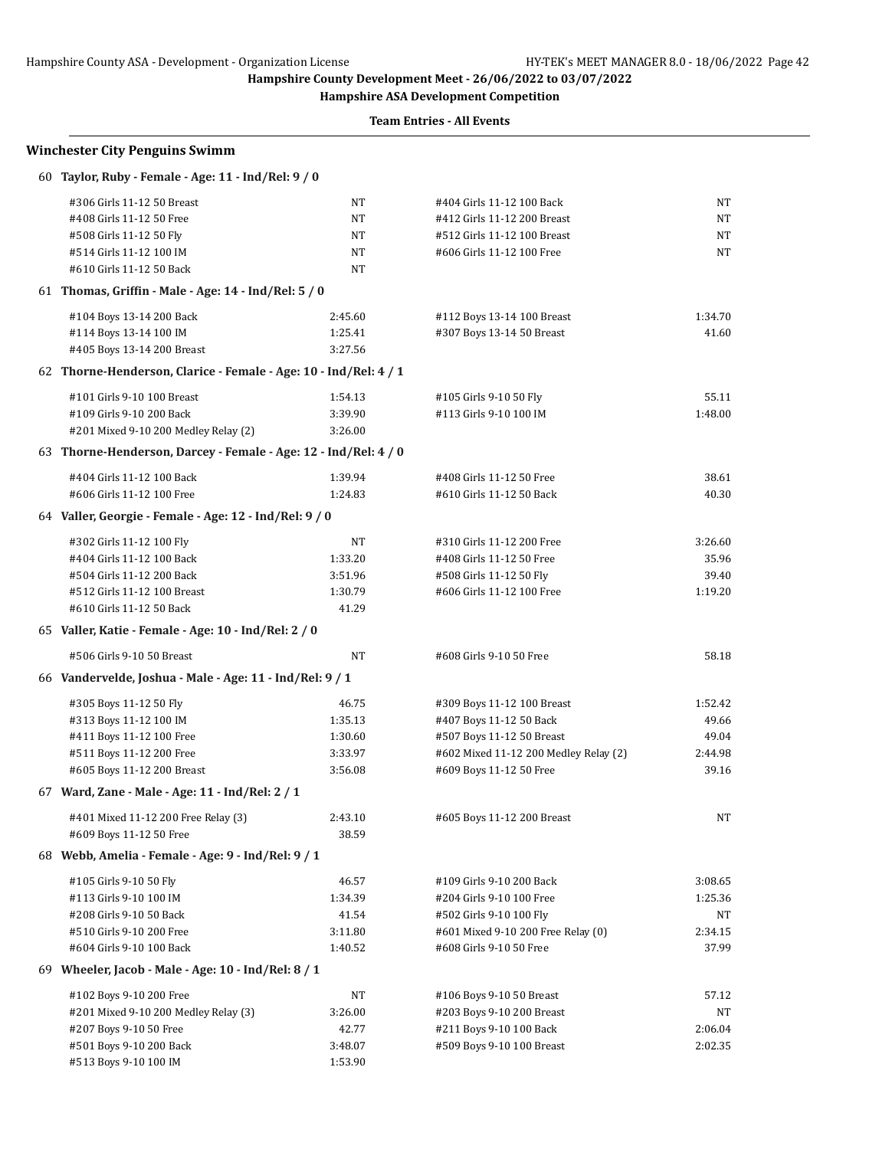**Hampshire ASA Development Competition**

| <b>Winchester City Penguins Swimm</b>                            |         |                                       |         |  |  |
|------------------------------------------------------------------|---------|---------------------------------------|---------|--|--|
| 60 Taylor, Ruby - Female - Age: 11 - Ind/Rel: 9 / 0              |         |                                       |         |  |  |
| #306 Girls 11-12 50 Breast                                       | NT      | #404 Girls 11-12 100 Back             | NΤ      |  |  |
| #408 Girls 11-12 50 Free                                         | NT      | #412 Girls 11-12 200 Breast           | NΤ      |  |  |
| #508 Girls 11-12 50 Fly                                          | NT      | #512 Girls 11-12 100 Breast           | NT      |  |  |
| #514 Girls 11-12 100 IM                                          | NT      | #606 Girls 11-12 100 Free             | NΤ      |  |  |
| #610 Girls 11-12 50 Back                                         | NT      |                                       |         |  |  |
| 61 Thomas, Griffin - Male - Age: 14 - Ind/Rel: 5 / 0             |         |                                       |         |  |  |
| #104 Boys 13-14 200 Back                                         | 2:45.60 | #112 Boys 13-14 100 Breast            | 1:34.70 |  |  |
| #114 Boys 13-14 100 IM                                           | 1:25.41 | #307 Boys 13-14 50 Breast             | 41.60   |  |  |
| #405 Boys 13-14 200 Breast                                       | 3:27.56 |                                       |         |  |  |
| 62 Thorne-Henderson, Clarice - Female - Age: 10 - Ind/Rel: 4 / 1 |         |                                       |         |  |  |
| #101 Girls 9-10 100 Breast                                       | 1:54.13 | #105 Girls 9-10 50 Fly                | 55.11   |  |  |
| #109 Girls 9-10 200 Back                                         | 3:39.90 | #113 Girls 9-10 100 IM                | 1:48.00 |  |  |
| #201 Mixed 9-10 200 Medley Relay (2)                             | 3:26.00 |                                       |         |  |  |
| 63 Thorne-Henderson, Darcey - Female - Age: 12 - Ind/Rel: 4 / 0  |         |                                       |         |  |  |
| #404 Girls 11-12 100 Back                                        | 1:39.94 | #408 Girls 11-12 50 Free              | 38.61   |  |  |
| #606 Girls 11-12 100 Free                                        | 1:24.83 | #610 Girls 11-12 50 Back              | 40.30   |  |  |
| 64 Valler, Georgie - Female - Age: 12 - Ind/Rel: 9 / 0           |         |                                       |         |  |  |
| #302 Girls 11-12 100 Fly                                         | NT      | #310 Girls 11-12 200 Free             | 3:26.60 |  |  |
| #404 Girls 11-12 100 Back                                        | 1:33.20 | #408 Girls 11-12 50 Free              | 35.96   |  |  |
| #504 Girls 11-12 200 Back                                        | 3:51.96 | #508 Girls 11-12 50 Fly               | 39.40   |  |  |
| #512 Girls 11-12 100 Breast                                      | 1:30.79 | #606 Girls 11-12 100 Free             | 1:19.20 |  |  |
| #610 Girls 11-12 50 Back                                         | 41.29   |                                       |         |  |  |
| 65 Valler, Katie - Female - Age: 10 - Ind/Rel: 2 / 0             |         |                                       |         |  |  |
| #506 Girls 9-10 50 Breast                                        | NT      | #608 Girls 9-10 50 Free               | 58.18   |  |  |
| 66 Vandervelde, Joshua - Male - Age: 11 - Ind/Rel: 9 / 1         |         |                                       |         |  |  |
| #305 Boys 11-12 50 Fly                                           | 46.75   | #309 Boys 11-12 100 Breast            | 1:52.42 |  |  |
| #313 Boys 11-12 100 IM                                           | 1:35.13 | #407 Boys 11-12 50 Back               | 49.66   |  |  |
| #411 Boys 11-12 100 Free                                         | 1:30.60 | #507 Boys 11-12 50 Breast             | 49.04   |  |  |
| #511 Boys 11-12 200 Free                                         | 3:33.97 | #602 Mixed 11-12 200 Medley Relay (2) | 2:44.98 |  |  |
| #605 Boys 11-12 200 Breast                                       | 3:56.08 | #609 Boys 11-12 50 Free               | 39.16   |  |  |
| 67 Ward, Zane - Male - Age: 11 - Ind/Rel: 2 / 1                  |         |                                       |         |  |  |
| #401 Mixed 11-12 200 Free Relay (3)                              | 2:43.10 | #605 Boys 11-12 200 Breast            | NΤ      |  |  |
| #609 Boys 11-12 50 Free                                          | 38.59   |                                       |         |  |  |
| 68 Webb, Amelia - Female - Age: 9 - Ind/Rel: 9 / 1               |         |                                       |         |  |  |
| #105 Girls 9-10 50 Fly                                           | 46.57   | #109 Girls 9-10 200 Back              | 3:08.65 |  |  |
| #113 Girls 9-10 100 IM                                           | 1:34.39 | #204 Girls 9-10 100 Free              | 1:25.36 |  |  |
| #208 Girls 9-10 50 Back                                          | 41.54   | #502 Girls 9-10 100 Fly               | NT      |  |  |
| #510 Girls 9-10 200 Free                                         | 3:11.80 | #601 Mixed 9-10 200 Free Relay (0)    | 2:34.15 |  |  |
| #604 Girls 9-10 100 Back                                         | 1:40.52 | #608 Girls 9-10 50 Free               | 37.99   |  |  |
| 69 Wheeler, Jacob - Male - Age: 10 - Ind/Rel: 8 / 1              |         |                                       |         |  |  |
| #102 Boys 9-10 200 Free                                          | NT      | #106 Boys 9-10 50 Breast              | 57.12   |  |  |
| #201 Mixed 9-10 200 Medley Relay (3)                             | 3:26.00 | #203 Boys 9-10 200 Breast             | NΤ      |  |  |
| #207 Boys 9-10 50 Free                                           | 42.77   | #211 Boys 9-10 100 Back               | 2:06.04 |  |  |
| #501 Boys 9-10 200 Back                                          | 3:48.07 | #509 Boys 9-10 100 Breast             | 2:02.35 |  |  |
| #513 Boys 9-10 100 IM                                            | 1:53.90 |                                       |         |  |  |